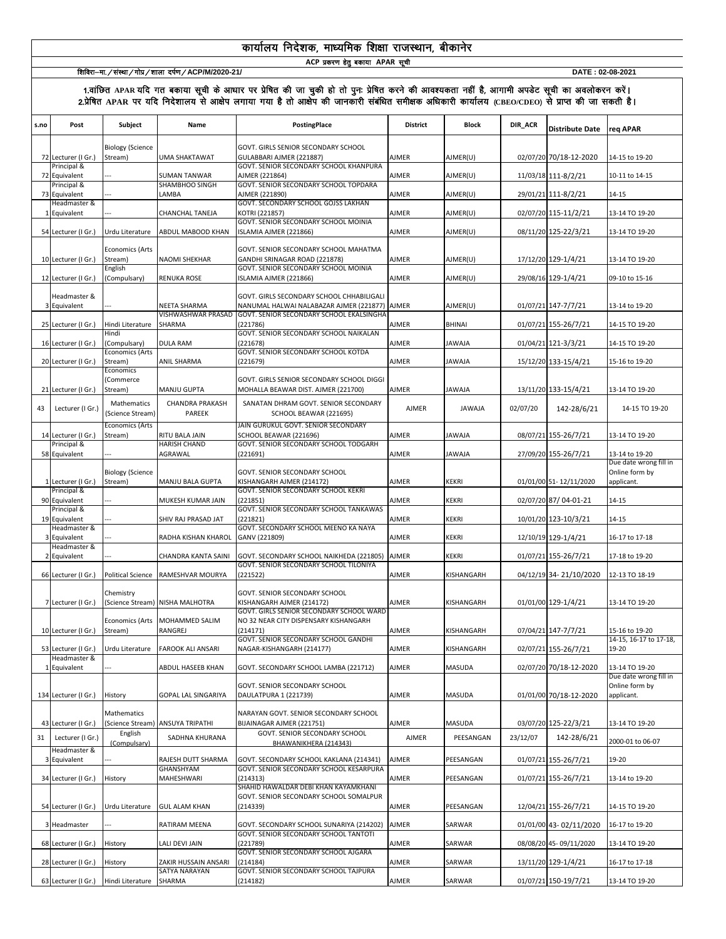# कार्यालय निदेशक, माध्यमिक शिक्षा राजस्थान, बीकानेर

**ACP** प्रकरण हेतु बकाया APAR सूची

# <u>ि सिविरा–मा./संस्था/गोप्र/शाला दर्पण/ACP/M/2020-21/ DATE : 02-08-2021</u> DATE : 02-08-2021

| s.no | Post                         | Subject                                      | Name                             | PostingPlace                                                                                                   | <b>District</b> | <b>Block</b>  | DIR_ACR  | <b>Distribute Date</b> | req APAR                                 |
|------|------------------------------|----------------------------------------------|----------------------------------|----------------------------------------------------------------------------------------------------------------|-----------------|---------------|----------|------------------------|------------------------------------------|
|      | 72 Lecturer (I Gr.)          | <b>Biology (Science</b><br>Stream)           | <b>UMA SHAKTAWAT</b>             | GOVT. GIRLS SENIOR SECONDARY SCHOOL<br>GULABBARI AJMER (221887)                                                | <b>AJMER</b>    | AJMER(U)      |          | 02/07/20 70/18-12-2020 | 14-15 to 19-20                           |
|      | Principal &<br>72 Equivalent |                                              | <b>SUMAN TANWAR</b>              | GOVT. SENIOR SECONDARY SCHOOL KHANPURA<br>AJMER (221864)                                                       | <b>AJMER</b>    | AJMER(U)      |          | 11/03/18 111-8/2/21    | 10-11 to 14-15                           |
|      | Principal &<br>73 Equivalent |                                              | SHAMBHOO SINGH<br>LAMBA          | GOVT. SENIOR SECONDARY SCHOOL TOPDARA<br>AJMER (221890)                                                        | <b>AJMER</b>    | AJMER(U)      |          | 29/01/21 111-8/2/21    | $14 - 15$                                |
|      | Headmaster &<br>1 Equivalent |                                              | CHANCHAL TANEJA                  | GOVT. SECONDARY SCHOOL GOJSS LAKHAN<br>KOTRI (221857)                                                          | <b>AJMER</b>    | AJMER(U)      |          | 02/07/20 115-11/2/21   | 13-14 TO 19-20                           |
|      |                              |                                              |                                  | GOVT. SENIOR SECONDARY SCHOOL MOINIA                                                                           |                 |               |          |                        |                                          |
|      | 54 Lecturer (I Gr.)          | Urdu Literature                              | ABDUL MABOOD KHAN                | ISLAMIA AJMER (221866)                                                                                         | <b>AJMER</b>    | AJMER(U)      |          | 08/11/20 125-22/3/21   | 13-14 TO 19-20                           |
|      | 10 Lecturer (I Gr.)          | <b>Economics (Arts</b><br>Stream)<br>English | <b>NAOMI SHEKHAR</b>             | GOVT. SENIOR SECONDARY SCHOOL MAHATMA<br>GANDHI SRINAGAR ROAD (221878)<br>GOVT. SENIOR SECONDARY SCHOOL MOINIA | <b>AJMER</b>    | AJMER(U)      |          | 17/12/20 129-1/4/21    | 13-14 TO 19-20                           |
|      | 12 Lecturer (I Gr.)          | Compulsary)                                  | <b>RENUKA ROSE</b>               | ISLAMIA AJMER (221866)                                                                                         | <b>AJMER</b>    | AJMER(U)      |          | 29/08/16 129-1/4/21    | 09-10 to 15-16                           |
|      | Headmaster &<br>3 Equivalent |                                              | <b>NEETA SHARMA</b>              | GOVT. GIRLS SECONDARY SCHOOL CHHABILIGALI<br>NANUMAL HALWAI NALABAZAR AJMER (221877) AJMER                     |                 | AJMER(U)      |          | 01/07/21 147-7/7/21    | 13-14 to 19-20                           |
|      | 25 Lecturer (I Gr.)          | Hindi Literature                             | VISHWASHWAR PRASAD<br>SHARMA     | GOVT. SENIOR SECONDARY SCHOOL EKALSINGHA<br>(221786)                                                           | AJMER           | <b>BHINAI</b> |          | 01/07/21 155-26/7/21   | 14-15 TO 19-20                           |
|      | 16 Lecturer (I Gr.)          | Hindi<br>(Compulsary)                        | <b>DULA RAM</b>                  | GOVT. SENIOR SECONDARY SCHOOL NAIKALAN<br>(221678)                                                             | <b>AJMER</b>    | <b>JAWAJA</b> |          | 01/04/21 121-3/3/21    | 14-15 TO 19-20                           |
|      | 20 Lecturer (I Gr.)          | <b>Economics (Arts</b><br>Stream)            | ANIL SHARMA                      | GOVT. SENIOR SECONDARY SCHOOL KOTDA<br>(221679)                                                                | <b>AJMER</b>    | <b>JAWAJA</b> |          | 15/12/20 133-15/4/21   | 15-16 to 19-20                           |
|      |                              | <b>Economics</b><br>(Commerce                |                                  | GOVT. GIRLS SENIOR SECONDARY SCHOOL DIGGI                                                                      |                 |               |          |                        |                                          |
|      | 21 Lecturer (I Gr.)          | Stream)                                      | MANJU GUPTA                      | MOHALLA BEAWAR DIST. AJMER (221700)                                                                            | <b>AJMER</b>    | <b>JAWAJA</b> |          | 13/11/20 133-15/4/21   | 13-14 TO 19-20                           |
| 43   | Lecturer (I Gr.)             | Mathematics<br>(Science Stream)              | CHANDRA PRAKASH<br>PAREEK        | SANATAN DHRAM GOVT. SENIOR SECONDARY<br>SCHOOL BEAWAR (221695)                                                 | <b>AJMER</b>    | <b>JAWAJA</b> | 02/07/20 | 142-28/6/21            | 14-15 TO 19-20                           |
|      | 14 Lecturer (I Gr.)          | <b>Economics (Arts</b><br>Stream)            | RITU BALA JAIN                   | JAIN GURUKUL GOVT. SENIOR SECONDARY<br>SCHOOL BEAWAR (221696)                                                  | <b>AJMER</b>    | <b>JAWAJA</b> |          | 08/07/21 155-26/7/21   | 13-14 TO 19-20                           |
|      | Principal &<br>58 Equivalent |                                              | <b>HARISH CHAND</b><br>AGRAWAL   | GOVT. SENIOR SECONDARY SCHOOL TODGARH<br>(221691)                                                              | <b>AJMER</b>    | <b>JAWAJA</b> |          | 27/09/20 155-26/7/21   | 13-14 to 19-20                           |
|      |                              | <b>Biology (Science</b>                      |                                  | GOVT. SENIOR SECONDARY SCHOOL                                                                                  |                 |               |          |                        | Due date wrong fill in<br>Online form by |
|      | 1 Lecturer (I Gr.)           | Stream)                                      | MANJU BALA GUPTA                 | KISHANGARH AJMER (214172)                                                                                      | <b>AJMER</b>    | <b>KEKRI</b>  |          | 01/01/00 51-12/11/2020 | applicant.                               |
|      | Principal &<br>90 Equivalent |                                              | MUKESH KUMAR JAIN                | GOVT. SENIOR SECONDARY SCHOOL KEKRI<br>(221851)                                                                | <b>AJMER</b>    | <b>KEKRI</b>  |          | 02/07/20 87/ 04-01-21  | 14-15                                    |
|      | Principal &<br>19 Equivalent |                                              | SHIV RAJ PRASAD JAT              | GOVT. SENIOR SECONDARY SCHOOL TANKAWAS<br>(221821)                                                             | <b>AJMER</b>    | KEKRI         |          | 10/01/20 123-10/3/21   | 14-15                                    |
|      | Headmaster &<br>3 Equivalent |                                              | RADHA KISHAN KHAROL              | GOVT. SECONDARY SCHOOL MEENO KA NAYA<br>GANV (221809)                                                          | <b>AJMER</b>    | KEKRI         |          | 12/10/19 129-1/4/21    | 16-17 to 17-18                           |
|      | Headmaster &<br>2 Equivalent |                                              | CHANDRA KANTA SAINI              | GOVT. SECONDARY SCHOOL NAIKHEDA (221805)                                                                       | <b>AJMER</b>    | <b>KEKRI</b>  |          | 01/07/21 155-26/7/21   | 17-18 to 19-20                           |
|      |                              |                                              |                                  | GOVT. SENIOR SECONDARY SCHOOL TILONIYA                                                                         |                 |               |          |                        |                                          |
|      | 66 Lecturer (I Gr.)          | <b>Political Science</b>                     | RAMESHVAR MOURYA                 | (221522)                                                                                                       | <b>AJMER</b>    | KISHANGARH    |          | 04/12/19 34-21/10/2020 | 12-13 TO 18-19                           |
|      | 7 Lecturer (I Gr.)           | Chemistry                                    | (Science Stream) NISHA MALHOTRA  | GOVT. SENIOR SECONDARY SCHOOL<br>KISHANGARH AJMER (214172)                                                     | <b>AJMER</b>    | KISHANGARH    |          | 01/01/00 129-1/4/21    | 13-14 TO 19-20                           |
|      | 10 Lecturer (I Gr.)          | <b>Economics (Arts</b><br>Stream)            | MOHAMMED SALIM<br>RANGREJ        | GOVT. GIRLS SENIOR SECONDARY SCHOOL WARD<br>NO 32 NEAR CITY DISPENSARY KISHANGARH<br>(214171)                  | AJMER           | KISHANGARH    |          | 07/04/21 147-7/7/21    | 15-16 to 19-20                           |
|      | 53 Lecturer (I Gr.)          | Urdu Literature                              | <b>FAROOK ALI ANSARI</b>         | GOVT. SENIOR SECONDARY SCHOOL GANDHI<br>NAGAR-KISHANGARH (214177)                                              | <b>AJMER</b>    | KISHANGARH    |          | 02/07/21 155-26/7/21   | 14-15. 16-17 to 17-18.<br>19-20          |
|      | Headmaster &<br>1 Equivalent |                                              | ABDUL HASEEB KHAN                | GOVT. SECONDARY SCHOOL LAMBA (221712)                                                                          | <b>AJMER</b>    | MASUDA        |          | 02/07/20 70/18-12-2020 | 13-14 TO 19-20                           |
|      |                              |                                              |                                  | GOVT. SENIOR SECONDARY SCHOOL                                                                                  |                 |               |          |                        | Due date wrong fill in<br>Online form by |
|      | 134 Lecturer (I Gr.)         | History                                      | GOPAL LAL SINGARIYA              | DAULATPURA 1 (221739)                                                                                          | AJMER           | MASUDA        |          | 01/01/00 70/18-12-2020 | applicant.                               |
|      | 43 Lecturer (I Gr.)          | Mathematics                                  | (Science Stream) ANSUYA TRIPATHI | NARAYAN GOVT. SENIOR SECONDARY SCHOOL<br>BIJAINAGAR AJMER (221751)                                             | <b>AJMER</b>    | MASUDA        |          | 03/07/20 125-22/3/21   | 13-14 TO 19-20                           |
| 31   | Lecturer (I Gr.)             | English<br>(Compulsary)                      | SADHNA KHURANA                   | GOVT. SENIOR SECONDARY SCHOOL<br>BHAWANIKHERA (214343)                                                         | <b>AJMER</b>    | PEESANGAN     | 23/12/07 | 142-28/6/21            | 2000-01 to 06-07                         |
|      | Headmaster &<br>3 Equivalent |                                              | RAJESH DUTT SHARMA               | GOVT. SECONDARY SCHOOL KAKLANA (214341)                                                                        | <b>AJMER</b>    | PEESANGAN     |          | 01/07/21 155-26/7/21   | 19-20                                    |
|      |                              |                                              | <b>GHANSHYAM</b>                 | GOVT. SENIOR SECONDARY SCHOOL KESARPURA                                                                        |                 |               |          |                        |                                          |
|      | 34 Lecturer (I Gr.)          | History                                      | MAHESHWARI                       | (214313)<br>SHAHID HAWALDAR DEBI KHAN KAYAMKHANI                                                               | AJMER           | PEESANGAN     |          | 01/07/21 155-26/7/21   | 13-14 to 19-20                           |
|      | 54 Lecturer (I Gr.)          | Urdu Literature                              | <b>GUL ALAM KHAN</b>             | GOVT. SENIOR SECONDARY SCHOOL SOMALPUR<br>(214339)                                                             | <b>AJMER</b>    | PEESANGAN     |          | 12/04/21 155-26/7/21   | 14-15 TO 19-20                           |
|      | 3 Headmaster                 |                                              | RATIRAM MEENA                    | GOVT. SECONDARY SCHOOL SUNARIYA (214202)<br>GOVT. SENIOR SECONDARY SCHOOL TANTOTI                              | <b>AJMER</b>    | SARWAR        |          | 01/01/00 43-02/11/2020 | 16-17 to 19-20                           |
|      | 68 Lecturer (I Gr.)          | History                                      | LALI DEVI JAIN                   | (221789)                                                                                                       | AJMER           | SARWAR        |          | 08/08/20 45-09/11/2020 | 13-14 TO 19-20                           |
|      | 28 Lecturer (I Gr.)          | History                                      | ZAKIR HUSSAIN ANSARI             | GOVT. SENIOR SECONDARY SCHOOL AJGARA<br>(214184)                                                               | <b>AJMER</b>    | SARWAR        |          | 13/11/20 129-1/4/21    | 16-17 to 17-18                           |
|      | 63 Lecturer (I Gr.)          | Hindi Literature                             | SATYA NARAYAN<br>SHARMA          | GOVT. SENIOR SECONDARY SCHOOL TAJPURA<br>(214182)                                                              | <b>AJMER</b>    | SARWAR        |          | 01/07/21 150-19/7/21   | 13-14 TO 19-20                           |
|      |                              |                                              |                                  |                                                                                                                |                 |               |          |                        |                                          |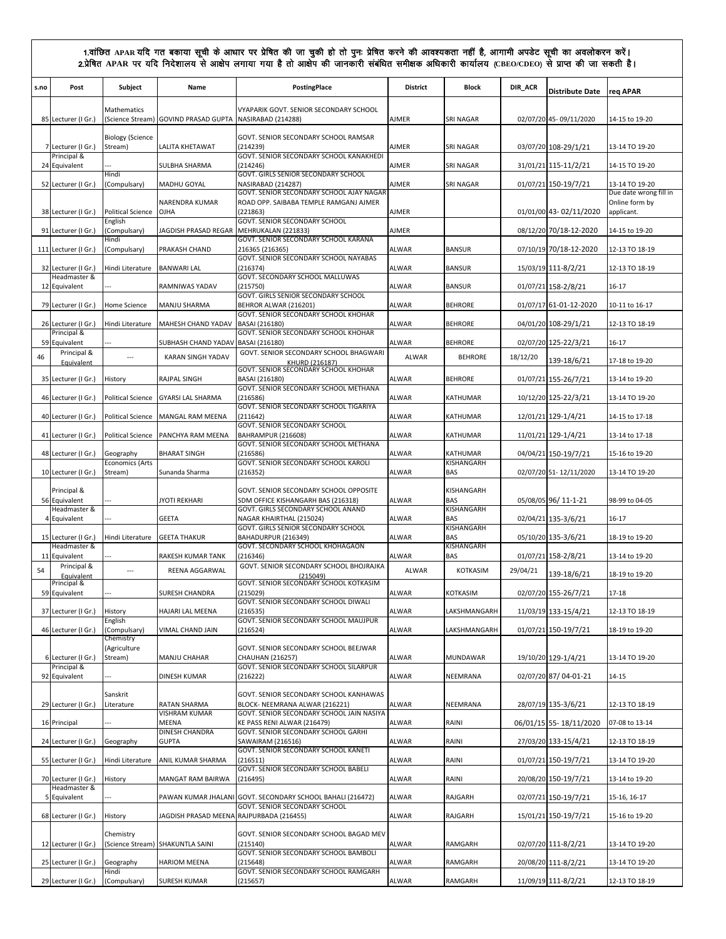| s.no | Post                                | Subject                             | Name                                                    | PostingPlace                                                                                | <b>District</b> | Block                    | DIR_ACR  | <b>Distribute Date</b> | reg APAR                                 |
|------|-------------------------------------|-------------------------------------|---------------------------------------------------------|---------------------------------------------------------------------------------------------|-----------------|--------------------------|----------|------------------------|------------------------------------------|
|      |                                     | Mathematics                         |                                                         | VYAPARIK GOVT. SENIOR SECONDARY SCHOOL                                                      |                 |                          |          |                        |                                          |
|      | 85 Lecturer (I Gr.)                 |                                     | (Science Stream) GOVIND PRASAD GUPTA NASIRABAD (214288) |                                                                                             | <b>AJMER</b>    | SRI NAGAR                |          | 02/07/20 45-09/11/2020 | 14-15 to 19-20                           |
|      | 7 Lecturer (I Gr.)                  | <b>Biology (Science</b><br>Stream)  | <b>LALITA KHETAWAT</b>                                  | GOVT. SENIOR SECONDARY SCHOOL RAMSAR<br>(214239)                                            | <b>AJMER</b>    | SRI NAGAR                |          | 03/07/20 108-29/1/21   | 13-14 TO 19-20                           |
|      | Principal &<br>24 Equivalent        |                                     | SULBHA SHARMA                                           | GOVT. SENIOR SECONDARY SCHOOL KANAKHEDI<br>(214246)                                         | <b>AJMER</b>    | <b>SRI NAGAR</b>         |          | 31/01/21 115-11/2/21   | 14-15 TO 19-20                           |
|      | 52 Lecturer (I Gr.)                 | Hindi<br>(Compulsary)               | MADHU GOYAL                                             | GOVT. GIRLS SENIOR SECONDARY SCHOOL<br>NASIRABAD (214287)                                   | <b>AJMER</b>    | SRI NAGAR                |          | 01/07/21 150-19/7/21   | 13-14 TO 19-20                           |
|      |                                     |                                     | NARENDRA KUMAR                                          | GOVT. SENIOR SECONDARY SCHOOL AJAY NAGAR<br>ROAD OPP. SAIBABA TEMPLE RAMGANJ AJMER          |                 |                          |          |                        | Due date wrong fill in<br>Online form by |
|      | 38 Lecturer (I Gr.)                 | <b>Political Science</b>            | OJHA                                                    | (221863)                                                                                    | <b>AJMER</b>    |                          |          | 01/01/00 43-02/11/2020 | applicant.                               |
|      | 91 Lecturer (I Gr.)                 | English<br>(Compulsary)             | JAGDISH PRASAD REGAR                                    | GOVT. SENIOR SECONDARY SCHOOL<br>MEHRUKALAN (221833)                                        | <b>AJMER</b>    |                          |          | 08/12/20 70/18-12-2020 | 14-15 to 19-20                           |
|      | 111 Lecturer (I Gr.)                | Hindi<br>(Compulsary)               | PRAKASH CHAND                                           | GOVT. SENIOR SECONDARY SCHOOL KARANA<br>216365 (216365)                                     | ALWAR           | <b>BANSUR</b>            |          | 07/10/19 70/18-12-2020 | 12-13 TO 18-19                           |
|      | 32 Lecturer (I Gr.)                 | Hindi Literature                    | <b>BANWARI LAL</b>                                      | GOVT. SENIOR SECONDARY SCHOOL NAYABAS<br>(216374)                                           | ALWAR           | <b>BANSUR</b>            |          | 15/03/19 111-8/2/21    | 12-13 TO 18-19                           |
|      | Headmaster &<br>12 Equivalent       |                                     | RAMNIWAS YADAV                                          | GOVT. SECONDARY SCHOOL MALLUWAS<br>(215750)                                                 | ALWAR           | <b>BANSUR</b>            |          | 01/07/21 158-2/8/21    | 16-17                                    |
|      | 79 Lecturer (I Gr.)                 | Home Science                        | <b>MANJU SHARMA</b>                                     | GOVT. GIRLS SENIOR SECONDARY SCHOOL<br>BEHROR ALWAR (216201)                                | <b>ALWAR</b>    | <b>BEHRORE</b>           |          | 01/07/17 61-01-12-2020 | 10-11 to 16-17                           |
|      | 26 Lecturer (I Gr.)                 | Hindi Literature                    | MAHESH CHAND YADAV                                      | GOVT. SENIOR SECONDARY SCHOOL KHOHAR<br>BASAI (216180)                                      | ALWAR           | <b>BEHRORE</b>           |          | 04/01/20 108-29/1/21   | 12-13 TO 18-19                           |
|      | Principal &<br>59 Equivalent        |                                     | SUBHASH CHAND YADAV BASAI (216180)                      | GOVT. SENIOR SECONDARY SCHOOL KHOHAR                                                        | ALWAR           | <b>BEHRORE</b>           |          | 02/07/20 125-22/3/21   | $16 - 17$                                |
| 46   | Principal &                         | $\overline{a}$                      | <b>KARAN SINGH YADAV</b>                                | GOVT. SENIOR SECONDARY SCHOOL BHAGWARI                                                      | ALWAR           | <b>BEHRORE</b>           | 18/12/20 |                        |                                          |
|      | Equivalent                          |                                     |                                                         | KHURD (216187)<br>GOVT. SENIOR SECONDARY SCHOOL KHOHAR                                      |                 |                          |          | 139-18/6/21            | 17-18 to 19-20                           |
|      | 35 Lecturer (I Gr.)                 | History                             | RAJPAL SINGH                                            | BASAI (216180)<br>GOVT. SENIOR SECONDARY SCHOOL METHANA                                     | <b>ALWAR</b>    | <b>BEHRORE</b>           |          | 01/07/21 155-26/7/21   | 13-14 to 19-20                           |
|      | 46 Lecturer (I Gr.)                 | <b>Political Science</b>            | <b>GYARSI LAL SHARMA</b>                                | (216586)<br>GOVT. SENIOR SECONDARY SCHOOL TIGARIYA                                          | ALWAR           | KATHUMAR                 |          | 10/12/20 125-22/3/21   | 13-14 TO 19-20                           |
|      | 40 Lecturer (I Gr.)                 | <b>Political Science</b>            | MANGAL RAM MEENA                                        | (211642)<br>GOVT. SENIOR SECONDARY SCHOOL                                                   | <b>ALWAR</b>    | KATHUMAR                 |          | 12/01/21 129-1/4/21    | 14-15 to 17-18                           |
|      | 41 Lecturer (I Gr.)                 | <b>Political Science</b>            | PANCHYA RAM MEENA                                       | BAHRAMPUR (216608)<br>GOVT. SENIOR SECONDARY SCHOOL METHANA                                 | ALWAR           | KATHUMAR                 |          | 11/01/21 129-1/4/21    | 13-14 to 17-18                           |
|      | 48 Lecturer (I Gr.)                 | Geography<br><b>Economics (Arts</b> | <b>BHARAT SINGH</b>                                     | (216586)<br>GOVT. SENIOR SECONDARY SCHOOL KAROLI                                            | ALWAR           | KATHUMAR<br>KISHANGARH   |          | 04/04/21 150-19/7/21   | 15-16 to 19-20                           |
|      | 10 Lecturer (I Gr.)                 | Stream)                             | Sunanda Sharma                                          | (216352)                                                                                    | <b>ALWAR</b>    | <b>BAS</b>               |          | 02/07/20 51-12/11/2020 | 13-14 TO 19-20                           |
|      | Principal &                         |                                     |                                                         | GOVT. SENIOR SECONDARY SCHOOL OPPOSITE                                                      |                 | KISHANGARH               |          |                        |                                          |
|      | 56 Equivalent<br>Headmaster &       |                                     | JYOTI REKHARI                                           | SDM OFFICE KISHANGARH BAS (216318)<br>GOVT. GIRLS SECONDARY SCHOOL ANAND                    | ALWAR           | BAS<br>KISHANGARH        |          | 05/08/05 96/11-1-21    | 98-99 to 04-05                           |
|      | 4 Equivalent                        |                                     | <b>GEETA</b>                                            | NAGAR KHAIRTHAL (215024)<br>GOVT. GIRLS SENIOR SECONDARY SCHOOL                             | ALWAR           | <b>BAS</b><br>KISHANGARH |          | 02/04/21 135-3/6/21    | $16 - 17$                                |
|      | 15 Lecturer (I Gr.)<br>Headmaster & | Hindi Literature                    | <b>GEETA THAKUR</b>                                     | BAHADURPUR (216349)<br>GOVT. SECONDARY SCHOOL KHOHAGAON                                     | ALWAR           | <b>BAS</b><br>KISHANGARH |          | 05/10/20 135-3/6/21    | 18-19 to 19-20                           |
|      | 11 Equivalent<br>Principal &        |                                     | RAKESH KUMAR TANK                                       | (216346)<br>GOVT. SENIOR SECONDARY SCHOOL BHOJRAJKA                                         | ALWAR           | BAS                      |          | 01/07/21 158-2/8/21    | 13-14 to 19-20                           |
| 54   | Equivalent<br>Principal &           | $\overline{a}$                      | REENA AGGARWAL                                          | (215049)<br>GOVT. SENIOR SECONDARY SCHOOL KOTKASIM                                          | ALWAR           | KOTKASIM                 | 29/04/21 | 139-18/6/21            | 18-19 to 19-20                           |
|      | 59 Equivalent                       |                                     | SURESH CHANDRA                                          | (215029)<br>GOVT. SENIOR SECONDARY SCHOOL DIWALI                                            | ALWAR           | KOTKASIM                 |          | 02/07/20 155-26/7/21   | 17-18                                    |
|      | 37 Lecturer (I Gr.)                 | History                             | HAJARI LAL MEENA                                        | (216535)<br>GOVT. SENIOR SECONDARY SCHOOL MAUJPUR                                           | ALWAR           | LAKSHMANGARH             |          | 11/03/19 133-15/4/21   | 12-13 TO 18-19                           |
|      | 46 Lecturer (I Gr.)                 | English<br>(Compulsary)             | VIMAL CHAND JAIN                                        | (216524)                                                                                    | ALWAR           | LAKSHMANGARH             |          | 01/07/21 150-19/7/21   | 18-19 to 19-20                           |
|      |                                     | Chemistry<br>(Agriculture           |                                                         | GOVT. SENIOR SECONDARY SCHOOL BEEJWAR                                                       |                 |                          |          |                        |                                          |
|      | 6 Lecturer (I Gr.)<br>Principal &   | Stream)                             | MANJU CHAHAR                                            | <b>CHAUHAN (216257)</b><br>GOVT. SENIOR SECONDARY SCHOOL SILARPUR                           | ALWAR           | MUNDAWAR                 |          | 19/10/20 129-1/4/21    | 13-14 TO 19-20                           |
|      | 92 Equivalent                       |                                     | DINESH KUMAR                                            | (216222)                                                                                    | ALWAR           | NEEMRANA                 |          | 02/07/20 87/ 04-01-21  | 14-15                                    |
|      | 29 Lecturer (I Gr.)                 | Sanskrit<br>Literature              | RATAN SHARMA                                            | GOVT. SENIOR SECONDARY SCHOOL KANHAWAS<br>BLOCK- NEEMRANA ALWAR (216221)                    | ALWAR           | NEEMRANA                 |          | 28/07/19 135-3/6/21    | 12-13 TO 18-19                           |
|      | 16 Principal                        |                                     | <b>VISHRAM KUMAR</b><br>MEENA                           | GOVT. SENIOR SECONDARY SCHOOL JAIN NASIYA<br>KE PASS RENI ALWAR (216479)                    | ALWAR           | RAINI                    |          | 06/01/15 55-18/11/2020 | 07-08 to 13-14                           |
|      | 24 Lecturer (I Gr.)                 | Geography                           | DINESH CHANDRA<br><b>GUPTA</b>                          | GOVT. SENIOR SECONDARY SCHOOL GARHI<br>SAWAIRAM (216516)                                    | ALWAR           | RAINI                    |          | 27/03/20 133-15/4/21   | 12-13 TO 18-19                           |
|      |                                     |                                     |                                                         | GOVT. SENIOR SECONDARY SCHOOL KANETI                                                        |                 |                          |          |                        |                                          |
|      | 55 Lecturer (I Gr.)                 | Hindi Literature                    | ANIL KUMAR SHARMA                                       | (216511)<br>GOVT. SENIOR SECONDARY SCHOOL BABELI                                            | ALWAR           | RAINI                    |          | 01/07/21 150-19/7/21   | 13-14 TO 19-20                           |
|      | 70 Lecturer (I Gr.)<br>Headmaster & | History                             | MANGAT RAM BAIRWA                                       | (216495)                                                                                    | ALWAR           | RAINI                    |          | 20/08/20 150-19/7/21   | 13-14 to 19-20                           |
|      | 5 Equivalent                        |                                     |                                                         | PAWAN KUMAR JHALANI GOVT. SECONDARY SCHOOL BAHALI (216472)<br>GOVT. SENIOR SECONDARY SCHOOL | ALWAR           | RAJGARH                  |          | 02/07/21 150-19/7/21   | 15-16, 16-17                             |
|      | 68 Lecturer (I Gr.)                 | History                             | JAGDISH PRASAD MEENA RAJPURBADA (216455)                |                                                                                             | ALWAR           | RAJGARH                  |          | 15/01/21 150-19/7/21   | 15-16 to 19-20                           |
|      | 12 Lecturer (I Gr.)                 | Chemistry                           | (Science Stream) SHAKUNTLA SAINI                        | GOVT. SENIOR SECONDARY SCHOOL BAGAD MEV<br>(215140)                                         | ALWAR           | RAMGARH                  |          | 02/07/20 111-8/2/21    | 13-14 TO 19-20                           |
|      | 25 Lecturer (I Gr.)                 | Geography                           | <b>HARIOM MEENA</b>                                     | GOVT. SENIOR SECONDARY SCHOOL BAMBOLI<br>(215648)                                           | ALWAR           | RAMGARH                  |          | 20/08/20 111-8/2/21    | 13-14 TO 19-20                           |
|      | 29 Lecturer (I Gr.)                 | Hindi<br>(Compulsary)               | <b>SURESH KUMAR</b>                                     | GOVT. SENIOR SECONDARY SCHOOL RAMGARH<br>(215657)                                           | ALWAR           | RAMGARH                  |          | 11/09/19 111-8/2/21    | 12-13 TO 18-19                           |
|      |                                     |                                     |                                                         |                                                                                             |                 |                          |          |                        |                                          |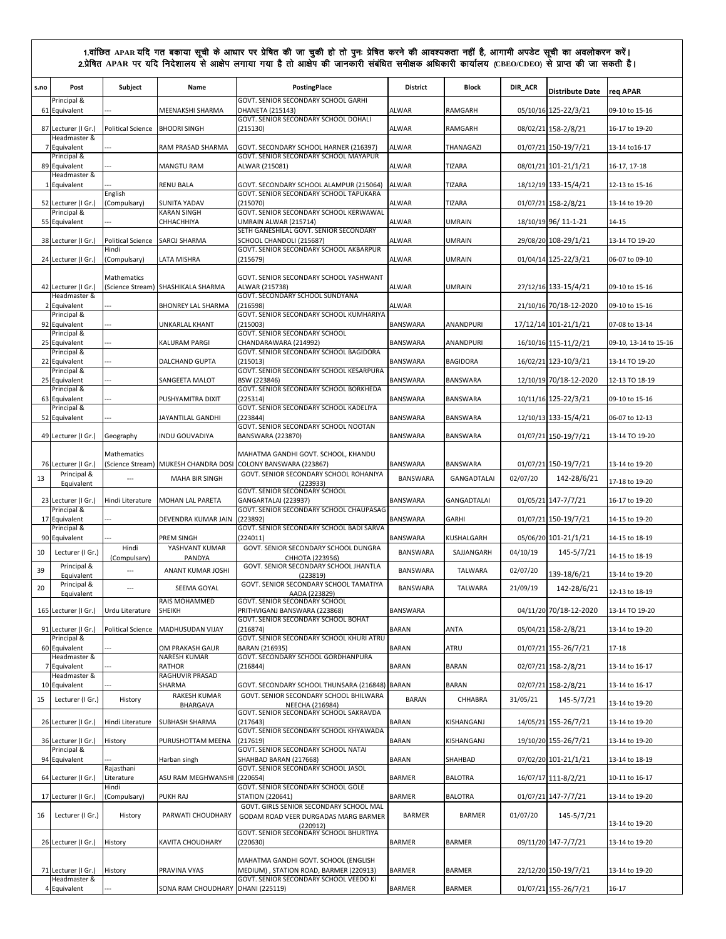| s.no           | Post<br>Principal &                 | Subject                  | Name                                 | <b>PostingPlace</b><br>GOVT. SENIOR SECONDARY SCHOOL GARHI                                           | <b>District</b> | <b>Block</b>       | DIR_ACR  | <b>Distribute Date</b> | reg APAR              |
|----------------|-------------------------------------|--------------------------|--------------------------------------|------------------------------------------------------------------------------------------------------|-----------------|--------------------|----------|------------------------|-----------------------|
|                | 61 Equivalent                       |                          | MEENAKSHI SHARMA                     | <b>DHANETA (215143)</b><br>GOVT. SENIOR SECONDARY SCHOOL DOHALI                                      | <b>ALWAR</b>    | RAMGARH            |          | 05/10/16 125-22/3/21   | 09-10 to 15-16        |
|                | 87 Lecturer (I Gr.)<br>Headmaster & | <b>Political Science</b> | <b>BHOORI SINGH</b>                  | (215130)                                                                                             | <b>ALWAR</b>    | RAMGARH            |          | 08/02/21 158-2/8/21    | 16-17 to 19-20        |
| 7              | Equivalent                          |                          | RAM PRASAD SHARMA                    | GOVT. SECONDARY SCHOOL HARNER (216397)                                                               | <b>ALWAR</b>    | THANAGAZI          |          | 01/07/21 150-19/7/21   | 13-14 to 16-17        |
|                | Principal &<br>89 Equivalent        |                          | <b>MANGTU RAM</b>                    | GOVT. SENIOR SECONDARY SCHOOL MAYAPUR<br>ALWAR (215081)                                              | <b>ALWAR</b>    | <b>TIZARA</b>      |          | 08/01/21 101-21/1/21   | 16-17, 17-18          |
| 1              | Headmaster &<br>Equivalent          |                          | <b>RENU BALA</b>                     | GOVT. SECONDARY SCHOOL ALAMPUR (215064)                                                              | <b>ALWAR</b>    | TIZARA             |          | 18/12/19 133-15/4/21   | 12-13 to 15-16        |
|                | 52 Lecturer (I Gr.)                 | English<br>(Compulsary)  | SUNITA YADAV                         | GOVT. SENIOR SECONDARY SCHOOL TAPUKARA<br>(215070)                                                   | ALWAR           | TIZARA             |          | 01/07/21 158-2/8/21    | 13-14 to 19-20        |
|                | Principal &<br>55 Equivalent        |                          | <b>KARAN SINGH</b><br>СННАСННІҮА     | GOVT. SENIOR SECONDARY SCHOOL KERWAWAL<br>UMRAIN ALWAR (215714)                                      | <b>ALWAR</b>    | <b>UMRAIN</b>      |          | 18/10/19 96/ 11-1-21   | 14-15                 |
|                | 38 Lecturer (I Gr.)                 | <b>Political Science</b> | SAROJ SHARMA                         | SETH GANESHILAL GOVT. SENIOR SECONDARY<br>SCHOOL CHANDOLI (215687)                                   | <b>ALWAR</b>    | <b>UMRAIN</b>      |          | 29/08/20 108-29/1/21   | 13-14 TO 19-20        |
|                | 24 Lecturer (I Gr.)                 | Hindi<br>(Compulsary)    | LATA MISHRA                          | GOVT. SENIOR SECONDARY SCHOOL AKBARPUR<br>(215679)                                                   | <b>ALWAR</b>    | <b>UMRAIN</b>      |          | 01/04/14 125-22/3/21   | 06-07 to 09-10        |
|                |                                     | Mathematics              |                                      | GOVT. SENIOR SECONDARY SCHOOL YASHWANT                                                               |                 |                    |          |                        |                       |
|                | 42 Lecturer (I Gr.)<br>Headmaster & | (Science Stream)         | SHASHIKALA SHARMA                    | ALWAR (215738)<br>GOVT. SECONDARY SCHOOL SUNDYANA                                                    | <b>ALWAR</b>    | <b>UMRAIN</b>      |          | 27/12/16 133-15/4/21   | 09-10 to 15-16        |
| 2              | Equivalent<br>Principal &           |                          | <b>BHONREY LAL SHARMA</b>            | (216598)<br>GOVT. SENIOR SECONDARY SCHOOL KUMHARIYA                                                  | <b>ALWAR</b>    |                    |          | 21/10/16 70/18-12-2020 | 09-10 to 15-16        |
|                | 92 Equivalent<br>Principal &        | ---                      | <b>UNKARLAL KHANT</b>                | (215003)<br>GOVT. SENIOR SECONDARY SCHOOL                                                            | BANSWARA        | ANANDPURI          |          | 17/12/14 101-21/1/21   | 07-08 to 13-14        |
|                | 25 Equivalent<br>Principal &        |                          | KALURAM PARGI                        | CHANDARAWARA (214992)<br>GOVT. SENIOR SECONDARY SCHOOL BAGIDORA                                      | BANSWARA        | ANANDPURI          |          | 16/10/16 115-11/2/21   | 09-10, 13-14 to 15-16 |
|                | 22 Equivalent<br>Principal &        |                          | <b>DALCHAND GUPTA</b>                | (215013)<br>GOVT. SENIOR SECONDARY SCHOOL KESARPURA                                                  | BANSWARA        | <b>BAGIDORA</b>    |          | 16/02/21 123-10/3/21   | 13-14 TO 19-20        |
|                | 25 Equivalent<br>Principal &        |                          | SANGEETA MALOT                       | BSW (223846)<br>GOVT. SENIOR SECONDARY SCHOOL BORKHEDA                                               | BANSWARA        | BANSWARA           |          | 12/10/19 70/18-12-2020 | 12-13 TO 18-19        |
|                | 63 Equivalent<br>Principal &        |                          | PUSHYAMITRA DIXIT                    | (225314)<br>GOVT. SENIOR SECONDARY SCHOOL KADELIYA                                                   | BANSWARA        | BANSWARA           |          | 10/11/16 125-22/3/21   | 09-10 to 15-16        |
|                | 52 Equivalent                       |                          | JAYANTILAL GANDHI                    | (223844)                                                                                             | BANSWARA        | BANSWARA           |          | 12/10/13 133-15/4/21   | 06-07 to 12-13        |
|                | 49 Lecturer (I Gr.)                 | Geography                | INDU GOUVADIYA                       | GOVT. SENIOR SECONDARY SCHOOL NOOTAN<br>BANSWARA (223870)                                            | BANSWARA        | BANSWARA           |          | 01/07/21 150-19/7/21   | 13-14 TO 19-20        |
|                | 76 Lecturer (I Gr.)                 | Mathematics              |                                      | MAHATMA GANDHI GOVT. SCHOOL, KHANDU<br>(Science Stream) MUKESH CHANDRA DOSI COLONY BANSWARA (223867) | <b>BANSWARA</b> | BANSWARA           |          | 01/07/21 150-19/7/21   | 13-14 to 19-20        |
| 13             | Principal &<br>Equivalent           | $\overline{a}$           | <b>MAHA BIR SINGH</b>                | GOVT. SENIOR SECONDARY SCHOOL ROHANIYA<br>(223933)                                                   | BANSWARA        | GANGADTALAI        | 02/07/20 | 142-28/6/21            | 17-18 to 19-20        |
|                | 23 Lecturer (I Gr.)                 | Hindi Literature         | MOHAN LAL PARETA                     | GOVT. SENIOR SECONDARY SCHOOL<br>GANGARTALAI (223937)                                                | BANSWARA        | <b>GANGADTALAI</b> |          | 01/05/21 147-7/7/21    | 16-17 to 19-20        |
|                | Principal &<br>17 Equivalent        |                          | DEVENDRA KUMAR JAIN                  | GOVT. SENIOR SECONDARY SCHOOL CHAUPASAG<br>(223892)                                                  | BANSWARA        | <b>GARHI</b>       |          | 01/07/21 150-19/7/21   | 14-15 to 19-20        |
|                | Principal &<br>90 Equivalent        |                          | PREM SINGH                           | GOVT. SENIOR SECONDARY SCHOOL BADI SARVA<br>(224011)                                                 | BANSWARA        | KUSHALGARH         |          | 05/06/20 101-21/1/21   | 14-15 to 18-19        |
| 10             | Lecturer (I Gr.)                    | Hindi<br>(Compulsary)    | YASHVANT KUMAR<br>PANDYA             | GOVT. SENIOR SECONDARY SCHOOL DUNGRA<br>CHHOTA (223956)                                              | <b>BANSWARA</b> | SAJJANGARH         | 04/10/19 | 145-5/7/21             | 14-15 to 18-19        |
| 39             | Principal &<br>Equivalent           | $\sim$                   | ANANT KUMAR JOSHI                    | GOVT. SENIOR SECONDARY SCHOOL JHANTLA<br>(223819)                                                    | BANSWARA        | <b>TALWARA</b>     | 02/07/20 | 139-18/6/21            | 13-14 to 19-20        |
| 20             | Principal &<br>Equivalent           | $\hspace{0.05cm} \ldots$ | SEEMA GOYAL                          | GOVT. SENIOR SECONDARY SCHOOL TAMATIYA<br>AADA (223829)                                              | BANSWARA        | <b>TALWARA</b>     | 21/09/19 | 142-28/6/21            | 12-13 to 18-19        |
|                | 165 Lecturer (I Gr.)                | Urdu Literature          | RAIS MOHAMMED<br>SHEIKH              | GOVT. SENIOR SECONDARY SCHOOL<br>PRITHVIGANJ BANSWARA (223868)                                       | BANSWARA        |                    |          | 04/11/20 70/18-12-2020 | 13-14 TO 19-20        |
|                | 91 Lecturer (I Gr.)                 | <b>Political Science</b> | MADHUSUDAN VIJAY                     | GOVT. SENIOR SECONDARY SCHOOL BOHAT<br>(216874)                                                      | <b>BARAN</b>    | ANTA               |          | 05/04/21 158-2/8/21    | 13-14 to 19-20        |
|                | Principal &<br>60 Equivalent        |                          | OM PRAKASH GAUR                      | GOVT. SENIOR SECONDARY SCHOOL KHURI ATRU<br>BARAN (216935)                                           | BARAN           | ATRU               |          | 01/07/21 155-26/7/21   | 17-18                 |
| $\overline{7}$ | Headmaster &<br>Equivalent          |                          | <b>NARESH KUMAR</b><br><b>RATHOR</b> | GOVT. SECONDARY SCHOOL GORDHANPURA<br>(216844)                                                       | <b>BARAN</b>    | <b>BARAN</b>       |          | 02/07/21 158-2/8/21    | 13-14 to 16-17        |
|                | Headmaster &<br>10 Equivalent       |                          | RAGHUVIR PRASAD<br>SHARMA            | GOVT. SECONDARY SCHOOL THUNSARA (216848) BARAN                                                       |                 | <b>BARAN</b>       |          | 02/07/21 158-2/8/21    | 13-14 to 16-17        |
| 15             | Lecturer (I Gr.)                    | History                  | RAKESH KUMAR                         | GOVT. SENIOR SECONDARY SCHOOL BHILWARA                                                               | <b>BARAN</b>    | CHHABRA            | 31/05/21 | 145-5/7/21             | 13-14 to 19-20        |
|                | 26 Lecturer (I Gr.)                 | Hindi Literature         | <b>BHARGAVA</b><br>SUBHASH SHARMA    | <b>NEECHA (216984)</b><br>GOVT. SENIOR SECONDARY SCHOOL SAKRAVDA<br>(217643)                         | <b>BARAN</b>    | KISHANGANJ         |          | 14/05/21 155-26/7/21   | 13-14 to 19-20        |
|                | 36 Lecturer (I Gr.)                 | History                  | PURUSHOTTAM MEENA                    | GOVT. SENIOR SECONDARY SCHOOL KHYAWADA<br>(217619)                                                   | BARAN           | KISHANGANJ         |          | 19/10/20 155-26/7/21   | 13-14 to 19-20        |
|                | Principal &<br>94 Equivalent        |                          | Harban singh                         | GOVT. SENIOR SECONDARY SCHOOL NATAI<br>SHAHBAD BARAN (217668)                                        | <b>BARAN</b>    | SHAHBAD            |          | 07/02/20 101-21/1/21   | 13-14 to 18-19        |
|                | 64 Lecturer (I Gr.)                 | Rajasthani<br>Literature | ASU RAM MEGHWANSHI                   | GOVT. SENIOR SECONDARY SCHOOL JASOL<br>(220654)                                                      | <b>BARMER</b>   | <b>BALOTRA</b>     |          |                        | 10-11 to 16-17        |
|                |                                     | Hindi                    |                                      | GOVT. SENIOR SECONDARY SCHOOL GOLE                                                                   |                 |                    |          | 16/07/17 111-8/2/21    |                       |
|                | 17 Lecturer (I Gr.)                 | (Compulsary)             | PUKH RAJ                             | <b>STATION (220641)</b><br>GOVT. GIRLS SENIOR SECONDARY SCHOOL MAL                                   | <b>BARMER</b>   | <b>BALOTRA</b>     |          | 01/07/21 147-7/7/21    | 13-14 to 19-20        |
| 16             | Lecturer (I Gr.)                    | History                  | PARWATI CHOUDHARY                    | GODAM ROAD VEER DURGADAS MARG BARMER<br>(220912)<br>GOVT. SENIOR SECONDARY SCHOOL BHURTIYA           | <b>BARMER</b>   | BARMER             | 01/07/20 | 145-5/7/21             | 13-14 to 19-20        |
|                | 26 Lecturer (I Gr.)                 | History                  | KAVITA CHOUDHARY                     | (220630)                                                                                             | BARMER          | <b>BARMER</b>      |          | 09/11/20 147-7/7/21    | 13-14 to 19-20        |
|                | 71 Lecturer (I Gr.)                 | History                  | PRAVINA VYAS                         | MAHATMA GANDHI GOVT. SCHOOL (ENGLISH<br>MEDIUM), STATION ROAD, BARMER (220913)                       | <b>BARMER</b>   | <b>BARMER</b>      |          | 22/12/20 150-19/7/21   | 13-14 to 19-20        |
|                | Headmaster &<br>4 Equivalent        |                          | SONA RAM CHOUDHARY DHANI (225119)    | GOVT. SENIOR SECONDARY SCHOOL VEEDO KI                                                               | <b>BARMER</b>   | BARMER             |          | 01/07/21 155-26/7/21   | 16-17                 |
|                |                                     |                          |                                      |                                                                                                      |                 |                    |          |                        |                       |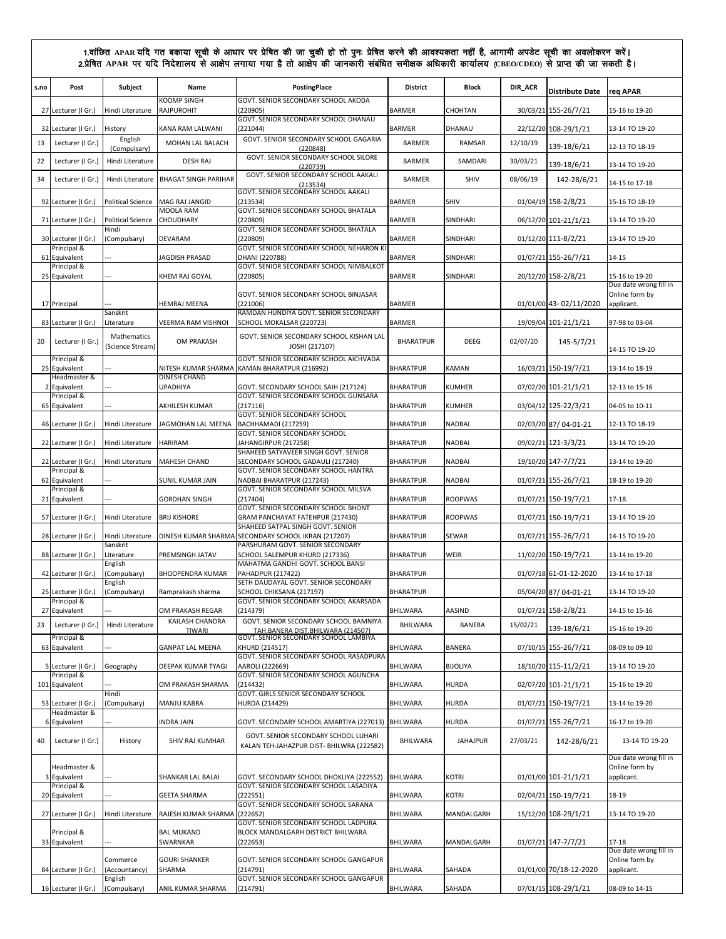| s.no | Post                                | Subject                         | Name                                    | PostingPlace                                                                             | <b>District</b>  | Block           | DIR_ACR  | <b>Distribute Date</b> | req APAR                                 |
|------|-------------------------------------|---------------------------------|-----------------------------------------|------------------------------------------------------------------------------------------|------------------|-----------------|----------|------------------------|------------------------------------------|
|      | 27 Lecturer (I Gr.)                 | Hindi Literature                | <b>KOOMP SINGH</b><br><b>RAJPUROHIT</b> | GOVT. SENIOR SECONDARY SCHOOL AKODA<br>(220905)                                          | <b>BARMER</b>    | CHOHTAN         |          | 30/03/21 155-26/7/21   | 15-16 to 19-20                           |
|      | 32 Lecturer (I Gr.)                 | History                         | KANA RAM LALWANI                        | GOVT. SENIOR SECONDARY SCHOOL DHANAU<br>(221044)                                         | <b>BARMER</b>    | DHANAU          |          | 22/12/20 108-29/1/21   | 13-14 TO 19-20                           |
| 13   | Lecturer (I Gr.)                    | English<br>(Compulsary)         | MOHAN LAL BALACH                        | GOVT. SENIOR SECONDARY SCHOOL GAGARIA<br>(220848)                                        | <b>BARMER</b>    | RAMSAR          | 12/10/19 | 139-18/6/21            | 12-13 TO 18-19                           |
| 22   | Lecturer (I Gr.)                    | Hindi Literature                | <b>DESH RAJ</b>                         | GOVT. SENIOR SECONDARY SCHOOL SILORE<br>(220739)                                         | <b>BARMER</b>    | SAMDARI         | 30/03/21 | 139-18/6/21            | 13-14 TO 19-20                           |
| 34   | Lecturer (I Gr.)                    | Hindi Literature                | <b>BHAGAT SINGH PARIHAR</b>             | GOVT. SENIOR SECONDARY SCHOOL AAKALI<br>(213534)                                         | <b>BARMER</b>    | SHIV            | 08/06/19 | 142-28/6/21            | 14-15 to 17-18                           |
|      | 92 Lecturer (I Gr.)                 | <b>Political Science</b>        | MAG RAJ JANGID                          | GOVT. SENIOR SECONDARY SCHOOL AAKALI<br>(213534)                                         | <b>BARMER</b>    | SHIV            |          | 01/04/19 158-2/8/21    | 15-16 TO 18-19                           |
|      | 71 Lecturer (I Gr.)                 | <b>Political Science</b>        | <b>MOOLA RAM</b><br>CHOUDHARY           | GOVT. SENIOR SECONDARY SCHOOL BHATALA<br>(220809)                                        | <b>BARMER</b>    | SINDHARI        |          | 06/12/20 101-21/1/21   | 13-14 TO 19-20                           |
|      | 30 Lecturer (I Gr.)                 | Hindi<br>(Compulsary)           | DEVARAM                                 | GOVT. SENIOR SECONDARY SCHOOL BHATALA<br>(220809)                                        | <b>BARMER</b>    | SINDHARI        |          | 01/12/20 111-8/2/21    | 13-14 TO 19-20                           |
|      | Principal &<br>61 Equivalent        |                                 | JAGDISH PRASAD                          | GOVT. SENIOR SECONDARY SCHOOL NEHARON KI<br>DHANI (220788)                               | <b>BARMER</b>    | SINDHARI        |          | 01/07/21 155-26/7/21   | 14-15                                    |
|      | Principal &<br>25 Equivalent        |                                 | KHEM RAJ GOYAL                          | GOVT. SENIOR SECONDARY SCHOOL NIMBALKOT<br>(220805)                                      | <b>BARMER</b>    | SINDHARI        |          | 20/12/20 158-2/8/21    | 15-16 to 19-20                           |
|      |                                     |                                 |                                         | GOVT. SENIOR SECONDARY SCHOOL BINJASAR                                                   |                  |                 |          |                        | Due date wrong fill in<br>Online form by |
|      | 17 Principal                        | Sanskrit                        | <b>HEMRAJ MEENA</b>                     | (221006)<br>RAMDAN HUNDIYA GOVT. SENIOR SECONDARY                                        | <b>BARMER</b>    |                 |          | 01/01/00 43-02/11/2020 | applicant.                               |
|      | 83 Lecturer (I Gr.)                 | Literature                      | VEERMA RAM VISHNOI                      | SCHOOL MOKALSAR (220723)                                                                 | <b>BARMER</b>    |                 |          | 19/09/04 101-21/1/21   | 97-98 to 03-04                           |
| 20   | Lecturer (I Gr.)                    | Mathematics<br>(Science Stream) | OM PRAKASH                              | GOVT. SENIOR SECONDARY SCHOOL KISHAN LAL<br>JOSHI (217107)                               | <b>BHARATPUR</b> | <b>DEEG</b>     | 02/07/20 | 145-5/7/21             | 14-15 TO 19-20                           |
|      | Principal &<br>25 Equivalent        |                                 |                                         | GOVT. SENIOR SECONDARY SCHOOL AICHVADA<br>NITESH KUMAR SHARMA KAMAN BHARATPUR (216992)   | <b>BHARATPUR</b> | <b>KAMAN</b>    |          | 16/03/21 150-19/7/21   | 13-14 to 18-19                           |
|      | Headmaster &<br>2 Equivalent        |                                 | DINESH CHAND<br><b>UPADHIYA</b>         | GOVT. SECONDARY SCHOOL SAIH (217124)                                                     | <b>BHARATPUR</b> | <b>KUMHER</b>   |          | 07/02/20 101-21/1/21   | 12-13 to 15-16                           |
|      | Principal &<br>65 Equivalent        |                                 | AKHILESH KUMAR                          | GOVT. SENIOR SECONDARY SCHOOL GUNSARA<br>(217116)                                        | <b>BHARATPUR</b> | <b>KUMHER</b>   |          | 03/04/12 125-22/3/21   | 04-05 to 10-11                           |
|      | 46 Lecturer (I Gr.)                 | Hindi Literature                | JAGMOHAN LAL MEENA                      | <b>GOVT. SENIOR SECONDARY SCHOOL</b><br>BACHHAMADI (217259)                              | <b>BHARATPUR</b> | <b>NADBAI</b>   |          | 02/03/20 87/04-01-21   | 12-13 TO 18-19                           |
|      | 22 Lecturer (I Gr.)                 | Hindi Literature                | <b>HARIRAM</b>                          | GOVT. SENIOR SECONDARY SCHOOL<br>JAHANGIRPUR (217258)                                    | <b>BHARATPUR</b> | <b>NADBAI</b>   |          | 09/02/21 121-3/3/21    | 13-14 TO 19-20                           |
|      | 22 Lecturer (I Gr.)                 | Hindi Literature                | <b>MAHESH CHAND</b>                     | SHAHEED SATYAVEER SINGH GOVT. SENIOR<br>SECONDARY SCHOOL GADAULI (217240)                | <b>BHARATPUR</b> | <b>NADBAI</b>   |          | 19/10/20 147-7/7/21    | 13-14 to 19-20                           |
|      | Principal &<br>62 Equivalent        |                                 | SUNIL KUMAR JAIN                        | GOVT. SENIOR SECONDARY SCHOOL HANTRA<br>NADBAI BHARATPUR (217243)                        | <b>BHARATPUR</b> | <b>NADBAI</b>   |          | 01/07/21 155-26/7/21   | 18-19 to 19-20                           |
|      | Principal &<br>21 Equivalent        |                                 | <b>GORDHAN SINGH</b>                    | GOVT. SENIOR SECONDARY SCHOOL MILSVA<br>(217404)                                         | <b>BHARATPUR</b> | <b>ROOPWAS</b>  |          | 01/07/21 150-19/7/21   | 17-18                                    |
|      | 57 Lecturer (I Gr.)                 | Hindi Literature                | <b>BRIJ KISHORE</b>                     | GOVT. SENIOR SECONDARY SCHOOL BHONT<br>GRAM PANCHAYAT FATEHPUR (217430)                  | <b>BHARATPUR</b> | <b>ROOPWAS</b>  |          | 01/07/21 150-19/7/21   | 13-14 TO 19-20                           |
|      | 28 Lecturer (I Gr.)                 | Hindi Literature                |                                         | SHAHEED SATPAL SINGH GOVT. SENIOR<br>DINESH KUMAR SHARMA SECONDARY SCHOOL IKRAN (217207) | <b>BHARATPUR</b> | <b>SEWAR</b>    |          | 01/07/21 155-26/7/21   | 14-15 TO 19-20                           |
|      | 88 Lecturer (I Gr.)                 | Sanskrit<br>Literature          | PREMSINGH JATAV                         | PARSHURAM GOVT. SENIOR SECONDARY<br>SCHOOL SALEMPUR KHURD (217336)                       | <b>BHARATPUR</b> | <b>WEIR</b>     |          | 11/02/20 150-19/7/21   | 13-14 to 19-20                           |
|      | 42 Lecturer (I Gr.)                 | English<br>(Compulsary)         | <b>BHOOPENDRA KUMAR</b>                 | MAHATMA GANDHI GOVT. SCHOOL BANSI<br><b>PAHADPUR (217422)</b>                            | <b>BHARATPUR</b> |                 |          | 01/07/18 61-01-12-2020 | 13-14 to 17-18                           |
|      | 25 Lecturer (I Gr.)                 | English<br>(Compulsary)         | Ramprakash sharma                       | SETH DAUDAYAL GOVT. SENIOR SECONDARY<br>SCHOOL CHIKSANA (217197)                         | <b>BHARATPUR</b> |                 |          | 05/04/20 87/04-01-21   | 13-14 TO 19-20                           |
|      | Principal &<br>27 Equivalent        |                                 | OM PRAKASH REGAR                        | GOVT. SENIOR SECONDARY SCHOOL AKARSADA<br>(214379)                                       | <b>BHILWARA</b>  | AASIND          |          | 01/07/21 158-2/8/21    | 14-15 to 15-16                           |
| 23   | Lecturer (I Gr.)                    | Hindi Literature                | KAILASH CHANDRA                         | GOVT. SENIOR SECONDARY SCHOOL BAMNIYA                                                    | <b>BHILWARA</b>  | <b>BANERA</b>   | 15/02/21 |                        |                                          |
|      | Principal &                         |                                 | TIWARI                                  | TAH.BANERA DIST.BHILWARA (214507)<br>GOVT. SENIOR SECONDARY SCHOOL LAMBIYA               |                  |                 |          | 139-18/6/21            | 15-16 to 19-20                           |
|      | 63 Equivalent                       |                                 | <b>GANPAT LAL MEENA</b>                 | KHURD (214517)<br>GOVT. SENIOR SECONDARY SCHOOL RASADPURA                                | BHILWARA         | <b>BANERA</b>   |          | 07/10/15 155-26/7/21   | 08-09 to 09-10                           |
|      | 5 Lecturer (I Gr.)<br>Principal &   | Geography                       | DEEPAK KUMAR TYAGI                      | AAROLI (222669)<br>GOVT. SENIOR SECONDARY SCHOOL AGUNCHA                                 | BHILWARA         | <b>BIJOLIYA</b> |          | 18/10/20 115-11/2/21   | 13-14 TO 19-20                           |
|      | 101 Equivalent                      | Hindi                           | OM PRAKASH SHARMA                       | (214432)<br>GOVT. GIRLS SENIOR SECONDARY SCHOOL                                          | BHILWARA         | <b>HURDA</b>    |          | 02/07/20 101-21/1/21   | 15-16 to 19-20                           |
|      | 53 Lecturer (I Gr.)<br>Headmaster & | (Compulsary)                    | MANJU KABRA                             | HURDA (214429)                                                                           | BHILWARA         | <b>HURDA</b>    |          | 01/07/21 150-19/7/21   | 13-14 to 19-20                           |
|      | 6 Equivalent                        |                                 | <b>INDRA JAIN</b>                       | GOVT. SECONDARY SCHOOL AMARTIYA (227013) BHILWARA                                        |                  | <b>HURDA</b>    |          | 01/07/21 155-26/7/21   | 16-17 to 19-20                           |
| 40   | Lecturer (I Gr.)                    | History                         | SHIV RAJ KUMHAR                         | GOVT. SENIOR SECONDARY SCHOOL LUHARI<br>KALAN TEH-JAHAZPUR DIST- BHILWRA (222582)        | BHILWARA         | <b>JAHAJPUR</b> | 27/03/21 | 142-28/6/21            | 13-14 TO 19-20<br>Due date wrong fill in |
|      | Headmaster &<br>3 Equivalent        |                                 | SHANKAR LAL BALAI                       | GOVT. SECONDARY SCHOOL DHOKLIYA (222552)<br>GOVT. SENIOR SECONDARY SCHOOL LASADIYA       | <b>BHILWARA</b>  | KOTRI           |          | 01/01/00 101-21/1/21   | Online form by<br>applicant.             |
|      | Principal &<br>20 Equivalent        |                                 | <b>GEETA SHARMA</b>                     | (222551)                                                                                 | BHILWARA         | KOTRI           |          | 02/04/21 150-19/7/21   | 18-19                                    |
|      | 27 Lecturer (I Gr.)                 | Hindi Literature                | RAJESH KUMAR SHARMA                     | GOVT. SENIOR SECONDARY SCHOOL SARANA<br>(222652)                                         | BHILWARA         | MANDALGARH      |          | 15/12/20 108-29/1/21   | 13-14 TO 19-20                           |
|      | Principal &<br>33 Equivalent        |                                 | <b>BAL MUKAND</b><br>SWARNKAR           | GOVT. SENIOR SECONDARY SCHOOL LADPURA<br>BLOCK MANDALGARH DISTRICT BHILWARA<br>(222653)  | BHILWARA         | MANDALGARH      |          | 01/07/21 147-7/7/21    | $17 - 18$                                |
|      |                                     | Commerce                        | <b>GOURI SHANKER</b>                    | GOVT. SENIOR SECONDARY SCHOOL GANGAPUR                                                   |                  |                 |          |                        | Due date wrong fill in<br>Online form by |
|      | 84 Lecturer (I Gr.)                 | Accountancy)<br>English         | SHARMA                                  | (214791)<br>GOVT. SENIOR SECONDARY SCHOOL GANGAPUR                                       | BHILWARA         | SAHADA          |          | 01/01/00 70/18-12-2020 | applicant.                               |
|      | 16 Lecturer (I Gr.)                 | (Compulsary)                    | ANIL KUMAR SHARMA                       | (214791)                                                                                 | BHILWARA         | SAHADA          |          | 07/01/15 108-29/1/21   | 08-09 to 14-15                           |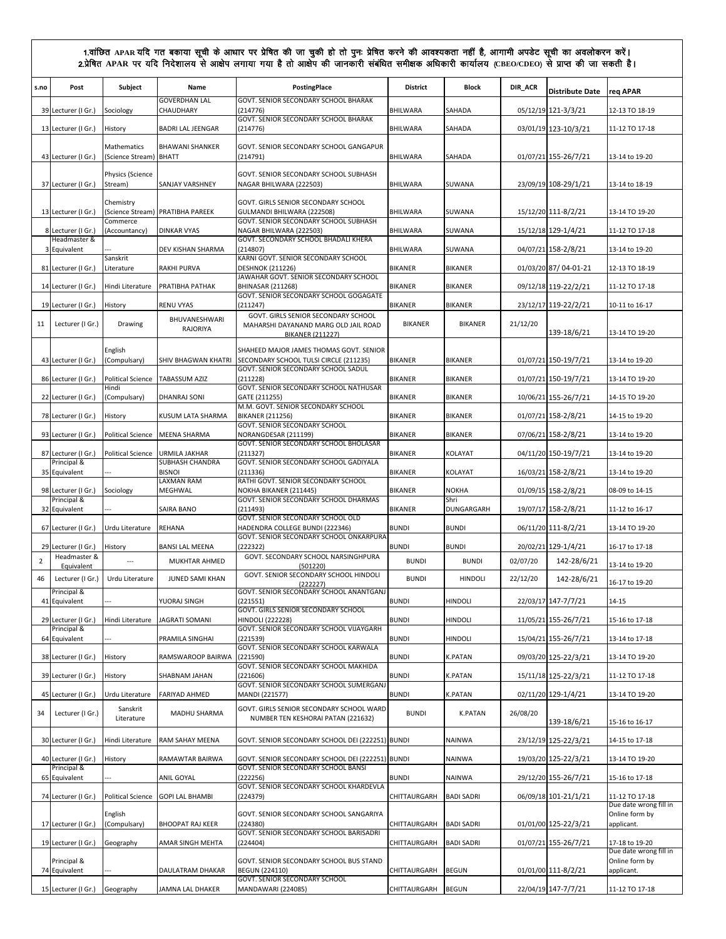| s.no           | Post                           | Subject                           | Name                                   | <b>PostingPlace</b>                                                                                    | <b>District</b> | <b>Block</b>       | DIR_ACR  | <b>Distribute Date</b> | reg APAR                                               |
|----------------|--------------------------------|-----------------------------------|----------------------------------------|--------------------------------------------------------------------------------------------------------|-----------------|--------------------|----------|------------------------|--------------------------------------------------------|
|                | 39 Lecturer (I Gr.)            | Sociology                         | <b>GOVERDHAN LAL</b><br>CHAUDHARY      | GOVT. SENIOR SECONDARY SCHOOL BHARAK<br>(214776)                                                       | <b>BHILWARA</b> | SAHADA             |          | 05/12/19 121-3/3/21    | 12-13 TO 18-19                                         |
|                | 13 Lecturer (I Gr.)            | History                           | <b>BADRI LAL JEENGAR</b>               | GOVT. SENIOR SECONDARY SCHOOL BHARAK<br>(214776)                                                       | BHILWARA        | SAHADA             |          | 03/01/19 123-10/3/21   | 11-12 TO 17-18                                         |
|                | 43 Lecturer (I Gr.)            | Mathematics<br>(Science Stream)   | <b>BHAWANI SHANKER</b><br><b>BHATT</b> | GOVT. SENIOR SECONDARY SCHOOL GANGAPUR<br>(214791)                                                     | <b>BHILWARA</b> | SAHADA             |          | 01/07/21 155-26/7/21   | 13-14 to 19-20                                         |
|                | 37 Lecturer (I Gr.)            | Physics (Science<br>Stream)       | <b>SANJAY VARSHNEY</b>                 | GOVT. SENIOR SECONDARY SCHOOL SUBHASH<br>NAGAR BHILWARA (222503)                                       | <b>BHILWARA</b> | SUWANA             |          | 23/09/19 108-29/1/21   | 13-14 to 18-19                                         |
|                | 13 Lecturer (I Gr.)            | Chemistry                         | (Science Stream) PRATIBHA PAREEK       | GOVT. GIRLS SENIOR SECONDARY SCHOOL<br>GULMANDI BHILWARA (222508)                                      | BHILWARA        | SUWANA             |          | 15/12/20 111-8/2/21    | 13-14 TO 19-20                                         |
|                | 8 Lecturer (I Gr.)             | Commerce<br>(Accountancy)         | <b>DINKAR VYAS</b>                     | GOVT. SENIOR SECONDARY SCHOOL SUBHASH<br>NAGAR BHILWARA (222503)                                       | <b>BHILWARA</b> | SUWANA             |          | 15/12/18 129-1/4/21    | 11-12 TO 17-18                                         |
|                | Headmaster &<br>3 Equivalent   |                                   | DEV KISHAN SHARMA                      | GOVT. SECONDARY SCHOOL BHADALI KHERA<br>(214807)                                                       | <b>BHILWARA</b> | SUWANA             |          | 04/07/21 158-2/8/21    | 13-14 to 19-20                                         |
|                | 81 Lecturer (I Gr.)            | Sanskrit<br>Literature            | <b>RAKHI PURVA</b>                     | KARNI GOVT. SENIOR SECONDARY SCHOOL<br><b>DESHNOK (211226)</b>                                         | <b>BIKANER</b>  | <b>BIKANER</b>     |          | 01/03/20 87/ 04-01-21  | 12-13 TO 18-19                                         |
|                | 14 Lecturer (I Gr.)            | Hindi Literature                  | PRATIBHA PATHAK                        | JAWAHAR GOVT. SENIOR SECONDARY SCHOOL<br><b>BHINASAR (211268)</b>                                      | <b>BIKANER</b>  | <b>BIKANER</b>     |          | 09/12/18 119-22/2/21   | 11-12 TO 17-18                                         |
|                | 19 Lecturer (I Gr.)            | History                           | <b>RENU VYAS</b>                       | GOVT. SENIOR SECONDARY SCHOOL GOGAGATE<br>(211247)                                                     | <b>BIKANER</b>  | <b>BIKANER</b>     |          | 23/12/17 119-22/2/21   | 10-11 to 16-17                                         |
| 11             | Lecturer (I Gr.)               | Drawing                           | BHUVANESHWARI<br>RAJORIYA              | GOVT. GIRLS SENIOR SECONDARY SCHOOL<br>MAHARSHI DAYANAND MARG OLD JAIL ROAD<br><b>BIKANER (211227)</b> | <b>BIKANER</b>  | <b>BIKANER</b>     | 21/12/20 | 139-18/6/21            | 13-14 TO 19-20                                         |
|                | 43 Lecturer (I Gr.)            | English<br>(Compulsary)           | SHIV BHAGWAN KHATRI                    | SHAHEED MAJOR JAMES THOMAS GOVT. SENIOR<br>SECONDARY SCHOOL TULSI CIRCLE (211235)                      | <b>BIKANER</b>  | <b>BIKANER</b>     |          | 01/07/21 150-19/7/21   | 13-14 to 19-20                                         |
|                | 86 Lecturer (I Gr.)            | Political Science   TABASSUM AZIZ |                                        | GOVT. SENIOR SECONDARY SCHOOL SADUL<br>(211228)                                                        | <b>BIKANER</b>  | <b>BIKANER</b>     |          | 01/07/21 150-19/7/21   | 13-14 TO 19-20                                         |
|                | 22 Lecturer (I Gr.)            | Hindi<br>(Compulsary)             | DHANRAJ SONI                           | GOVT. SENIOR SECONDARY SCHOOL NATHUSAR<br>GATE (211255)                                                | <b>BIKANER</b>  | <b>BIKANER</b>     |          | 10/06/21 155-26/7/21   | 14-15 TO 19-20                                         |
|                | 78 Lecturer (I Gr.)            | History                           | KUSUM LATA SHARMA                      | M.M. GOVT. SENIOR SECONDARY SCHOOL<br><b>BIKANER (211256)</b>                                          | <b>BIKANER</b>  | <b>BIKANER</b>     |          | 01/07/21 158-2/8/21    | 14-15 to 19-20                                         |
|                | 93 Lecturer (I Gr.)            | <b>Political Science</b>          | <b>MEENA SHARMA</b>                    | GOVT. SENIOR SECONDARY SCHOOL<br>NORANGDESAR (211199)                                                  | <b>BIKANER</b>  | <b>BIKANER</b>     |          | 07/06/21 158-2/8/21    | 13-14 to 19-20                                         |
|                | 87 Lecturer (I Gr.)            | <b>Political Science</b>          | URMILA JAKHAR                          | GOVT. SENIOR SECONDARY SCHOOL BHOLASAR<br>(211327)                                                     | <b>BIKANER</b>  | KOLAYAT            |          | 04/11/20 150-19/7/21   | 13-14 to 19-20                                         |
|                | Principal &<br>35 Equivalent   |                                   | SUBHASH CHANDRA<br><b>BISNOI</b>       | GOVT. SENIOR SECONDARY SCHOOL GADIYALA<br>(211336)                                                     | <b>BIKANER</b>  | KOLAYAT            |          | 16/03/21 158-2/8/21    | 13-14 to 19-20                                         |
|                | 98 Lecturer (I Gr.)            | Sociology                         | LAXMAN RAM<br>MEGHWAL                  | RATHI GOVT. SENIOR SECONDARY SCHOOL<br>NOKHA BIKANER (211445)                                          | <b>BIKANER</b>  | <b>NOKHA</b>       |          | 01/09/15 158-2/8/21    | 08-09 to 14-15                                         |
|                | Principal &<br>32 Equivalent   |                                   | SAIRA BANO                             | GOVT. SENIOR SECONDARY SCHOOL DHARMAS<br>(211493)                                                      | <b>BIKANER</b>  | Shri<br>DUNGARGARH |          | 19/07/17 158-2/8/21    | 11-12 to 16-17                                         |
|                | 67 Lecturer (I Gr.)            | Urdu Literature                   | REHANA                                 | GOVT. SENIOR SECONDARY SCHOOL OLD<br>HADENDRA COLLEGE BUNDI (222346)                                   | <b>BUNDI</b>    | <b>BUNDI</b>       |          | 06/11/20 111-8/2/21    | 13-14 TO 19-20                                         |
|                | 29 Lecturer (I Gr.)            | History                           | <b>BANSI LAL MEENA</b>                 | GOVT. SENIOR SECONDARY SCHOOL ONKARPURA<br>(222322)                                                    | <b>BUNDI</b>    | <b>BUNDI</b>       |          | 20/02/21 129-1/4/21    | 16-17 to 17-18                                         |
| $\overline{2}$ | Headmaster &                   | $\overline{\phantom{a}}$          | MUKHTAR AHMED                          | GOVT. SECONDARY SCHOOL NARSINGHPURA                                                                    | <b>BUNDI</b>    | <b>BUNDI</b>       | 02/07/20 | 142-28/6/21            |                                                        |
| 46             | Equivalent<br>Lecturer (I Gr.) | Urdu Literature                   | JUNED SAMI KHAN                        | (501220)<br>GOVT. SENIOR SECONDARY SCHOOL HINDOLI<br>222227                                            | <b>BUNDI</b>    | <b>HINDOLI</b>     | 22/12/20 | 142-28/6/21            | 13-14 to 19-20<br>16-17 to 19-20                       |
|                | Principal &<br>41 Equivalent   |                                   | YUORAJ SINGH                           | GOVT. SENIOR SECONDARY SCHOOL ANANTGANJ<br>(221551)                                                    | <b>BUNDI</b>    | <b>HINDOLI</b>     |          | 22/03/17 147-7/7/21    | $14 - 15$                                              |
|                | 29 Lecturer (I Gr.)            | Hindi Literature                  | <b>JAGRATI SOMANI</b>                  | GOVT. GIRLS SENIOR SECONDARY SCHOOL<br><b>HINDOLI (222228)</b>                                         | <b>BUNDI</b>    | <b>HINDOLI</b>     |          | 11/05/21 155-26/7/21   | 15-16 to 17-18                                         |
|                | Principal &<br>64 Equivalent   |                                   | PRAMILA SINGHAI                        | GOVT. SENIOR SECONDARY SCHOOL VIJAYGARH<br>(221539)                                                    | <b>BUNDI</b>    | <b>HINDOLI</b>     |          | 15/04/21 155-26/7/21   | 13-14 to 17-18                                         |
|                | 38 Lecturer (I Gr.)            | History                           | RAMSWAROOP BAIRWA                      | GOVT. SENIOR SECONDARY SCHOOL KARWALA<br>(221590)                                                      | <b>BUNDI</b>    | K.PATAN            |          | 09/03/20 125-22/3/21   | 13-14 TO 19-20                                         |
|                | 39 Lecturer (I Gr.)            | History                           | SHABNAM JAHAN                          | GOVT. SENIOR SECONDARY SCHOOL MAKHIDA<br>(221606)                                                      | <b>BUNDI</b>    | <b>K.PATAN</b>     |          | 15/11/18 125-22/3/21   | 11-12 TO 17-18                                         |
|                | 45 Lecturer (I Gr.)            | Urdu Literature                   | FARIYAD AHMED                          | GOVT. SENIOR SECONDARY SCHOOL SUMERGANJ<br>MANDI (221577)                                              | <b>BUNDI</b>    | K.PATAN            |          | 02/11/20 129-1/4/21    | 13-14 TO 19-20                                         |
| 34             | Lecturer (I Gr.)               | Sanskrit<br>Literature            | MADHU SHARMA                           | GOVT. GIRLS SENIOR SECONDARY SCHOOL WARD<br>NUMBER TEN KESHORAI PATAN (221632)                         | <b>BUNDI</b>    | <b>K.PATAN</b>     | 26/08/20 | 139-18/6/21            | 15-16 to 16-17                                         |
|                | 30 Lecturer (I Gr.)            | Hindi Literature                  | RAM SAHAY MEENA                        | GOVT. SENIOR SECONDARY SCHOOL DEI (222251) BUNDI                                                       |                 | <b>NAINWA</b>      |          | 23/12/19 125-22/3/21   | 14-15 to 17-18                                         |
|                | 40 Lecturer (I Gr.)            | History                           | RAMAWTAR BAIRWA                        | GOVT. SENIOR SECONDARY SCHOOL DEI (222251) BUNDI                                                       |                 | NAINWA             |          | 19/03/20 125-22/3/21   | 13-14 TO 19-20                                         |
|                | Principal &<br>65 Equivalent   |                                   | ANIL GOYAL                             | GOVT. SENIOR SECONDARY SCHOOL BANSI<br>(222256)                                                        | <b>BUNDI</b>    | <b>NAINWA</b>      |          | 29/12/20 155-26/7/21   | 15-16 to 17-18                                         |
|                | 74 Lecturer (I Gr.)            | <b>Political Science</b>          | <b>GOPI LAL BHAMBI</b>                 | GOVT. SENIOR SECONDARY SCHOOL KHARDEVLA<br>(224379)                                                    | CHITTAURGARH    | <b>BADI SADRI</b>  |          | 06/09/18 101-21/1/21   | 11-12 TO 17-18                                         |
|                | 17 Lecturer (I Gr.)            | English<br>(Compulsary)           | <b>BHOOPAT RAJ KEER</b>                | GOVT. SENIOR SECONDARY SCHOOL SANGARIYA<br>(224380)                                                    | CHITTAURGARH    | <b>BADI SADRI</b>  |          | 01/01/00 125-22/3/21   | Due date wrong fill in<br>Online form by<br>applicant. |
|                | 19 Lecturer (I Gr.)            | Geography                         | AMAR SINGH MEHTA                       | GOVT. SENIOR SECONDARY SCHOOL BARISADRI<br>(224404)                                                    | CHITTAURGARH    | <b>BADI SADRI</b>  |          | 01/07/21 155-26/7/21   | 17-18 to 19-20                                         |
|                | Principal &<br>74 Equivalent   |                                   | DAULATRAM DHAKAR                       | GOVT. SENIOR SECONDARY SCHOOL BUS STAND<br>BEGUN (224110)                                              | CHITTAURGARH    | <b>BEGUN</b>       |          | 01/01/00 111-8/2/21    | Due date wrong fill in<br>Online form by<br>applicant. |
|                | 15 Lecturer (I Gr.)            | Geography                         | JAMNA LAL DHAKER                       | GOVT. SENIOR SECONDARY SCHOOL<br>MANDAWARI (224085)                                                    | CHITTAURGARH    | <b>BEGUN</b>       |          | 22/04/19 147-7/7/21    | 11-12 TO 17-18                                         |
|                |                                |                                   |                                        |                                                                                                        |                 |                    |          |                        |                                                        |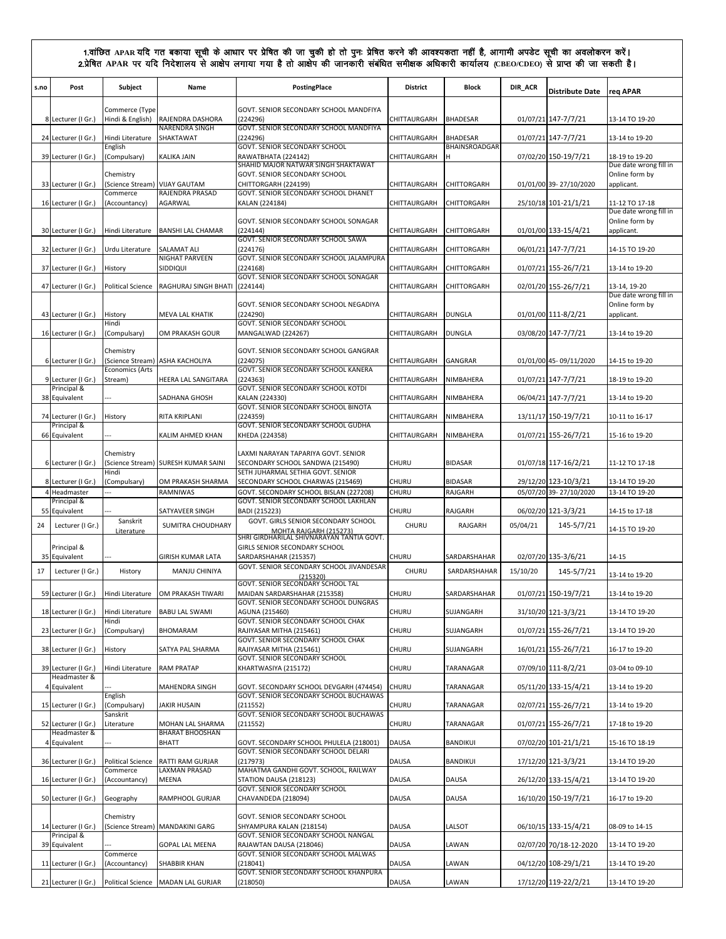| s.no | Post                                | Subject                           | Name                                   | PostingPlace                                                                                               | <b>District</b> | Block                            | DIR_ACR  | <b>Distribute Date</b>            | reg APAR                                 |
|------|-------------------------------------|-----------------------------------|----------------------------------------|------------------------------------------------------------------------------------------------------------|-----------------|----------------------------------|----------|-----------------------------------|------------------------------------------|
|      |                                     | Commerce (Type                    |                                        | GOVT. SENIOR SECONDARY SCHOOL MANDFIYA                                                                     |                 |                                  |          |                                   |                                          |
|      | 8 Lecturer (I Gr.)                  | Hindi & English)                  | RAJENDRA DASHORA<br>NARENDRA SINGH     | (224296)<br>GOVT. SENIOR SECONDARY SCHOOL MANDFIYA                                                         | CHITTAURGARH    | <b>BHADESAR</b>                  |          | 01/07/21 147-7/7/21               | 13-14 TO 19-20                           |
|      | 24 Lecturer (I Gr.)                 | Hindi Literature<br>English       | SHAKTAWAT                              | (224296)<br>GOVT. SENIOR SECONDARY SCHOOL                                                                  | CHITTAURGARH    | <b>BHADESAR</b><br>BHAINSROADGAR |          | 01/07/21 147-7/7/21               | 13-14 to 19-20                           |
|      | 39 Lecturer (I Gr.)                 | (Compulsary)                      | KALIKA JAIN                            | RAWATBHATA (224142)                                                                                        | CHITTAURGARH    |                                  |          | 07/02/20 150-19/7/21              | 18-19 to 19-20                           |
|      |                                     | Chemistry                         |                                        | SHAHID MAJOR NATWAR SINGH SHAKTAWAT<br>GOVT. SENIOR SECONDARY SCHOOL                                       |                 |                                  |          |                                   | Due date wrong fill in<br>Online form by |
|      | 33 Lecturer (I Gr.)                 | (Science Stream)<br>Commerce      | <b>VIJAY GAUTAM</b><br>RAJENDRA PRASAD | CHITTORGARH (224199)<br>GOVT. SENIOR SECONDARY SCHOOL DHANET                                               | CHITTAURGARH    | CHITTORGARH                      |          | 01/01/00 39-27/10/2020            | applicant.                               |
|      | 16 Lecturer (I Gr.)                 | (Accountancy)                     | AGARWAL                                | KALAN (224184)                                                                                             | CHITTAURGARH    | CHITTORGARH                      |          | 25/10/18 101-21/1/21              | 11-12 TO 17-18<br>Due date wrong fill in |
|      | 30 Lecturer (I Gr.)                 | Hindi Literature                  | <b>BANSHI LAL CHAMAR</b>               | GOVT. SENIOR SECONDARY SCHOOL SONAGAR<br>(224144)                                                          | CHITTAURGARH    | CHITTORGARH                      |          | 01/01/00 133-15/4/21              | Online form by<br>applicant.             |
|      |                                     | Urdu Literature                   | SALAMAT ALI                            | GOVT. SENIOR SECONDARY SCHOOL SAWA<br>(224176)                                                             |                 | CHITTORGARH                      |          |                                   | 14-15 TO 19-20                           |
|      | 32 Lecturer (I Gr.)                 |                                   | NIGHAT PARVEEN                         | GOVT. SENIOR SECONDARY SCHOOL JALAMPURA                                                                    | CHITTAURGARH    |                                  |          | 06/01/21 147-7/7/21               |                                          |
|      | 37 Lecturer (I Gr.)                 | History                           | SIDDIQUI                               | (224168)<br>GOVT. SENIOR SECONDARY SCHOOL SONAGAR                                                          | CHITTAURGARH    | CHITTORGARH                      |          | 01/07/21 155-26/7/21              | 13-14 to 19-20                           |
|      | 47 Lecturer (I Gr.)                 | <b>Political Science</b>          | RAGHURAJ SINGH BHATI                   | (224144)                                                                                                   | CHITTAURGARH    | CHITTORGARH                      |          | 02/01/20 155-26/7/21              | 13-14, 19-20<br>Due date wrong fill in   |
|      | 43 Lecturer (I Gr.)                 | History                           | MEVA LAL KHATIK                        | GOVT. SENIOR SECONDARY SCHOOL NEGADIYA<br>(224290)                                                         | CHITTAURGARH    | <b>DUNGLA</b>                    |          | 01/01/00 111-8/2/21               | Online form by<br>applicant.             |
|      | 16 Lecturer (I Gr.)                 | Hindi<br>(Compulsary)             | OM PRAKASH GOUR                        | GOVT. SENIOR SECONDARY SCHOOL<br>MANGALWAD (224267)                                                        | CHITTAURGARH    | <b>DUNGLA</b>                    |          | 03/08/20 147-7/7/21               | 13-14 to 19-20                           |
|      |                                     |                                   |                                        |                                                                                                            |                 |                                  |          |                                   |                                          |
|      | 6 Lecturer (I Gr.)                  | Chemistry                         | (Science Stream) ASHA KACHOLIYA        | GOVT. SENIOR SECONDARY SCHOOL GANGRAR<br>(224075)                                                          | CHITTAURGARH    | GANGRAR                          |          | 01/01/00 45-09/11/2020            | 14-15 to 19-20                           |
|      | 9 Lecturer (I Gr.)                  | <b>Economics (Arts</b><br>Stream) | HEERA LAL SANGITARA                    | GOVT. SENIOR SECONDARY SCHOOL KANERA<br>(224363)                                                           | CHITTAURGARH    | NIMBAHERA                        |          | 01/07/21 147-7/7/21               | 18-19 to 19-20                           |
|      | Principal &<br>38 Equivalent        |                                   | SADHANA GHOSH                          | GOVT. SENIOR SECONDARY SCHOOL KOTDI<br>KALAN (224330)                                                      | CHITTAURGARH    | NIMBAHERA                        |          | 06/04/21 147-7/7/21               | 13-14 to 19-20                           |
|      | 74 Lecturer (I Gr.)                 | History                           | RITA KRIPLANI                          | GOVT. SENIOR SECONDARY SCHOOL BINOTA<br>(224359)                                                           | CHITTAURGARH    | NIMBAHERA                        |          | 13/11/17 150-19/7/21              | 10-11 to 16-17                           |
|      | Principal &<br>66 Equivalent        |                                   | KALIM AHMED KHAN                       | GOVT. SENIOR SECONDARY SCHOOL GUDHA<br>KHEDA (224358)                                                      | CHITTAURGARH    | NIMBAHERA                        |          | 01/07/21 155-26/7/21              | 15-16 to 19-20                           |
|      |                                     |                                   |                                        |                                                                                                            |                 |                                  |          |                                   |                                          |
|      | 6 Lecturer (I Gr.)                  | Chemistry                         | (Science Stream) SURESH KUMAR SAINI    | LAXMI NARAYAN TAPARIYA GOVT. SENIOR<br>SECONDARY SCHOOL SANDWA (215490)                                    | CHURU           | <b>BIDASAR</b>                   |          | 01/07/18 117-16/2/21              | 11-12 TO 17-18                           |
|      | 8 Lecturer (I Gr.)                  | Hindi<br>(Compulsary)             | OM PRAKASH SHARMA                      | SETH JUHARMAL SETHIA GOVT. SENIOR<br>SECONDARY SCHOOL CHARWAS (215469)                                     | <b>CHURU</b>    | <b>BIDASAR</b>                   |          | 29/12/20 123-10/3/21              | 13-14 TO 19-20                           |
|      | 4 Headmaster<br>Principal &         |                                   | RAMNIWAS                               | GOVT. SECONDARY SCHOOL BISLAN (227208)<br>GOVT. SENIOR SECONDARY SCHOOL LAKHLAN                            | CHURU           | RAJGARH                          |          | 05/07/20 39-27/10/2020            | 13-14 TO 19-20                           |
|      | 55 Equivalent                       |                                   | SATYAVEER SINGH                        | BADI (215223)                                                                                              | <b>CHURU</b>    | RAJGARH                          |          | 06/02/20 121-3/3/21               | 14-15 to 17-18                           |
| 24   | Lecturer (I Gr.)                    | Sanskrit<br>Literature            | SUMITRA CHOUDHARY                      | GOVT. GIRLS SENIOR SECONDARY SCHOOL<br>MOHTA RAJGARH (215273)<br>SHRI GIRDHARILAL SHIVNARAYAN TANTIA GOVT. | CHURU           | RAJGARH                          | 05/04/21 | 145-5/7/21                        | 14-15 TO 19-20                           |
|      | Principal &<br>35 Equivalent        |                                   |                                        | GIRLS SENIOR SECONDARY SCHOOL                                                                              |                 |                                  |          |                                   |                                          |
| 17   | Lecturer (I Gr.)                    | History                           | GIRISH KUMAR LATA<br>MANJU CHINIYA     | SARDARSHAHAR (215357)<br>GOVT. SENIOR SECONDARY SCHOOL JIVANDESAR                                          | CHURU<br>CHURU  | SARDARSHAHAR<br>SARDARSHAHAR     | 15/10/20 | 02/07/20 135-3/6/21<br>145-5/7/21 | 14-15                                    |
|      |                                     |                                   |                                        | (215320)<br>GOVT. SENIOR SECONDARY SCHOOL TAL                                                              |                 |                                  |          |                                   | 13-14 to 19-20                           |
|      | 59 Lecturer (I Gr.)                 | Hindi Literature                  | OM PRAKASH TIWARI                      | MAIDAN SARDARSHAHAR (215358)<br>GOVT. SENIOR SECONDARY SCHOOL DUNGRAS                                      | <b>CHURU</b>    | SARDARSHAHAR                     |          | 01/07/21 150-19/7/21              | 13-14 to 19-20                           |
|      | 18 Lecturer (I Gr.)                 | Hindi Literature<br>Hindi         | <b>BABU LAL SWAMI</b>                  | AGUNA (215460)<br>GOVT. SENIOR SECONDARY SCHOOL CHAK                                                       | <b>CHURU</b>    | SUJANGARH                        |          | 31/10/20 121-3/3/21               | 13-14 TO 19-20                           |
|      | 23 Lecturer (I Gr.)                 | (Compulsary)                      | BHOMARAM                               | RAJIYASAR MITHA (215461)<br>GOVT. SENIOR SECONDARY SCHOOL CHAK                                             | CHURU           | SUJANGARH                        |          | 01/07/21 155-26/7/21              | 13-14 TO 19-20                           |
|      | 38 Lecturer (I Gr.)                 | History                           | SATYA PAL SHARMA                       | RAJIYASAR MITHA (215461)<br>GOVT. SENIOR SECONDARY SCHOOL                                                  | <b>CHURU</b>    | SUJANGARH                        |          | 16/01/21 155-26/7/21              | 16-17 to 19-20                           |
|      | 39 Lecturer (I Gr.)<br>Headmaster & | Hindi Literature                  | <b>RAM PRATAP</b>                      | KHARTWASIYA (215172)                                                                                       | <b>CHURU</b>    | TARANAGAR                        |          | 07/09/10 111-8/2/21               | 03-04 to 09-10                           |
|      | 4 Equivalent                        |                                   | MAHENDRA SINGH                         | GOVT. SECONDARY SCHOOL DEVGARH (474454)                                                                    | <b>CHURU</b>    | TARANAGAR                        |          | 05/11/20 133-15/4/21              | 13-14 to 19-20                           |
|      | 15 Lecturer (I Gr.)                 | English<br>(Compulsary)           | JAKIR HUSAIN                           | GOVT. SENIOR SECONDARY SCHOOL BUCHAWAS<br>(211552)                                                         | CHURU           | TARANAGAR                        |          | 02/07/21 155-26/7/21              | 13-14 to 19-20                           |
|      | 52 Lecturer (I Gr.)                 | Sanskrit<br>Literature            | MOHAN LAL SHARMA                       | GOVT. SENIOR SECONDARY SCHOOL BUCHAWAS<br>(211552)                                                         | <b>CHURU</b>    | TARANAGAR                        |          | 01/07/21 155-26/7/21              | 17-18 to 19-20                           |
|      | Headmaster &<br>4 Equivalent        |                                   | <b>BHARAT BHOOSHAN</b><br><b>BHATT</b> | GOVT. SECONDARY SCHOOL PHULELA (218001)                                                                    | <b>DAUSA</b>    | BANDIKUI                         |          | 07/02/20 101-21/1/21              | 15-16 TO 18-19                           |
|      | 36 Lecturer (I Gr.)                 | <b>Political Science</b>          | RATTI RAM GURJAR                       | GOVT. SENIOR SECONDARY SCHOOL DELARI<br>(217973)                                                           | DAUSA           | BANDIKUI                         |          | 17/12/20 121-3/3/21               | 13-14 TO 19-20                           |
|      |                                     | Commerce                          | LAXMAN PRASAD                          | MAHATMA GANDHI GOVT. SCHOOL, RAILWAY                                                                       |                 |                                  |          |                                   |                                          |
|      | 16 Lecturer (I Gr.)                 | (Accountancy)                     | MEENA                                  | STATION DAUSA (218123)<br>GOVT. SENIOR SECONDARY SCHOOL                                                    | DAUSA           | DAUSA                            |          | 26/12/20 133-15/4/21              | 13-14 TO 19-20                           |
|      | 50 Lecturer (I Gr.)                 | Geography                         | RAMPHOOL GURJAR                        | CHAVANDEDA (218094)                                                                                        | DAUSA           | DAUSA                            |          | 16/10/20 150-19/7/21              | 16-17 to 19-20                           |
|      | 14 Lecturer (I Gr.)                 | Chemistry                         | (Science Stream) MANDAKINI GARG        | GOVT. SENIOR SECONDARY SCHOOL<br>SHYAMPURA KALAN (218154)                                                  | DAUSA           | LALSOT                           |          | 06/10/15 133-15/4/21              | 08-09 to 14-15                           |
|      | Principal &<br>39 Equivalent        |                                   | <b>GOPAL LAL MEENA</b>                 | GOVT. SENIOR SECONDARY SCHOOL NANGAL<br>RAJAWTAN DAUSA (218046)                                            | <b>DAUSA</b>    | LAWAN                            |          | 02/07/20 70/18-12-2020            | 13-14 TO 19-20                           |
|      | 11 Lecturer (I Gr.)                 | Commerce<br>(Accountancy)         | SHABBIR KHAN                           | GOVT. SENIOR SECONDARY SCHOOL MALWAS<br>(218041)                                                           | <b>DAUSA</b>    | LAWAN                            |          | 04/12/20 108-29/1/21              | 13-14 TO 19-20                           |
|      |                                     |                                   |                                        | GOVT. SENIOR SECONDARY SCHOOL KHANPURA                                                                     |                 |                                  |          |                                   |                                          |
|      | 21 Lecturer (I Gr.)                 |                                   | Political Science MADAN LAL GURJAR     | (218050)                                                                                                   | DAUSA           | LAWAN                            |          | 17/12/20 119-22/2/21              | 13-14 TO 19-20                           |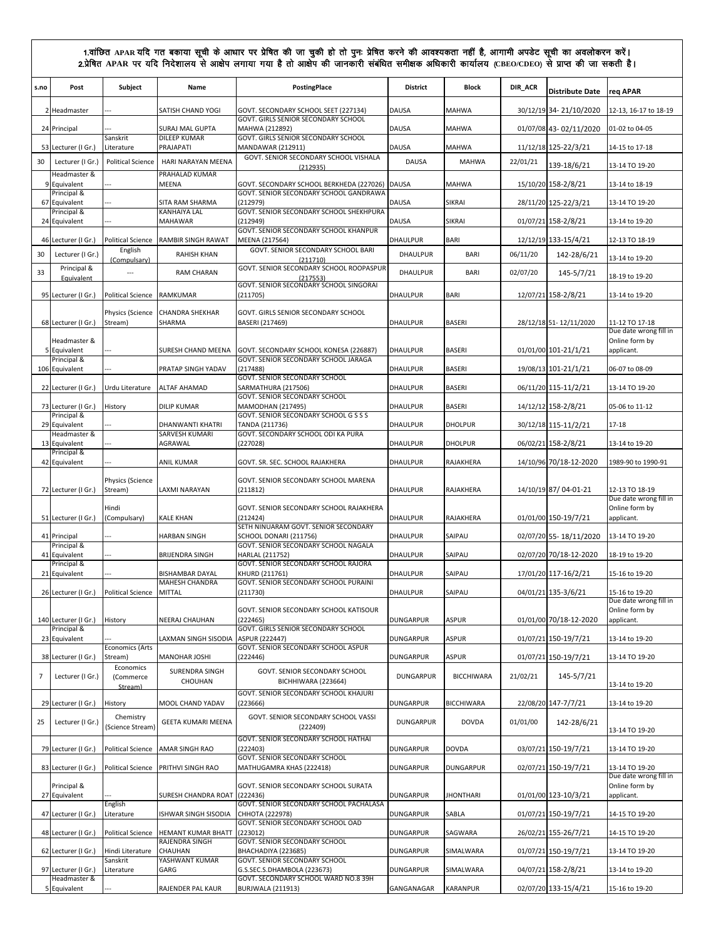| s.no | Post                                | Subject                           | Name                              | PostingPlace                                                                   | <b>District</b>  | <b>Block</b>      | DIR_ACR  | <b>Distribute Date</b> | req APAR                                               |
|------|-------------------------------------|-----------------------------------|-----------------------------------|--------------------------------------------------------------------------------|------------------|-------------------|----------|------------------------|--------------------------------------------------------|
|      | 2 Headmaster                        |                                   | SATISH CHAND YOGI                 | GOVT. SECONDARY SCHOOL SEET (227134)<br>GOVT. GIRLS SENIOR SECONDARY SCHOOL    | <b>DAUSA</b>     | <b>MAHWA</b>      |          | 30/12/19 34-21/10/2020 | 12-13, 16-17 to 18-19                                  |
|      | 24 Principal                        |                                   | <b>SURAJ MAL GUPTA</b>            | MAHWA (212892)                                                                 | DAUSA            | MAHWA             |          | 01/07/08 43-02/11/2020 | 01-02 to 04-05                                         |
|      | 53 Lecturer (I Gr.)                 | Sanskrit<br>Literature            | <b>DILEEP KUMAR</b><br>PRAJAPATI  | GOVT. GIRLS SENIOR SECONDARY SCHOOL<br>MANDAWAR (212911)                       | <b>DAUSA</b>     | <b>MAHWA</b>      |          | 11/12/18 125-22/3/21   | 14-15 to 17-18                                         |
| 30   | Lecturer (I Gr.)                    | <b>Political Science</b>          | HARI NARAYAN MEENA                | GOVT. SENIOR SECONDARY SCHOOL VISHALA<br>(212935)                              | <b>DAUSA</b>     | <b>MAHWA</b>      | 22/01/21 | 139-18/6/21            | 13-14 TO 19-20                                         |
|      | Headmaster &<br>9 Equivalent        |                                   | PRAHALAD KUMAR<br>MEENA           | GOVT. SECONDARY SCHOOL BERKHEDA (227026)   DAUSA                               |                  | <b>MAHWA</b>      |          | 15/10/20 158-2/8/21    | 13-14 to 18-19                                         |
|      | Principal &                         |                                   |                                   | GOVT. SENIOR SECONDARY SCHOOL GANDRAWA                                         |                  |                   |          |                        |                                                        |
|      | 67 Equivalent<br>Principal &        |                                   | SITA RAM SHARMA<br>KANHAIYA LAL   | (212979)<br>GOVT. SENIOR SECONDARY SCHOOL SHEKHPURA                            | DAUSA            | SIKRAI            |          | 28/11/20 125-22/3/21   | 13-14 TO 19-20                                         |
|      | 24 Equivalent                       |                                   | <b>MAHAWAR</b>                    | (212949)<br>GOVT. SENIOR SECONDARY SCHOOL KHANPUR                              | <b>DAUSA</b>     | SIKRAI            |          | 01/07/21 158-2/8/21    | 13-14 to 19-20                                         |
|      | 46 Lecturer (I Gr.)                 | <b>Political Science</b>          | <b>RAMBIR SINGH RAWAT</b>         | MEENA (217564)                                                                 | DHAULPUR         | <b>BARI</b>       |          | 12/12/19 133-15/4/21   | 12-13 TO 18-19                                         |
| 30   | Lecturer (I Gr.)                    | English<br>(Compulsary)           | <b>RAHISH KHAN</b>                | GOVT. SENIOR SECONDARY SCHOOL BARI<br>(211710)                                 | DHAULPUR         | BARI              | 06/11/20 | 142-28/6/21            | 13-14 to 19-20                                         |
| 33   | Principal &<br>Equivalent           | $\overline{\phantom{a}}$          | <b>RAM CHARAN</b>                 | GOVT. SENIOR SECONDARY SCHOOL ROOPASPUR<br>(217553)                            | DHAULPUR         | BARI              | 02/07/20 | 145-5/7/21             | 18-19 to 19-20                                         |
|      | 95 Lecturer (I Gr.)                 | <b>Political Science</b>          | RAMKUMAR                          | GOVT. SENIOR SECONDARY SCHOOL SINGORAI<br>(211705)                             | <b>DHAULPUR</b>  | BARI              |          | 12/07/21 158-2/8/21    | 13-14 to 19-20                                         |
|      |                                     | Physics (Science                  | <b>CHANDRA SHEKHAR</b>            | GOVT. GIRLS SENIOR SECONDARY SCHOOL                                            |                  |                   |          |                        |                                                        |
|      | 68 Lecturer (I Gr.)                 | Stream)                           | SHARMA                            | BASERI (217469)                                                                | <b>DHAULPUR</b>  | <b>BASERI</b>     |          | 28/12/18 51-12/11/2020 | 11-12 TO 17-18                                         |
|      | Headmaster &                        |                                   |                                   |                                                                                |                  |                   |          |                        | Due date wrong fill in<br>Online form by               |
|      | 5 Equivalent<br>Principal &         |                                   | SURESH CHAND MEENA                | GOVT. SECONDARY SCHOOL KONESA (226887)<br>GOVT. SENIOR SECONDARY SCHOOL JARAGA | <b>DHAULPUR</b>  | <b>BASERI</b>     |          | 01/01/00 101-21/1/21   | applicant.                                             |
|      | 106 Equivalent                      |                                   | PRATAP SINGH YADAV                | (217488)<br>GOVT. SENIOR SECONDARY SCHOOL                                      | DHAULPUR         | <b>BASERI</b>     |          | 19/08/13 101-21/1/21   | 06-07 to 08-09                                         |
|      | 22 Lecturer (I Gr.)                 | Urdu Literature                   | <b>ALTAF AHAMAD</b>               | SARMATHURA (217506)                                                            | DHAULPUR         | <b>BASERI</b>     |          | 06/11/20 115-11/2/21   | 13-14 TO 19-20                                         |
|      | 73 Lecturer (I Gr.)                 | History                           | DILIP KUMAR                       | <b>GOVT. SENIOR SECONDARY SCHOOL</b><br><b>MAMODHAN (217495)</b>               | DHAULPUR         | <b>BASERI</b>     |          | 14/12/12 158-2/8/21    | 05-06 to 11-12                                         |
|      | Principal &<br>29 Equivalent        |                                   | DHANWANTI KHATRI                  | GOVT. SENIOR SECONDARY SCHOOL G S S S<br>TANDA (211736)                        | <b>DHAULPUR</b>  | <b>DHOLPUR</b>    |          | 30/12/18 115-11/2/21   | $17 - 18$                                              |
|      | Headmaster &<br>13 Equivalent       |                                   | SARVESH KUMARI<br>AGRAWAL         | GOVT. SECONDARY SCHOOL ODI KA PURA<br>(227028)                                 | DHAULPUR         | <b>DHOLPUR</b>    |          | 06/02/21 158-2/8/21    | 13-14 to 19-20                                         |
|      | Principal &                         |                                   |                                   |                                                                                |                  |                   |          |                        |                                                        |
|      | 42 Equivalent                       |                                   | <b>ANIL KUMAR</b>                 | GOVT. SR. SEC. SCHOOL RAJAKHERA                                                | <b>DHAULPUR</b>  | RAJAKHERA         |          | 14/10/96 70/18-12-2020 | 1989-90 to 1990-91                                     |
|      | 72 Lecturer (I Gr.)                 | Physics (Science<br>Stream)       | LAXMI NARAYAN                     | GOVT. SENIOR SECONDARY SCHOOL MARENA<br>(211812)                               | <b>DHAULPUR</b>  | RAJAKHERA         |          | 14/10/19 87/04-01-21   | 12-13 TO 18-19                                         |
|      | 51 Lecturer (I Gr.)                 | Hindi<br>(Compulsary)             | <b>KALE KHAN</b>                  | GOVT. SENIOR SECONDARY SCHOOL RAJAKHERA<br>(212424)                            | <b>DHAULPUR</b>  | RAJAKHERA         |          | 01/01/00 150-19/7/21   | Due date wrong fill in<br>Online form by<br>applicant. |
|      |                                     |                                   |                                   | SETH NINUARAM GOVT. SENIOR SECONDARY                                           |                  |                   |          |                        |                                                        |
|      | 41 Principal<br>Principal &         |                                   | <b>HARBAN SINGH</b>               | SCHOOL DONARI (211756)<br>GOVT. SENIOR SECONDARY SCHOOL NAGALA                 | DHAULPUR         | SAIPAU            |          | 02/07/20 55-18/11/2020 | 13-14 TO 19-20                                         |
|      | 41 Equivalent<br>Principal &        |                                   | <b>BRIJENDRA SINGH</b>            | HARLAL (211752)<br>GOVT. SENIOR SECONDARY SCHOOL RAJORA                        | DHAULPUR         | SAIPAU            |          | 02/07/20 70/18-12-2020 | 18-19 to 19-20                                         |
|      | 21 Equivalent                       |                                   | BISHAMBAR DAYAL<br>MAHESH CHANDRA | KHURD (211761)<br>GOVT. SENIOR SECONDARY SCHOOL PURAINI                        | DHAULPUR         | SAIPAU            |          | 17/01/20 117-16/2/21   | 15-16 to 19-20                                         |
|      | 26 Lecturer (I Gr.)                 | <b>Political Science</b>          | <b>MITTAL</b>                     | (211730)                                                                       | DHAULPUR         | SAIPAU            |          | 04/01/21 135-3/6/21    | 15-16 to 19-20                                         |
|      | 140 Lecturer (I Gr.)                | History                           | NEERAJ CHAUHAN                    | GOVT. SENIOR SECONDARY SCHOOL KATISOUR<br>(222465)                             | DUNGARPUR        | ASPUR             |          | 01/01/00 70/18-12-2020 | Due date wrong fill in<br>Online form by<br>applicant. |
|      | Principal &<br>23 Equivalent        |                                   | LAXMAN SINGH SISODIA              | GOVT. GIRLS SENIOR SECONDARY SCHOOL<br>ASPUR (222447)                          | <b>DUNGARPUR</b> | <b>ASPUR</b>      |          | 01/07/21 150-19/7/21   | 13-14 to 19-20                                         |
|      | 38 Lecturer (I Gr.)                 | <b>Economics (Arts</b><br>Stream) | MANOHAR JOSHI                     | GOVT. SENIOR SECONDARY SCHOOL ASPUR<br>(222446)                                | DUNGARPUR        | ASPUR             |          | 01/07/21 150-19/7/21   | 13-14 TO 19-20                                         |
| 7    | Lecturer (I Gr.)                    | Economics<br>(Commerce            | <b>SURENDRA SINGH</b><br>CHOUHAN  | GOVT. SENIOR SECONDARY SCHOOL<br>BICHHIWARA (223664)                           | <b>DUNGARPUR</b> | <b>BICCHIWARA</b> | 21/02/21 | 145-5/7/21             |                                                        |
|      | 29 Lecturer (I Gr.)                 | Stream)<br>History                | MOOL CHAND YADAV                  | GOVT. SENIOR SECONDARY SCHOOL KHAJURI<br>(223666)                              | DUNGARPUR        | <b>BICCHIWARA</b> |          | 22/08/20 147-7/7/21    | 13-14 to 19-20<br>13-14 to 19-20                       |
| 25   | Lecturer (I Gr.)                    | Chemistry<br>(Science Stream)     | GEETA KUMARI MEENA                | GOVT. SENIOR SECONDARY SCHOOL VASSI<br>(222409)                                | <b>DUNGARPUR</b> | <b>DOVDA</b>      | 01/01/00 | 142-28/6/21            | 13-14 TO 19-20                                         |
|      |                                     |                                   |                                   | GOVT. SENIOR SECONDARY SCHOOL HATHAI                                           |                  |                   |          |                        |                                                        |
|      | 79 Lecturer (I Gr.)                 | <b>Political Science</b>          | AMAR SINGH RAO                    | (222403)<br>GOVT. SENIOR SECONDARY SCHOOL                                      | <b>DUNGARPUR</b> | <b>DOVDA</b>      |          | 03/07/21 150-19/7/21   | 13-14 TO 19-20                                         |
|      | 83 Lecturer (I Gr.)                 | <b>Political Science</b>          | PRITHVI SINGH RAO                 | MATHUGAMRA KHAS (222418)                                                       | <b>DUNGARPUR</b> | <b>DUNGARPUR</b>  |          | 02/07/21 150-19/7/21   | 13-14 TO 19-20<br>Due date wrong fill in               |
|      | Principal &<br>27 Equivalent        |                                   | SURESH CHANDRA ROAT               | GOVT. SENIOR SECONDARY SCHOOL SURATA<br>(222436)                               | <b>DUNGARPUR</b> | <b>JHONTHARI</b>  |          | 01/01/00 123-10/3/21   | Online form by<br>applicant.                           |
|      | 47 Lecturer (I Gr.)                 | English<br>Literature             | ISHWAR SINGH SISODIA              | GOVT. SENIOR SECONDARY SCHOOL PACHALASA<br>CHHOTA (222978)                     | <b>DUNGARPUR</b> | SABLA             |          | 01/07/21 150-19/7/21   | 14-15 TO 19-20                                         |
|      | 48 Lecturer (I Gr.)                 | <b>Political Science</b>          | HEMANT KUMAR BHATT                | GOVT. SENIOR SECONDARY SCHOOL OAD<br>(223012)                                  | DUNGARPUR        | SAGWARA           |          | 26/02/21 155-26/7/21   | 14-15 TO 19-20                                         |
|      | 62 Lecturer (I Gr.)                 | Hindi Literature                  | RAJENDRA SINGH<br>CHAUHAN         | GOVT. SENIOR SECONDARY SCHOOL<br>BHACHADIYA (223685)                           | DUNGARPUR        | SIMALWARA         |          | 01/07/21 150-19/7/21   | 13-14 TO 19-20                                         |
|      |                                     | Sanskrit                          | YASHWANT KUMAR                    | GOVT. SENIOR SECONDARY SCHOOL                                                  |                  |                   |          |                        |                                                        |
|      | 97 Lecturer (I Gr.)<br>Headmaster & | Literature                        | GARG                              | G.S.SEC.S.DHAMBOLA (223673)<br>GOVT. SECONDARY SCHOOL WARD NO.8 39H            | <b>DUNGARPUR</b> | SIMALWARA         |          | 04/07/21 158-2/8/21    | 13-14 to 19-20                                         |
|      | 5 Equivalent                        |                                   | RAJENDER PAL KAUR                 | <b>BURJWALA (211913)</b>                                                       | GANGANAGAR       | KARANPUR          |          | 02/07/20 133-15/4/21   | 15-16 to 19-20                                         |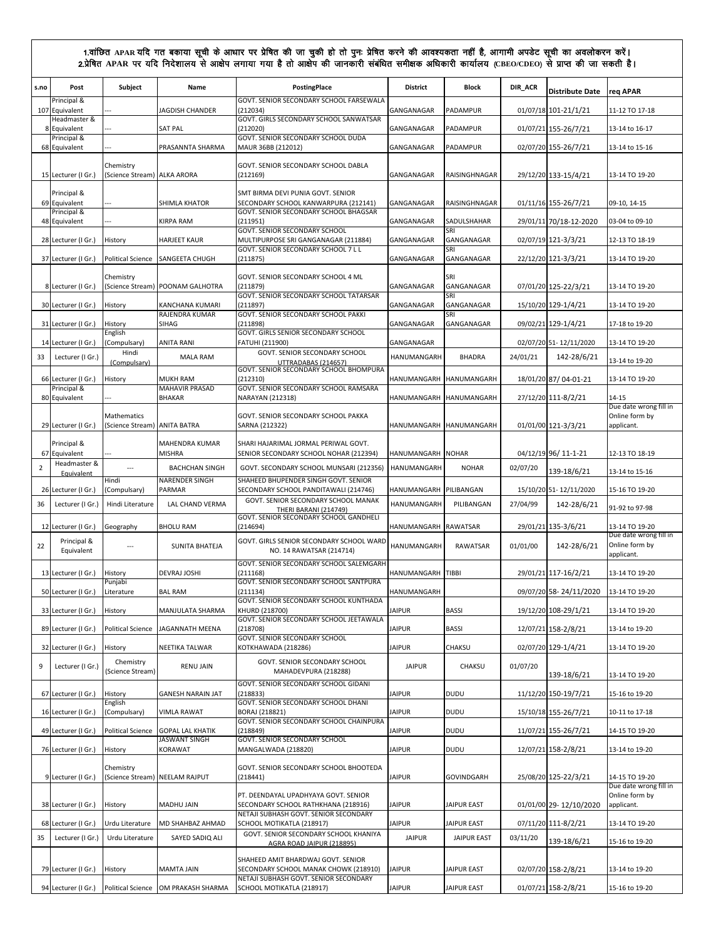| s.no           | Post                               | Subject                                  | Name                                     | PostingPlace                                                                   | <b>District</b>         | Block              | DIR_ACR  | <b>Distribute Date</b> | rea APAR                                 |
|----------------|------------------------------------|------------------------------------------|------------------------------------------|--------------------------------------------------------------------------------|-------------------------|--------------------|----------|------------------------|------------------------------------------|
|                | Principal &<br>107 Equivalent      |                                          | <b>JAGDISH CHANDER</b>                   | GOVT. SENIOR SECONDARY SCHOOL FARSEWALA<br>(212034)                            | GANGANAGAR              | PADAMPUR           |          | 01/07/18 101-21/1/21   | 11-12 TO 17-18                           |
|                | Headmaster &<br>8 Equivalent       |                                          | <b>SAT PAL</b>                           | GOVT. GIRLS SECONDARY SCHOOL SANWATSAR<br>(212020)                             | GANGANAGAR              | PADAMPUR           |          |                        | 13-14 to 16-17                           |
|                | Principal &                        |                                          |                                          | GOVT. SENIOR SECONDARY SCHOOL DUDA                                             |                         |                    |          | 01/07/21 155-26/7/21   |                                          |
|                | 68 Equivalent                      |                                          | PRASANNTA SHARMA                         | MAUR 36BB (212012)                                                             | GANGANAGAR              | PADAMPUR           |          | 02/07/20 155-26/7/21   | 13-14 to 15-16                           |
|                | 15 Lecturer (I Gr.)                | Chemistry<br>(Science Stream) ALKA ARORA |                                          | GOVT. SENIOR SECONDARY SCHOOL DABLA<br>(212169)                                | GANGANAGAR              | RAISINGHNAGAR      |          | 29/12/20 133-15/4/21   | 13-14 TO 19-20                           |
|                | Principal &                        |                                          |                                          | SMT BIRMA DEVI PUNIA GOVT. SENIOR                                              |                         |                    |          |                        |                                          |
|                | 69 Equivalent<br>Principal &       |                                          | SHIMLA KHATOR                            | SECONDARY SCHOOL KANWARPURA (212141)<br>GOVT. SENIOR SECONDARY SCHOOL BHAGSAR  | GANGANAGAR              | RAISINGHNAGAR      |          | 01/11/16 155-26/7/21   | 09-10, 14-15                             |
|                | 48 Equivalent                      |                                          | KIRPA RAM                                | (211951)<br>GOVT. SENIOR SECONDARY SCHOOL                                      | GANGANAGAR              | SADULSHAHAR<br>SRI |          | 29/01/11 70/18-12-2020 | 03-04 to 09-10                           |
|                | 28 Lecturer (I Gr.)                | History                                  | <b>HARJEET KAUR</b>                      | MULTIPURPOSE SRI GANGANAGAR (211884)<br>GOVT. SENIOR SECONDARY SCHOOL 7 L L    | GANGANAGAR              | GANGANAGAR<br>SRI  |          | 02/07/19 121-3/3/21    | 12-13 TO 18-19                           |
|                | 37 Lecturer (I Gr.)                | <b>Political Science</b>                 | SANGEETA CHUGH                           | (211875)                                                                       | GANGANAGAR              | GANGANAGAR         |          | 22/12/20 121-3/3/21    | 13-14 TO 19-20                           |
|                |                                    | Chemistry                                |                                          | GOVT. SENIOR SECONDARY SCHOOL 4 ML                                             |                         | SRI                |          |                        |                                          |
|                | 8 Lecturer (I Gr.)                 | (Science Stream)                         | POONAM GALHOTRA                          | (211879)<br>GOVT. SENIOR SECONDARY SCHOOL TATARSAR                             | GANGANAGAR              | GANGANAGAR<br>SRI  |          | 07/01/20 125-22/3/21   | 13-14 TO 19-20                           |
|                | 30 Lecturer (I Gr.)                | History                                  | KANCHANA KUMARI<br>RAJENDRA KUMAR        | (211897)<br>GOVT. SENIOR SECONDARY SCHOOL PAKKI                                | GANGANAGAR              | GANGANAGAR<br>SRI  |          | 15/10/20 129-1/4/21    | 13-14 TO 19-20                           |
|                | 31 Lecturer (I Gr.)                | History<br>English                       | SIHAG                                    | (211898)<br>GOVT. GIRLS SENIOR SECONDARY SCHOOL                                | GANGANAGAR              | GANGANAGAR         |          | 09/02/21 129-1/4/21    | 17-18 to 19-20                           |
|                | 14 Lecturer (I Gr.)                | (Compulsary)<br>Hindi                    | <b>ANITA RANI</b>                        | FATUHI (211900)<br>GOVT. SENIOR SECONDARY SCHOOL                               | GANGANAGAR              |                    |          | 02/07/20 51-12/11/2020 | 13-14 TO 19-20                           |
| 33             | Lecturer (I Gr.)                   | (Compulsary)                             | <b>MALA RAM</b>                          | UTTRADABAS (214657)<br>GOVT. SENIOR SECONDARY SCHOOL BHOMPURA                  | HANUMANGARH             | <b>BHADRA</b>      | 24/01/21 | 142-28/6/21            | 13-14 to 19-20                           |
|                | 66 Lecturer (I Gr.)<br>Principal & | History                                  | <b>MUKH RAM</b><br><b>MAHAVIR PRASAD</b> | (212310)<br>GOVT. SENIOR SECONDARY SCHOOL RAMSARA                              | HANUMANGARH             | HANUMANGARH        |          | 18/01/20 87/04-01-21   | 13-14 TO 19-20                           |
|                | 80 Equivalent                      |                                          | <b>BHAKAR</b>                            | NARAYAN (212318)                                                               | HANUMANGARH             | HANUMANGARH        |          | 27/12/20 111-8/2/21    | 14-15<br>Due date wrong fill in          |
|                |                                    | Mathematics                              |                                          | GOVT. SENIOR SECONDARY SCHOOL PAKKA                                            |                         |                    |          |                        | Online form by                           |
|                | 29 Lecturer (I Gr.)                | (Science Stream) ANITA BATRA             |                                          | SARNA (212322)                                                                 | HANUMANGARH HANUMANGARH |                    |          | 01/01/00 121-3/3/21    | applicant.                               |
| 67             | Principal &<br>Equivalent          |                                          | MAHENDRA KUMAR<br><b>MISHRA</b>          | SHARI HAJARIMAL JORMAL PERIWAL GOVT.<br>SENIOR SECONDARY SCHOOL NOHAR (212394) | HANUMANGARH NOHAR       |                    |          | 04/12/19 96/ 11-1-21   | 12-13 TO 18-19                           |
| $\overline{2}$ | Headmaster &<br>Equivalent         | $\overline{\phantom{a}}$                 | <b>BACHCHAN SINGH</b>                    | GOVT. SECONDARY SCHOOL MUNSARI (212356)                                        | HANUMANGARH             | <b>NOHAR</b>       | 02/07/20 | 139-18/6/21            | 13-14 to 15-16                           |
|                | 26 Lecturer (I Gr.)                | Hindi<br>(Compulsary)                    | <b>NARENDER SINGH</b><br>PARMAR          | SHAHEED BHUPENDER SINGH GOVT. SENIOR<br>SECONDARY SCHOOL PANDITAWALI (214746)  | HANUMANGARH             | PILIBANGAN         |          | 15/10/20 51-12/11/2020 | 15-16 TO 19-20                           |
| 36             | Lecturer (I Gr.)                   | Hindi Literature                         | LAL CHAND VERMA                          | GOVT. SENIOR SECONDARY SCHOOL MANAK<br><b>THERI BARANI (214749)</b>            | HANUMANGARH             | PILIBANGAN         | 27/04/99 | 142-28/6/21            | 91-92 to 97-98                           |
|                | 12 Lecturer (I Gr.)                | Geography                                | <b>BHOLU RAM</b>                         | GOVT. SENIOR SECONDARY SCHOOL GANDHELI<br>(214694)                             | HANUMANGARH             | <b>RAWATSAR</b>    |          | 29/01/21 135-3/6/21    | 13-14 TO 19-20                           |
| 22             | Principal &                        | $\overline{a}$                           | <b>SUNITA BHATEJA</b>                    | GOVT. GIRLS SENIOR SECONDARY SCHOOL WARD                                       | HANUMANGARH             | RAWATSAR           | 01/01/00 | 142-28/6/21            | Due date wrong fill in<br>Online form by |
|                | Equivalent                         |                                          |                                          | NO. 14 RAWATSAR (214714)<br>GOVT. SENIOR SECONDARY SCHOOL SALEMGARH            |                         |                    |          |                        | applicant.                               |
|                | 13 Lecturer (I Gr.                 | History                                  | DEVRAJ JOSHI                             | (211168)                                                                       | HANUMANGARH             | TIBBI              |          | 29/01/21 117-16/2/21   | 13-14 TO 19-20                           |
|                | 50 Lecturer (I Gr.)                | Punjabi<br>Literature                    | <b>BAL RAM</b>                           | GOVT. SENIOR SECONDARY SCHOOL SANTPURA<br>(211134)                             | HANUMANGARH             |                    |          | 09/07/20 58-24/11/2020 | 13-14 TO 19-20                           |
|                | 33 Lecturer (I Gr.)                | History                                  | MANJULATA SHARMA                         | GOVT. SENIOR SECONDARY SCHOOL KUNTHADA<br>KHURD (218700)                       | <b>JAIPUR</b>           | <b>BASSI</b>       |          | 19/12/20 108-29/1/21   | 13-14 TO 19-20                           |
|                | 89 Lecturer (I Gr.)                | <b>Political Science</b>                 | JAGANNATH MEENA                          | GOVT. SENIOR SECONDARY SCHOOL JEETAWALA<br>(218708)                            | <b>JAIPUR</b>           | <b>BASSI</b>       |          | 12/07/21 158-2/8/21    | 13-14 to 19-20                           |
|                | 32 Lecturer (I Gr.)                | History                                  | NEETIKA TALWAR                           | <b>GOVT. SENIOR SECONDARY SCHOOL</b><br>KOTKHAWADA (218286)                    | <b>JAIPUR</b>           | CHAKSU             |          | 02/07/20 129-1/4/21    | 13-14 TO 19-20                           |
| 9              | Lecturer (I Gr.)                   | Chemistry                                | RENU JAIN                                | GOVT. SENIOR SECONDARY SCHOOL                                                  | <b>JAIPUR</b>           | CHAKSU             | 01/07/20 |                        |                                          |
|                |                                    | (Science Stream)                         |                                          | MAHADEVPURA (218288)<br>GOVT. SENIOR SECONDARY SCHOOL GIDANI                   |                         |                    |          | 139-18/6/21            | 13-14 TO 19-20                           |
|                | 67 Lecturer (I Gr.)                | History<br>English                       | <b>GANESH NARAIN JAT</b>                 | (218833)<br>GOVT. SENIOR SECONDARY SCHOOL DHANI                                | <b>JAIPUR</b>           | DUDU               |          | 11/12/20 150-19/7/21   | 15-16 to 19-20                           |
|                | 16 Lecturer (I Gr.)                | (Compulsary)                             | <b>VIMLA RAWAT</b>                       | BORAJ (218821)<br>GOVT. SENIOR SECONDARY SCHOOL CHAINPURA                      | <b>JAIPUR</b>           | DUDU               |          | 15/10/18 155-26/7/21   | 10-11 to 17-18                           |
|                | 49 Lecturer (I Gr.)                | <b>Political Science</b>                 | <b>GOPAL LAL KHATIK</b>                  | (218849)                                                                       | <b>JAIPUR</b>           | DUDU               |          | 11/07/21 155-26/7/21   | 14-15 TO 19-20                           |
|                | 76 Lecturer (I Gr.)                | History                                  | JASWANT SINGH<br>KORAWAT                 | GOVT. SENIOR SECONDARY SCHOOL<br>MANGALWADA (218820)                           | <b>JAIPUR</b>           | DUDU               |          | 12/07/21 158-2/8/21    | 13-14 to 19-20                           |
|                |                                    | Chemistry                                |                                          | GOVT. SENIOR SECONDARY SCHOOL BHOOTEDA                                         |                         |                    |          |                        |                                          |
|                | 9 Lecturer (I Gr.)                 |                                          | (Science Stream) NEELAM RAJPUT           | (218441)                                                                       | <b>JAIPUR</b>           | GOVINDGARH         |          | 25/08/20 125-22/3/21   | 14-15 TO 19-20<br>Due date wrong fill in |
|                | 38 Lecturer (I Gr.)                | History                                  | MADHU JAIN                               | PT. DEENDAYAL UPADHYAYA GOVT. SENIOR<br>SECONDARY SCHOOL RATHKHANA (218916)    | <b>JAIPUR</b>           | <b>JAIPUR EAST</b> |          | 01/01/00 29-12/10/2020 | Online form by<br>applicant.             |
|                | 68 Lecturer (I Gr.)                | Urdu Literature                          | MD SHAHBAZ AHMAD                         | NETAJI SUBHASH GOVT. SENIOR SECONDARY<br>SCHOOL MOTIKATLA (218917)             | <b>JAIPUR</b>           | JAIPUR EAST        |          | 07/11/20 111-8/2/21    | 13-14 TO 19-20                           |
| 35             | Lecturer (I Gr.)                   | Urdu Literature                          | SAYED SADIQ ALI                          | GOVT. SENIOR SECONDARY SCHOOL KHANIYA<br>AGRA ROAD JAIPUR (218895)             | <b>JAIPUR</b>           | <b>JAIPUR EAST</b> | 03/11/20 | 139-18/6/21            | 15-16 to 19-20                           |
|                |                                    |                                          |                                          | SHAHEED AMIT BHARDWAJ GOVT. SENIOR                                             |                         |                    |          |                        |                                          |
|                | 79 Lecturer (I Gr.)                | History                                  | MAMTA JAIN                               | SECONDARY SCHOOL MANAK CHOWK (218910)<br>NETAJI SUBHASH GOVT. SENIOR SECONDARY | <b>JAIPUR</b>           | JAIPUR EAST        |          | 02/07/20 158-2/8/21    | 13-14 to 19-20                           |
|                | 94 Lecturer (I Gr.)                |                                          | Political Science OM PRAKASH SHARMA      | SCHOOL MOTIKATLA (218917)                                                      | <b>JAIPUR</b>           | JAIPUR EAST        |          | 01/07/21 158-2/8/21    | 15-16 to 19-20                           |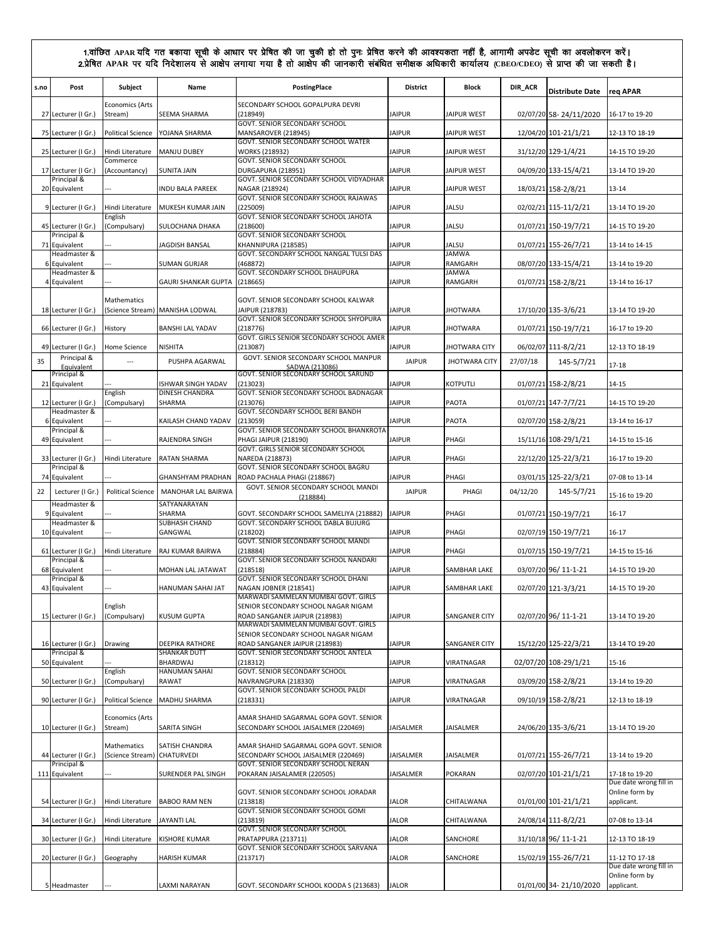| s.no | Post                               | Subject                           | Name                                   | PostingPlace                                                                                                | <b>District</b>  | <b>Block</b>            | DIR_ACR  | <b>Distribute Date</b> | req APAR                                               |
|------|------------------------------------|-----------------------------------|----------------------------------------|-------------------------------------------------------------------------------------------------------------|------------------|-------------------------|----------|------------------------|--------------------------------------------------------|
|      | 27 Lecturer (I Gr.)                | <b>Economics (Arts</b><br>Stream) | SEEMA SHARMA                           | SECONDARY SCHOOL GOPALPURA DEVRI<br>(218949)                                                                | <b>JAIPUR</b>    | <b>JAIPUR WEST</b>      |          | 02/07/20 58-24/11/2020 | 16-17 to 19-20                                         |
|      | 75 Lecturer (I Gr.)                | <b>Political Science</b>          | YOJANA SHARMA                          | GOVT. SENIOR SECONDARY SCHOOL<br>MANSAROVER (218945)                                                        | <b>JAIPUR</b>    | <b>JAIPUR WEST</b>      |          | 12/04/20 101-21/1/21   | 12-13 TO 18-19                                         |
|      | 25 Lecturer (I Gr.)                | Hindi Literature                  | <b>MANJU DUBEY</b>                     | GOVT. SENIOR SECONDARY SCHOOL WATER<br><b>WORKS (218932)</b>                                                | <b>JAIPUR</b>    | <b>JAIPUR WEST</b>      |          | 31/12/20 129-1/4/21    | 14-15 TO 19-20                                         |
|      | 17 Lecturer (I Gr.)                | Commerce<br>(Accountancy)         | <b>SUNITA JAIN</b>                     | GOVT. SENIOR SECONDARY SCHOOL<br>DURGAPURA (218951)                                                         | <b>JAIPUR</b>    | <b>JAIPUR WEST</b>      |          | 04/09/20 133-15/4/21   | 13-14 TO 19-20                                         |
|      | Principal &<br>20 Equivalent       |                                   | INDU BALA PAREEK                       | GOVT. SENIOR SECONDARY SCHOOL VIDYADHAR<br>NAGAR (218924)                                                   | <b>JAIPUR</b>    | <b>JAIPUR WEST</b>      |          | 18/03/21 158-2/8/21    | $13 - 14$                                              |
|      | 9 Lecturer (I Gr.)                 | Hindi Literature                  | MUKESH KUMAR JAIN                      | GOVT. SENIOR SECONDARY SCHOOL RAJAWAS<br>(225009)                                                           | <b>JAIPUR</b>    | JALSU                   |          | 02/02/21 115-11/2/21   | 13-14 TO 19-20                                         |
|      | 45 Lecturer (I Gr.)                | English<br>(Compulsary)           | SULOCHANA DHAKA                        | GOVT. SENIOR SECONDARY SCHOOL JAHOTA<br>(218600)                                                            | <b>JAIPUR</b>    | JALSU                   |          | 01/07/21 150-19/7/21   | 14-15 TO 19-20                                         |
|      | Principal &<br>71 Equivalent       |                                   | JAGDISH BANSAL                         | <b>GOVT. SENIOR SECONDARY SCHOOL</b><br>KHANNIPURA (218585)                                                 | <b>JAIPUR</b>    | JALSU                   |          | 01/07/21 155-26/7/21   | 13-14 to 14-15                                         |
|      | Headmaster &<br>6 Equivalent       |                                   | <b>SUMAN GURJAR</b>                    | GOVT. SECONDARY SCHOOL NANGAL TULSI DAS<br>(468872)                                                         | <b>JAIPUR</b>    | <b>JAMWA</b><br>RAMGARH |          | 08/07/20 133-15/4/21   | 13-14 to 19-20                                         |
|      | Headmaster &<br>4 Equivalent       |                                   | <b>GAURI SHANKAR GUPTA</b>             | GOVT. SECONDARY SCHOOL DHAUPURA<br>(218665)                                                                 | <b>JAIPUR</b>    | <b>JAMWA</b><br>RAMGARH |          | 01/07/21 158-2/8/21    | 13-14 to 16-17                                         |
|      | 18 Lecturer (I Gr.)                | Mathematics                       | (Science Stream) MANISHA LODWAL        | GOVT. SENIOR SECONDARY SCHOOL KALWAR<br>JAIPUR (218783)                                                     | <b>JAIPUR</b>    | <b>JHOTWARA</b>         |          | 17/10/20 135-3/6/21    | 13-14 TO 19-20                                         |
|      | 66 Lecturer (I Gr.)                | History                           | <b>BANSHI LAL YADAV</b>                | GOVT. SENIOR SECONDARY SCHOOL SHYOPURA<br>(218776)                                                          | <b>JAIPUR</b>    | <b>IHOTWARA</b>         |          | 01/07/21 150-19/7/21   | 16-17 to 19-20                                         |
|      | 49 Lecturer (I Gr.)                | Home Science                      | <b>NISHITA</b>                         | GOVT. GIRLS SENIOR SECONDARY SCHOOL AMER<br>(213087)                                                        | <b>JAIPUR</b>    | <b>JHOTWARA CITY</b>    |          | 06/02/07 111-8/2/21    | 12-13 TO 18-19                                         |
| 35   | Principal &<br>Equivalent          | $\sim$                            | PUSHPA AGARWAL                         | GOVT. SENIOR SECONDARY SCHOOL MANPUR<br>SADWA (213086)                                                      | <b>JAIPUR</b>    | <b>JHOTWARA CITY</b>    | 27/07/18 | 145-5/7/21             | $17 - 18$                                              |
|      | Principal &<br>21 Equivalent       |                                   | ISHWAR SINGH YADAV                     | GOVT. SENIOR SECONDARY SCHOOL SARUND<br>(213023)                                                            | <b>JAIPUR</b>    | KOTPUTLI                |          | 01/07/21 158-2/8/21    | 14-15                                                  |
|      | 12 Lecturer (I Gr.)                | English<br>(Compulsary)           | DINESH CHANDRA<br>SHARMA               | GOVT. SENIOR SECONDARY SCHOOL BADNAGAR<br>(213076)                                                          | <b>JAIPUR</b>    | PAOTA                   |          | 01/07/21 147-7/7/21    | 14-15 TO 19-20                                         |
|      | Headmaster &<br>6 Equivalent       |                                   | KAILASH CHAND YADAV                    | GOVT. SECONDARY SCHOOL BERI BANDH<br>(213059)                                                               | <b>JAIPUR</b>    | PAOTA                   |          | 02/07/20 158-2/8/21    | 13-14 to 16-17                                         |
|      | Principal &<br>49 Equivalent       |                                   | RAJENDRA SINGH                         | GOVT. SENIOR SECONDARY SCHOOL BHANKROTA<br><b>PHAGI JAIPUR (218190)</b>                                     | <b>JAIPUR</b>    | PHAGI                   |          | 15/11/16 108-29/1/21   | 14-15 to 15-16                                         |
|      | 33 Lecturer (I Gr.)                | Hindi Literature                  | RATAN SHARMA                           | GOVT. GIRLS SENIOR SECONDARY SCHOOL<br>NAREDA (218873)                                                      | <b>JAIPUR</b>    | PHAGI                   |          | 22/12/20 125-22/3/21   | 16-17 to 19-20                                         |
|      | Principal &<br>74 Equivalent       |                                   | <b>GHANSHYAM PRADHAN</b>               | GOVT. SENIOR SECONDARY SCHOOL BAGRU<br>ROAD PACHALA PHAGI (218867)                                          | <b>JAIPUR</b>    | PHAGI                   |          | 03/01/15 125-22/3/21   | 07-08 to 13-14                                         |
| 22   | Lecturer (I Gr.)                   | <b>Political Science</b>          | MANOHAR LAL BAIRWA                     | GOVT. SENIOR SECONDARY SCHOOL MANDI<br>(218884)                                                             | <b>JAIPUR</b>    | PHAGI                   | 04/12/20 | 145-5/7/21             | 15-16 to 19-20                                         |
| 9    | Headmaster &<br>Equivalent         |                                   | SATYANARAYAN<br>SHARMA                 | GOVT. SECONDARY SCHOOL SAMELIYA (218882)                                                                    | <b>JAIPUR</b>    | PHAGI                   |          | 01/07/21 150-19/7/21   | $16 - 17$                                              |
|      | Headmaster &<br>10 Equivalent      |                                   | <b>SUBHASH CHAND</b><br>GANGWAL        | GOVT. SECONDARY SCHOOL DABLA BUJURG<br>(218202)                                                             | <b>JAIPUR</b>    | PHAGI                   |          | 02/07/19 150-19/7/21   | $16 - 17$                                              |
|      | 61 Lecturer (I Gr.)                | Hindi Literature                  | RAJ KUMAR BAIRWA                       | GOVT. SENIOR SECONDARY SCHOOL MANDI<br>(218884)                                                             | <b>JAIPUR</b>    | PHAGI                   |          | 01/07/15 150-19/7/21   | 14-15 to 15-16                                         |
|      | Principal &<br>68 Equivalent       |                                   | MOHAN LAL JATAWAT                      | GOVT. SENIOR SECONDARY SCHOOL NANDARI<br>(218518)                                                           | <b>JAIPUR</b>    | SAMBHAR LAKE            |          | 03/07/20 96/ 11-1-21   | 14-15 TO 19-20                                         |
|      | Principal &<br>43 Equivalent       |                                   | <b>HANUMAN SAHAI JAT</b>               | GOVT. SENIOR SECONDARY SCHOOL DHANI<br>NAGAN JOBNER (218541)                                                | <b>JAIPUR</b>    | SAMBHAR LAKE            |          | 02/07/20 121-3/3/21    | 14-15 TO 19-20                                         |
|      | 15 Lecturer (I Gr.)                | English<br>(Compulsary)           | KUSUM GUPTA                            | MARWADI SAMMELAN MUMBAI GOVT, GIRLS<br>SENIOR SECONDARY SCHOOL NAGAR NIGAM<br>ROAD SANGANER JAIPUR (218983) | <b>JAIPUR</b>    | SANGANER CITY           |          | 02/07/20 96/ 11-1-21   | 13-14 TO 19-20                                         |
|      |                                    |                                   |                                        | MARWADI SAMMELAN MUMBAI GOVT. GIRLS<br>SENIOR SECONDARY SCHOOL NAGAR NIGAM                                  |                  |                         |          |                        |                                                        |
|      | 16 Lecturer (I Gr.)<br>Principal & | Drawing                           | DEEPIKA RATHORE<br><b>SHANKAR DUTT</b> | ROAD SANGANER JAIPUR (218983)<br>GOVT. SENIOR SECONDARY SCHOOL ANTELA                                       | <b>JAIPUR</b>    | SANGANER CITY           |          | 15/12/20 125-22/3/21   | 13-14 TO 19-20                                         |
|      | 50 Equivalent                      | English                           | BHARDWAJ<br>HANUMAN SAHAI              | (218312)<br>GOVT. SENIOR SECONDARY SCHOOL                                                                   | <b>JAIPUR</b>    | VIRATNAGAR              |          | 02/07/20 108-29/1/21   | 15-16                                                  |
|      | 50 Lecturer (I Gr.)                | (Compulsary)                      | <b>RAWAT</b>                           | NAVRANGPURA (218330)<br>GOVT. SENIOR SECONDARY SCHOOL PALDI                                                 | <b>JAIPUR</b>    | VIRATNAGAR              |          | 03/09/20 158-2/8/21    | 13-14 to 19-20                                         |
|      | 90 Lecturer (I Gr.                 | <b>Political Science</b>          | MADHU SHARMA                           | (218331)                                                                                                    | <b>JAIPUR</b>    | VIRATNAGAR              |          | 09/10/19 158-2/8/21    | 12-13 to 18-19                                         |
|      | 10 Lecturer (I Gr.)                | <b>Economics (Arts</b><br>Stream) | SARITA SINGH                           | AMAR SHAHID SAGARMAL GOPA GOVT. SENIOR<br>SECONDARY SCHOOL JAISALMER (220469)                               | JAISALMER        | JAISALMER               |          | 24/06/20 135-3/6/21    | 13-14 TO 19-20                                         |
|      | 44 Lecturer (I Gr.)                | Mathematics<br>(Science Stream)   | SATISH CHANDRA<br>CHATURVEDI           | AMAR SHAHID SAGARMAL GOPA GOVT. SENIOR<br>SECONDARY SCHOOL JAISALMER (220469)                               | JAISALMER        | <b>JAISALMER</b>        |          | 01/07/21 155-26/7/21   | 13-14 to 19-20                                         |
|      | Principal &<br>111 Equivalent      |                                   | SURENDER PAL SINGH                     | GOVT. SENIOR SECONDARY SCHOOL NERAN<br>POKARAN JAISALAMER (220505)                                          | <b>JAISALMER</b> | <b>POKARAN</b>          |          | 02/07/20 101-21/1/21   | 17-18 to 19-20                                         |
|      | 54 Lecturer (I Gr.)                | Hindi Literature                  | <b>BABOO RAM NEN</b>                   | GOVT. SENIOR SECONDARY SCHOOL JORADAR<br>(213818)                                                           | <b>JALOR</b>     | CHITALWANA              |          | 01/01/00 101-21/1/21   | Due date wrong fill in<br>Online form by<br>applicant. |
|      | 34 Lecturer (I Gr.)                | Hindi Literature                  | <b>JAYANTI LAL</b>                     | GOVT. SENIOR SECONDARY SCHOOL GOMI<br>(213819)                                                              | <b>JALOR</b>     | CHITALWANA              |          | 24/08/14 111-8/2/21    | 07-08 to 13-14                                         |
|      | 30 Lecturer (I Gr.)                | Hindi Literature                  | <b>KISHORE KUMAR</b>                   | GOVT. SENIOR SECONDARY SCHOOL<br>PRATAPPURA (213711)                                                        | <b>JALOR</b>     | SANCHORE                |          | 31/10/18 96/ 11-1-21   | 12-13 TO 18-19                                         |
|      | 20 Lecturer (I Gr.)                | Geography                         | <b>HARISH KUMAR</b>                    | GOVT. SENIOR SECONDARY SCHOOL SARVANA<br>(213717)                                                           | <b>JALOR</b>     | SANCHORE                |          | 15/02/19 155-26/7/21   | 11-12 TO 17-18                                         |
|      |                                    |                                   |                                        |                                                                                                             |                  |                         |          |                        | Due date wrong fill in<br>Online form by               |
|      | 5 Headmaster                       |                                   | LAXMI NARAYAN                          | GOVT. SECONDARY SCHOOL KOODA S (213683)                                                                     | <b>JALOR</b>     |                         |          | 01/01/00 34-21/10/2020 | applicant.                                             |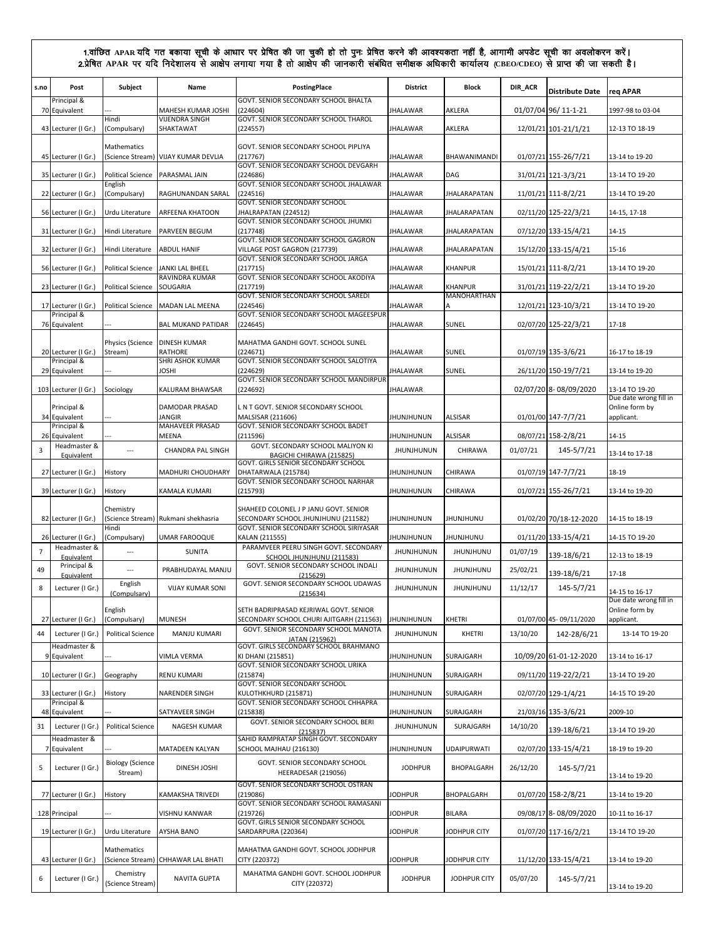| s.no           | Post                               | Subject                                    | Name                                | PostingPlace                                                                       | <b>District</b>   | <b>Block</b>                         | DIR_ACR  | <b>Distribute Date</b> | reg APAR                                               |
|----------------|------------------------------------|--------------------------------------------|-------------------------------------|------------------------------------------------------------------------------------|-------------------|--------------------------------------|----------|------------------------|--------------------------------------------------------|
|                | Principal &<br>70 Equivalent       |                                            | <b>MAHESH KUMAR JOSHI</b>           | GOVT. SENIOR SECONDARY SCHOOL BHALTA<br>(224604)                                   | <b>JHALAWAR</b>   | AKLERA                               |          | 01/07/04 96/ 11-1-21   | 1997-98 to 03-04                                       |
|                | 43 Lecturer (I Gr.)                | Hindi<br>(Compulsary)                      | <b>VIJENDRA SINGH</b><br>SHAKTAWAT  | GOVT. SENIOR SECONDARY SCHOOL THAROL<br>(224557)                                   | <b>JHALAWAR</b>   | AKLERA                               |          | 12/01/21 101-21/1/21   | 12-13 TO 18-19                                         |
|                | 45 Lecturer (I Gr.)                | Mathematics                                | (Science Stream) VIJAY KUMAR DEVLIA | GOVT. SENIOR SECONDARY SCHOOL PIPLIYA<br>(217767)                                  | <b>JHALAWAR</b>   | BHAWANIMANDI                         |          | 01/07/21 155-26/7/21   | 13-14 to 19-20                                         |
|                | 35 Lecturer (I Gr.)                | <b>Political Science</b>                   | PARASMAL JAIN                       | GOVT. SENIOR SECONDARY SCHOOL DEVGARH<br>(224686)                                  | <b>JHALAWAR</b>   | DAG                                  |          | 31/01/21 121-3/3/21    | 13-14 TO 19-20                                         |
|                | 22 Lecturer (I Gr.)                | English<br>(Compulsary)                    | RAGHUNANDAN SARAL                   | GOVT. SENIOR SECONDARY SCHOOL JHALAWAR<br>(224516)                                 | <b>JHALAWAR</b>   | <b>JHALARAPATAN</b>                  |          | 11/01/21 111-8/2/21    | 13-14 TO 19-20                                         |
|                | 56 Lecturer (I Gr.)                | Urdu Literature                            | ARFEENA KHATOON                     | GOVT. SENIOR SECONDARY SCHOOL<br>JHALRAPATAN (224512)                              | <b>JHALAWAR</b>   | JHALARAPATAN                         |          | 02/11/20 125-22/3/21   | 14-15, 17-18                                           |
|                | 31 Lecturer (I Gr.)                | Hindi Literature                           | PARVEEN BEGUM                       | GOVT. SENIOR SECONDARY SCHOOL JHUMKI<br>(217748)                                   | <b>JHALAWAR</b>   | <b>JHALARAPATAN</b>                  |          | 07/12/20 133-15/4/21   | 14-15                                                  |
|                | 32 Lecturer (I Gr.)                | Hindi Literature                           | <b>ABDUL HANIF</b>                  | GOVT. SENIOR SECONDARY SCHOOL GAGRON<br>VILLAGE POST GAGRON (217739)               | <b>JHALAWAR</b>   | <b>JHALARAPATAN</b>                  |          | 15/12/20 133-15/4/21   | 15-16                                                  |
|                | 56 Lecturer (I Gr.)                | <b>Political Science</b>                   | JANKI LAL BHEEL                     | GOVT. SENIOR SECONDARY SCHOOL JARGA<br>(217715)                                    | <b>JHALAWAR</b>   | <b>KHANPUR</b>                       |          | 15/01/21 111-8/2/21    | 13-14 TO 19-20                                         |
|                |                                    |                                            | RAVINDRA KUMAR                      | GOVT. SENIOR SECONDARY SCHOOL AKODIYA<br>(217719)                                  | <b>JHALAWAR</b>   |                                      |          |                        |                                                        |
|                | 23 Lecturer (I Gr.)                | <b>Political Science</b>                   | SOUGARIA                            | GOVT. SENIOR SECONDARY SCHOOL SAREDI                                               |                   | <b>KHANPUR</b><br><b>MANOHARTHAN</b> |          | 31/01/21 119-22/2/21   | 13-14 TO 19-20                                         |
|                | 17 Lecturer (I Gr.)<br>Principal & | <b>Political Science</b>                   | <b>MADAN LAL MEENA</b>              | (224546)<br>GOVT, SENIOR SECONDARY SCHOOL MAGEESPUR                                | <b>JHALAWAR</b>   |                                      |          | 12/01/21 123-10/3/21   | 13-14 TO 19-20                                         |
|                | 76 Equivalent                      |                                            | <b>BAL MUKAND PATIDAR</b>           | (224645)                                                                           | <b>JHALAWAR</b>   | SUNEL                                |          | 02/07/20 125-22/3/21   | 17-18                                                  |
|                | 20 Lecturer (I Gr.)                | Physics (Science   DINESH KUMAR<br>Stream) | <b>RATHORE</b>                      | MAHATMA GANDHI GOVT. SCHOOL SUNEL<br>(224671)                                      | <b>JHALAWAR</b>   | SUNEL                                |          | 01/07/19 135-3/6/21    | 16-17 to 18-19                                         |
|                | Principal &<br>29 Equivalent       |                                            | SHRI ASHOK KUMAR<br>JOSHI           | GOVT. SENIOR SECONDARY SCHOOL SALOTIYA<br>(224629)                                 | <b>JHALAWAR</b>   | SUNEL                                |          | 26/11/20 150-19/7/21   | 13-14 to 19-20                                         |
|                | 103 Lecturer (I Gr.)               | Sociology                                  | KALURAM BHAWSAR                     | GOVT. SENIOR SECONDARY SCHOOL MANDIRPUR<br>(224692)                                | <b>JHALAWAR</b>   |                                      |          | 02/07/20 8-08/09/2020  | 13-14 TO 19-20                                         |
|                | Principal &<br>34 Equivalent       |                                            | DAMODAR PRASAD<br>JANGIR            | L N T GOVT. SENIOR SECONDARY SCHOOL<br>MALSISAR (211606)                           | <b>JHUNJHUNUN</b> | <b>ALSISAR</b>                       |          | 01/01/00 147-7/7/21    | Due date wrong fill in<br>Online form by<br>applicant. |
|                | Principal &<br>26 Equivalent       |                                            | MAHAVEER PRASAD<br>MEENA            | GOVT. SENIOR SECONDARY SCHOOL BADET<br>(211596)                                    | <b>JHUNJHUNUN</b> | <b>ALSISAR</b>                       |          | 08/07/21 158-2/8/21    | 14-15                                                  |
| 3              | Headmaster &<br>Equivalent         |                                            | CHANDRA PAL SINGH                   | GOVT. SECONDARY SCHOOL MALIYON KI<br>BAGICHI CHIRAWA (215825)                      | <b>JHUNJHUNUN</b> | CHIRAWA                              | 01/07/21 | 145-5/7/21             | 13-14 to 17-18                                         |
|                | 27 Lecturer (I Gr.)                | History                                    | MADHURI CHOUDHARY                   | GOVT. GIRLS SENIOR SECONDARY SCHOOL<br>DHATARWALA (215784)                         | <b>JHUNJHUNUN</b> | CHIRAWA                              |          | 01/07/19 147-7/7/21    | 18-19                                                  |
|                | 39 Lecturer (I Gr.)                | History                                    | KAMALA KUMARI                       | GOVT. SENIOR SECONDARY SCHOOL NARHAR<br>(215793)                                   | <b>JHUNJHUNUN</b> | CHIRAWA                              |          | 01/07/21 155-26/7/21   | 13-14 to 19-20                                         |
|                | 82 Lecturer (I Gr.)                | Chemistry                                  | (Science Stream) Rukmani shekhasria | SHAHEED COLONEL J P JANU GOVT. SENIOR<br>SECONDARY SCHOOL JHUNJHUNU (211582)       | <b>JHUNJHUNUN</b> | <b>JHUNJHUNU</b>                     |          | 01/02/20 70/18-12-2020 | 14-15 to 18-19                                         |
|                | 26 Lecturer (I Gr.)                | Hindi<br>(Compulsary)                      | <b>UMAR FAROOQUE</b>                | GOVT. SENIOR SECONDARY SCHOOL SIRIYASAR<br>KALAN (211555)                          | JHUNJHUNUN        | JHUNJHUNU                            |          | 01/11/20 133-15/4/21   | 14-15 TO 19-20                                         |
| $\overline{7}$ | Headmaster &<br>Equivalent         | $\overline{a}$                             | <b>SUNITA</b>                       | PARAMVEER PEERU SINGH GOVT. SECONDARY<br>SCHOOL JHUNJHUNU (211583)                 | <b>JHUNJHUNUN</b> | <b>JHUNJHUNU</b>                     | 01/07/19 | 139-18/6/21            | 12-13 to 18-19                                         |
| 49             | Principal &<br>Equivalent          | $\overline{a}$                             | PRABHUDAYAL MANJU                   | GOVT. SENIOR SECONDARY SCHOOL INDALI<br>(215629)                                   | <b>JHUNJHUNUN</b> | JHUNJHUNU                            | 25/02/21 | 139-18/6/21            | 17-18                                                  |
| 8              | Lecturer (I Gr.)                   | English<br>(Compulsary)                    | <b>VIJAY KUMAR SONI</b>             | GOVT. SENIOR SECONDARY SCHOOL UDAWAS<br>(215634)                                   | <b>JHUNJHUNUN</b> | JHUNJHUNU                            | 11/12/17 | 145-5/7/21             | 14-15 to 16-17                                         |
|                | 27 Lecturer (I Gr.)                | English<br>(Compulsary)                    | <b>MUNESH</b>                       | SETH BADRIPRASAD KEJRIWAL GOVT. SENIOR<br>SECONDARY SCHOOL CHURI AJITGARH (211563) | <b>JHUNJHUNUN</b> | <b>KHETRI</b>                        |          | 01/07/00 45-09/11/2020 | Due date wrong fill in<br>Online form by<br>applicant. |
| 44             | Lecturer (I Gr.)                   | <b>Political Science</b>                   | MANJU KUMARI                        | GOVT. SENIOR SECONDARY SCHOOL MANOTA<br>JATAN (215962)                             | <b>JHUNJHUNUN</b> | KHETRI                               | 13/10/20 | 142-28/6/21            | 13-14 TO 19-20                                         |
|                | Headmaster &<br>9 Equivalent       |                                            | VIMLA VERMA                         | GOVT. GIRLS SECONDARY SCHOOL BRAHMANO<br>KI DHANI (215851)                         | JHUNJHUNUN        | SURAJGARH                            |          | 10/09/20 61-01-12-2020 | 13-14 to 16-17                                         |
|                | 10 Lecturer (I Gr.)                | Geography                                  | <b>RENU KUMARI</b>                  | GOVT. SENIOR SECONDARY SCHOOL URIKA<br>(215874)                                    | <b>JHUNJHUNUN</b> | SURAJGARH                            |          | 09/11/20 119-22/2/21   | 13-14 TO 19-20                                         |
|                | 33 Lecturer (I Gr.)                | History                                    | NARENDER SINGH                      | GOVT. SENIOR SECONDARY SCHOOL<br>KULOTHKHURD (215871)                              | <b>JHUNJHUNUN</b> | SURAJGARH                            |          | 02/07/20 129-1/4/21    | 14-15 TO 19-20                                         |
|                | Principal &<br>48 Equivalent       |                                            | SATYAVEER SINGH                     | GOVT. SENIOR SECONDARY SCHOOL CHHAPRA<br>(215838)                                  | JHUNJHUNUN        | SURAJGARH                            |          | 21/03/16 135-3/6/21    | 2009-10                                                |
| 31             | Lecturer (I Gr.)                   | <b>Political Science</b>                   | NAGESH KUMAR                        | GOVT. SENIOR SECONDARY SCHOOL BERI<br>(215837)                                     | <b>JHUNJHUNUN</b> | SURAJGARH                            | 14/10/20 | 139-18/6/21            | 13-14 TO 19-20                                         |
|                | Headmaster &<br>7 Equivalent       |                                            | MATADEEN KALYAN                     | SAHID RAMPRATAP SINGH GOVT. SECONDARY<br>SCHOOL MAJHAU (216130)                    | <b>JHUNJHUNUN</b> | UDAIPURWATI                          |          | 02/07/20 133-15/4/21   | 18-19 to 19-20                                         |
| 5              | Lecturer (I Gr.)                   | <b>Biology (Science</b><br>Stream)         | DINESH JOSHI                        | GOVT. SENIOR SECONDARY SCHOOL<br>HEERADESAR (219056)                               | <b>JODHPUR</b>    | BHOPALGARH                           | 26/12/20 | 145-5/7/21             |                                                        |
|                | 77 Lecturer (I Gr.)                | History                                    | KAMAKSHA TRIVEDI                    | GOVT. SENIOR SECONDARY SCHOOL OSTRAN<br>(219086)                                   | <b>JODHPUR</b>    | BHOPALGARH                           |          | 01/07/20 158-2/8/21    | 13-14 to 19-20<br>13-14 to 19-20                       |
|                | 128 Principal                      |                                            | VISHNU KANWAR                       | GOVT. SENIOR SECONDARY SCHOOL RAMASANI<br>(219726)                                 | <b>JODHPUR</b>    | BILARA                               |          | 09/08/17 8-08/09/2020  | 10-11 to 16-17                                         |
|                | 19 Lecturer (I Gr.)                | Urdu Literature                            | <b>AYSHA BANO</b>                   | GOVT. GIRLS SENIOR SECONDARY SCHOOL<br>SARDARPURA (220364)                         | <b>JODHPUR</b>    | JODHPUR CITY                         |          | 01/07/20 117-16/2/21   | 13-14 TO 19-20                                         |
|                | 43 Lecturer (I Gr.)                | Mathematics                                | (Science Stream) CHHAWAR LAL BHATI  | MAHATMA GANDHI GOVT. SCHOOL JODHPUR<br>CITY (220372)                               | <b>JODHPUR</b>    | JODHPUR CITY                         |          | 11/12/20 133-15/4/21   | 13-14 to 19-20                                         |
| 6              | Lecturer (I Gr.)                   | Chemistry<br>(Science Stream)              | NAVITA GUPTA                        | MAHATMA GANDHI GOVT. SCHOOL JODHPUR<br>CITY (220372)                               | <b>JODHPUR</b>    | JODHPUR CITY                         | 05/07/20 | 145-5/7/21             | 13-14 to 19-20                                         |
|                |                                    |                                            |                                     |                                                                                    |                   |                                      |          |                        |                                                        |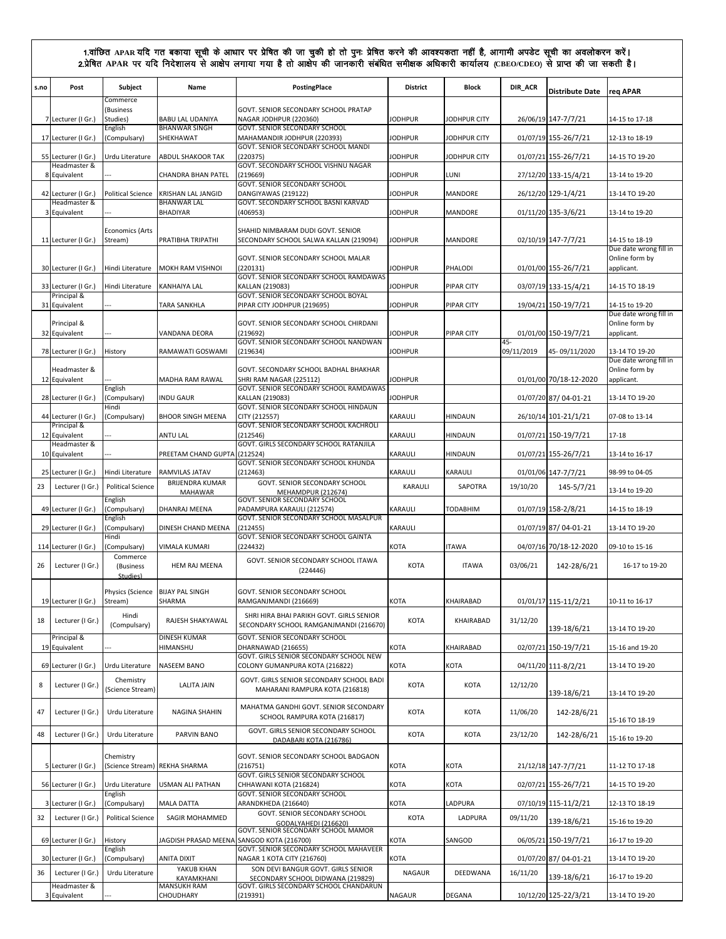| s.no | Post                                   | Subject<br>Commerce                          | Name                                      | <b>PostingPlace</b>                                                                                        | <b>District</b>     | Block              | DIR_ACR    | <b>Distribute Date</b> | reg APAR                                 |
|------|----------------------------------------|----------------------------------------------|-------------------------------------------|------------------------------------------------------------------------------------------------------------|---------------------|--------------------|------------|------------------------|------------------------------------------|
|      | 7 Lecturer (I Gr.)                     | (Business<br>Studies)                        | BABU LAL UDANIYA                          | GOVT. SENIOR SECONDARY SCHOOL PRATAP<br>NAGAR JODHPUR (220360)                                             | <b>JODHPUR</b>      | JODHPUR CITY       |            | 26/06/19 147-7/7/21    | 14-15 to 17-18                           |
|      | 17 Lecturer (I Gr.)                    | English<br>(Compulsary)                      | <b>BHANWAR SINGH</b><br>SHEKHAWAT         | GOVT. SENIOR SECONDARY SCHOOL<br>MAHAMANDIR JODHPUR (220393)                                               | <b>JODHPUR</b>      | JODHPUR CITY       |            | 01/07/19 155-26/7/21   | 12-13 to 18-19                           |
|      | 55 Lecturer (I Gr.)                    | Urdu Literature                              | ABDUL SHAKOOR TAK                         | GOVT. SENIOR SECONDARY SCHOOL MANDI<br>(220375)                                                            | <b>JODHPUR</b>      | JODHPUR CITY       |            | 01/07/21 155-26/7/21   | 14-15 TO 19-20                           |
|      | Headmaster &<br>8 Equivalent           | ---                                          | CHANDRA BHAN PATEL                        | GOVT. SECONDARY SCHOOL VISHNU NAGAR<br>(219669)                                                            | <b>JODHPUR</b>      | LUNI               |            | 27/12/20 133-15/4/21   | 13-14 to 19-20                           |
|      | 42 Lecturer (I Gr.)                    | <b>Political Science</b>                     | KRISHAN LAL JANGID                        | GOVT. SENIOR SECONDARY SCHOOL<br>DANGIYAWAS (219122)                                                       | <b>JODHPUR</b>      | MANDORE            |            | 26/12/20 129-1/4/21    | 13-14 TO 19-20                           |
|      | Headmaster &                           |                                              | <b>BHANWAR LAL</b>                        | GOVT. SECONDARY SCHOOL BASNI KARVAD                                                                        |                     |                    |            |                        |                                          |
|      | 3 Equivalent                           |                                              | BHADIYAR                                  | (406953)                                                                                                   | <b>JODHPUR</b>      | MANDORE            |            | 01/11/20 135-3/6/21    | 13-14 to 19-20                           |
|      | 11 Lecturer (I Gr.)                    | <b>Economics (Arts</b><br>Stream)            | PRATIBHA TRIPATHI                         | SHAHID NIMBARAM DUDI GOVT. SENIOR<br>SECONDARY SCHOOL SALWA KALLAN (219094)                                | <b>JODHPUR</b>      | MANDORE            |            | 02/10/19 147-7/7/21    | 14-15 to 18-19<br>Due date wrong fill in |
|      | 30 Lecturer (I Gr.)                    | Hindi Literature                             | MOKH RAM VISHNOI                          | GOVT. SENIOR SECONDARY SCHOOL MALAR<br>(220131)                                                            | <b>JODHPUR</b>      | PHALODI            |            | 01/01/00 155-26/7/21   | Online form by<br>applicant.             |
|      | 33 Lecturer (I Gr.)                    | Hindi Literature                             | KANHAIYA LAL                              | GOVT. SENIOR SECONDARY SCHOOL RAMDAWAS<br>KALLAN (219083)                                                  | <b>JODHPUR</b>      | PIPAR CITY         |            | 03/07/19 133-15/4/21   | 14-15 TO 18-19                           |
|      | Principal &                            |                                              |                                           | GOVT. SENIOR SECONDARY SCHOOL BOYAL                                                                        |                     |                    |            |                        |                                          |
|      | 31 Equivalent                          |                                              | TARA SANKHLA                              | PIPAR CITY JODHPUR (219695)                                                                                | <b>JODHPUR</b>      | <b>PIPAR CITY</b>  |            | 19/04/21 150-19/7/21   | 14-15 to 19-20<br>Due date wrong fill in |
|      | Principal &<br>32 Equivalent           |                                              | VANDANA DEORA                             | GOVT. SENIOR SECONDARY SCHOOL CHIRDANI<br>(219692)                                                         | <b>JODHPUR</b>      | PIPAR CITY         |            | 01/01/00 150-19/7/21   | Online form by<br>applicant.             |
|      |                                        |                                              |                                           | GOVT. SENIOR SECONDARY SCHOOL NANDWAN                                                                      |                     |                    | $45 -$     |                        |                                          |
|      | 78 Lecturer (I Gr.)                    | History                                      | RAMAWATI GOSWAMI                          | (219634)                                                                                                   | <b>JODHPUR</b>      |                    | 09/11/2019 | 45-09/11/2020          | 13-14 TO 19-20<br>Due date wrong fill in |
|      | Headmaster &<br>12 Equivalent          | English                                      | MADHA RAM RAWAL                           | GOVT. SECONDARY SCHOOL BADHAL BHAKHAR<br>SHRI RAM NAGAR (225112)<br>GOVT. SENIOR SECONDARY SCHOOL RAMDAWAS | <b>JODHPUR</b>      |                    |            | 01/01/00 70/18-12-2020 | Online form by<br>applicant.             |
|      | 28 Lecturer (I Gr.)                    | (Compulsary)                                 | INDU GAUR                                 | KALLAN (219083)                                                                                            | <b>JODHPUR</b>      |                    |            | 01/07/20 87/ 04-01-21  | 13-14 TO 19-20                           |
|      | 44 Lecturer (I Gr.)                    | Hindi<br>(Compulsary)                        | <b>BHOOR SINGH MEENA</b>                  | GOVT. SENIOR SECONDARY SCHOOL HINDAUN<br>CITY (212557)                                                     | KARAULI             | HINDAUN            |            | 26/10/14 101-21/1/21   | 07-08 to 13-14                           |
|      | Principal &<br>12 Equivalent           |                                              | ANTU LAL                                  | GOVT. SENIOR SECONDARY SCHOOL KACHROLI<br>(212546)                                                         | KARAULI             | HINDAUN            |            | 01/07/21 150-19/7/21   | 17-18                                    |
|      | Headmaster &<br>10 Equivalent          |                                              | PREETAM CHAND GUPTA                       | GOVT. GIRLS SECONDARY SCHOOL RATANJILA<br>(212524)                                                         | KARAULI             | HINDAUN            |            | 01/07/21 155-26/7/21   | 13-14 to 16-17                           |
|      |                                        |                                              |                                           | GOVT. SENIOR SECONDARY SCHOOL KHUNDA                                                                       |                     |                    |            |                        |                                          |
| 25   | Lecturer (I Gr.)                       | Hindi Literature<br><b>Political Science</b> | RAMVILAS JATAV<br>BRIJENDRA KUMAR         | (212463)<br>GOVT. SENIOR SECONDARY SCHOOL                                                                  | KARAULI             | KARAULI            |            | 01/01/06 147-7/7/21    | 98-99 to 04-05                           |
| 23   | Lecturer (I Gr.)                       | English                                      | MAHAWAR                                   | <b>MEHAMDPUR (212674)</b><br>GOVT. SENIOR SECONDARY SCHOOL                                                 | KARAULI             | SAPOTRA            | 19/10/20   | 145-5/7/21             | 13-14 to 19-20                           |
|      | 49 Lecturer (I Gr.)                    | (Compulsary)<br>English                      | DHANRAJ MEENA                             | PADAMPURA KARAULI (212574)<br>GOVT. SENIOR SECONDARY SCHOOL MASALPUR                                       | KARAULI             | TODABHIM           |            | 01/07/19 158-2/8/21    | 14-15 to 18-19                           |
|      | 29 Lecturer (I Gr.)                    | (Compulsary)<br>Hindi                        | DINESH CHAND MEENA                        | (212455)<br>GOVT. SENIOR SECONDARY SCHOOL GAINTA                                                           | KARAULI             |                    |            | 01/07/19 87/04-01-21   | 13-14 TO 19-20                           |
|      | 114 Lecturer (I Gr.)                   | (Compulsary)                                 | VIMALA KUMARI                             | (224432)                                                                                                   | KOTA                | <b>ITAWA</b>       |            | 04/07/16 70/18-12-2020 | 09-10 to 15-16                           |
| 26   | Lecturer (I Gr.)                       | Commerce<br>(Business<br>Studies)            | HEM RAJ MEENA                             | GOVT. SENIOR SECONDARY SCHOOL ITAWA<br>(224446)                                                            | KOTA                | <b>ITAWA</b>       | 03/06/21   | 142-28/6/21            | 16-17 to 19-20                           |
|      | 19 Lecturer (I Gr.)                    | Physics (Science BIJAY PAL SINGH<br>Stream)  | SHARMA                                    | GOVT. SENIOR SECONDARY SCHOOL<br>RAMGANJMANDI (216669)                                                     | <b>KOTA</b>         | KHAIRABAD          |            | 01/01/17 115-11/2/21   | 10-11 to 16-17                           |
| 18   | Lecturer (I Gr.)                       | Hindi<br>(Compulsary)                        | RAJESH SHAKYAWAL                          | SHRI HIRA BHAI PARIKH GOVT. GIRLS SENIOR<br>SECONDARY SCHOOL RAMGANJMANDI (216670)                         | <b>KOTA</b>         | KHAIRABAD          | 31/12/20   | 139-18/6/21            | 13-14 TO 19-20                           |
|      | Principal &<br>19 Equivalent           |                                              | <b>DINESH KUMAR</b><br>HIMANSHU           | GOVT. SENIOR SECONDARY SCHOOL<br>DHARNAWAD (216655)                                                        | KOTA                | KHAIRABAD          |            | 02/07/21 150-19/7/21   | 15-16 and 19-20                          |
|      |                                        |                                              |                                           | GOVT. GIRLS SENIOR SECONDARY SCHOOL NEW                                                                    |                     |                    |            |                        |                                          |
|      | 69 Lecturer (I Gr.)                    | Urdu Literature                              | NASEEM BANO                               | COLONY GUMANPURA KOTA (216822)                                                                             | KOTA                | KOTA               |            | 04/11/20 111-8/2/21    | 13-14 TO 19-20                           |
| 8    | Lecturer (I Gr.)                       | Chemistry<br>(Science Stream)                | <b>LALITA JAIN</b>                        | GOVT. GIRLS SENIOR SECONDARY SCHOOL BADI<br>MAHARANI RAMPURA KOTA (216818)                                 | <b>KOTA</b>         | <b>KOTA</b>        | 12/12/20   | 139-18/6/21            | 13-14 TO 19-20                           |
| 47   | Lecturer (I Gr.)                       | Urdu Literature                              | NAGINA SHAHIN                             | MAHATMA GANDHI GOVT. SENIOR SECONDARY<br>SCHOOL RAMPURA KOTA (216817)                                      | <b>KOTA</b>         | <b>KOTA</b>        | 11/06/20   | 142-28/6/21            | 15-16 TO 18-19                           |
| 48   | Lecturer (I Gr.)                       | Urdu Literature                              | PARVIN BANO                               | GOVT. GIRLS SENIOR SECONDARY SCHOOL<br>DADABARI KOTA (216786)                                              | <b>KOTA</b>         | <b>KOTA</b>        | 23/12/20   | 142-28/6/21            | 15-16 to 19-20                           |
|      | 5 Lecturer (I Gr.)                     | Chemistry<br>(Science Stream)                | REKHA SHARMA                              | GOVT. SENIOR SECONDARY SCHOOL BADGAON<br>(216751)                                                          | KOTA                | KOTA               |            | 21/12/18 147-7/7/21    | 11-12 TO 17-18                           |
|      | 56 Lecturer (I Gr.)                    | Urdu Literature                              | USMAN ALI PATHAN                          | GOVT. GIRLS SENIOR SECONDARY SCHOOL<br>CHHAWANI KOTA (216824)                                              | KOTA                | KOTA               |            | 02/07/21 155-26/7/21   | 14-15 TO 19-20                           |
|      |                                        | English                                      |                                           | GOVT. SENIOR SECONDARY SCHOOL                                                                              |                     |                    |            |                        |                                          |
| 32   | 3 Lecturer (I Gr.)<br>Lecturer (I Gr.) | (Compulsary)<br><b>Political Science</b>     | MALA DATTA<br>SAGIR MOHAMMED              | ARANDKHEDA (216640)<br>GOVT. SENIOR SECONDARY SCHOOL                                                       | KOTA<br><b>KOTA</b> | LADPURA<br>LADPURA | 09/11/20   | 07/10/19 115-11/2/21   | 12-13 TO 18-19                           |
|      |                                        |                                              |                                           | GODALYAHEDI (216620)<br>GOVT. SENIOR SECONDARY SCHOOL MAMOR                                                |                     |                    |            | 139-18/6/21            | 15-16 to 19-20                           |
|      | 69 Lecturer (I Gr.)                    | History<br>English                           | JAGDISH PRASAD MEENA SANGOD KOTA (216700) | GOVT. SENIOR SECONDARY SCHOOL MAHAVEER                                                                     | KOTA                | SANGOD             |            | 06/05/21 150-19/7/21   | 16-17 to 19-20                           |
|      | 30 Lecturer (I Gr.)                    | (Compulsary)                                 | ANITA DIXIT                               | NAGAR 1 KOTA CITY (216760)                                                                                 | <b>KOTA</b>         |                    |            | 01/07/20 87/04-01-21   | 13-14 TO 19-20                           |
| 36   | Lecturer (I Gr.)                       | Urdu Literature                              | YAKUB KHAN<br>KAYAMKHANI                  | SON DEVI BANGUR GOVT. GIRLS SENIOR<br>SECONDARY SCHOOL DIDWANA (219829)                                    | <b>NAGAUR</b>       | DEEDWANA           | 16/11/20   | 139-18/6/21            | 16-17 to 19-20                           |
|      | Headmaster &<br>3 Equivalent           |                                              | MANSUKH RAM<br>CHOUDHARY                  | GOVT. GIRLS SECONDARY SCHOOL CHANDARUN<br>(219391)                                                         | <b>NAGAUR</b>       | <b>DEGANA</b>      |            | 10/12/20 125-22/3/21   | 13-14 TO 19-20                           |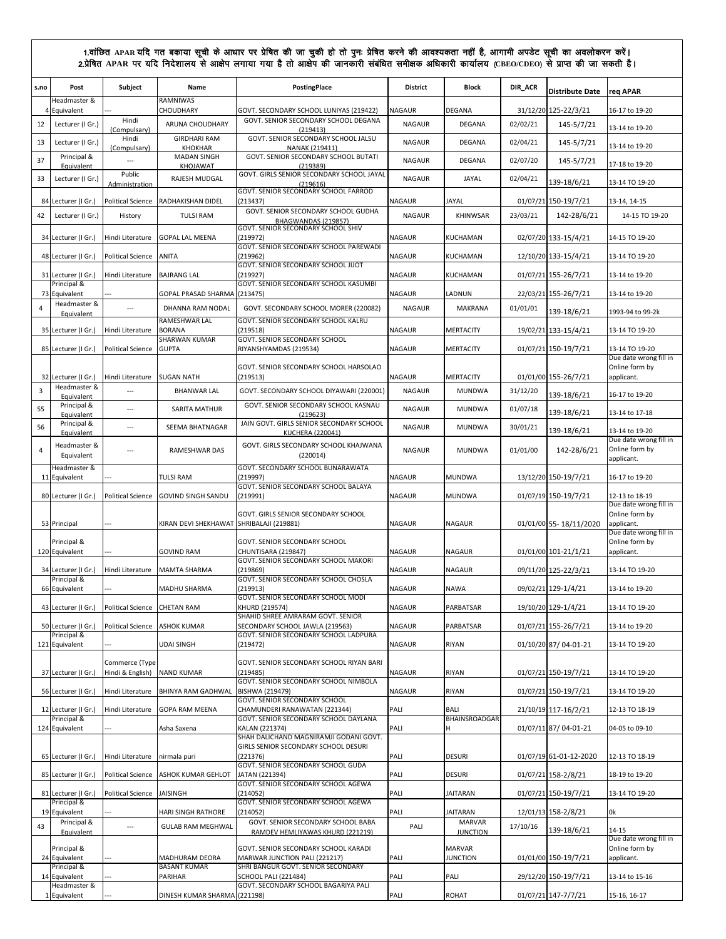| s.no    | Post                                         | Subject                            | Name                                    | PostingPlace                                                                                              | <b>District</b>                | Block                            | DIR_ACR  | <b>Distribute Date</b> | reg APAR                                               |
|---------|----------------------------------------------|------------------------------------|-----------------------------------------|-----------------------------------------------------------------------------------------------------------|--------------------------------|----------------------------------|----------|------------------------|--------------------------------------------------------|
|         | Headmaster &<br>4 Equivalent                 |                                    | RAMNIWAS<br>CHOUDHARY                   | GOVT. SECONDARY SCHOOL LUNIYAS (219422)                                                                   | <b>NAGAUR</b>                  | <b>DEGANA</b>                    |          | 31/12/20 125-22/3/21   | 16-17 to 19-20                                         |
| 12      | Lecturer (I Gr.)                             | Hindi<br>(Compulsary)              | ARUNA CHOUDHARY                         | GOVT. SENIOR SECONDARY SCHOOL DEGANA<br>(219413)                                                          | <b>NAGAUR</b>                  | DEGANA                           | 02/02/21 | 145-5/7/21             | 13-14 to 19-20                                         |
| 13      | Lecturer (I Gr.)                             | Hindi<br>(Compulsary)              | <b>GIRDHARI RAM</b><br><b>KHOKHAR</b>   | GOVT. SENIOR SECONDARY SCHOOL JALSU<br>NANAK (219411)                                                     | NAGAUR                         | DEGANA                           | 02/04/21 | 145-5/7/21             | 13-14 to 19-20                                         |
| 37      | Principal &<br>Equivalent                    |                                    | <b>MADAN SINGH</b><br>KHOJAWAT          | GOVT. SENIOR SECONDARY SCHOOL BUTATI<br>(219389)                                                          | <b>NAGAUR</b>                  | DEGANA                           | 02/07/20 | 145-5/7/21             | 17-18 to 19-20                                         |
| 33      | Lecturer (I Gr.)                             | Public<br>Administration           | RAJESH MUDGAL                           | GOVT. GIRLS SENIOR SECONDARY SCHOOL JAYAL<br>(219616)                                                     | <b>NAGAUR</b>                  | JAYAL                            | 02/04/21 | 139-18/6/21            | 13-14 TO 19-20                                         |
| 84      | Lecturer (I Gr.)                             | <b>Political Science</b>           | RADHAKISHAN DIDEL                       | GOVT. SENIOR SECONDARY SCHOOL FARROD<br>(213437)                                                          | <b>NAGAUR</b>                  | JAYAL                            |          | 01/07/21 150-19/7/21   | 13-14, 14-15                                           |
| 42      | Lecturer (I Gr.)                             | History                            | <b>TULSI RAM</b>                        | GOVT. SENIOR SECONDARY SCHOOL GUDHA                                                                       | <b>NAGAUR</b>                  | KHINWSAR                         | 23/03/21 | 142-28/6/21            | 14-15 TO 19-20                                         |
|         |                                              |                                    | <b>GOPAL LAL MEENA</b>                  | BHAGWANDAS (219857)<br>GOVT. SENIOR SECONDARY SCHOOL SHIV                                                 |                                |                                  |          |                        |                                                        |
|         | 34 Lecturer (I Gr.)                          | Hindi Literature                   |                                         | (219972)<br>GOVT. SENIOR SECONDARY SCHOOL PAREWADI                                                        | <b>NAGAUR</b>                  | KUCHAMAN                         |          | 02/07/20 133-15/4/21   | 14-15 TO 19-20                                         |
|         | 48 Lecturer (I Gr.)                          | <b>Political Science</b>           | ANITA                                   | (219962)<br>GOVT. SENIOR SECONDARY SCHOOL JIJOT                                                           | <b>NAGAUR</b>                  | KUCHAMAN                         |          | 12/10/20 133-15/4/21   | 13-14 TO 19-20                                         |
|         | 31 Lecturer (I Gr.)<br>Principal &           | Hindi Literature                   | <b>BAJRANG LAL</b>                      | (219927)<br>GOVT. SENIOR SECONDARY SCHOOL KASUMBI                                                         | <b>NAGAUR</b>                  | KUCHAMAN                         |          | 01/07/21 155-26/7/21   | 13-14 to 19-20                                         |
| 73<br>4 | Equivalent<br>Headmaster &                   | $\overline{a}$                     | GOPAL PRASAD SHARMA<br>DHANNA RAM NODAL | (213475)<br>GOVT. SECONDARY SCHOOL MORER (220082)                                                         | <b>NAGAUR</b><br><b>NAGAUR</b> | LADNUN<br>MAKRANA                | 01/01/01 | 22/03/21 155-26/7/21   | 13-14 to 19-20                                         |
|         | Equivalent                                   |                                    | RAMESHWAR LAL                           | GOVT. SENIOR SECONDARY SCHOOL KALRU                                                                       |                                |                                  |          | 139-18/6/21            | 1993-94 to 99-2k                                       |
|         | 35 Lecturer (I Gr.)                          | Hindi Literature                   | <b>BORANA</b><br><b>SHARWAN KUMAR</b>   | (219518)<br>GOVT. SENIOR SECONDARY SCHOOL                                                                 | <b>NAGAUR</b>                  | <b>MERTACITY</b>                 |          | 19/02/21 133-15/4/21   | 13-14 TO 19-20                                         |
|         | 85 Lecturer (I Gr.)                          | <b>Political Science</b>           | <b>GUPTA</b>                            | RIYANSHYAMDAS (219534)                                                                                    | <b>NAGAUR</b>                  | <b>MERTACITY</b>                 |          | 01/07/21 150-19/7/21   | 13-14 TO 19-20<br>Due date wrong fill in               |
|         | 32 Lecturer (I Gr.)                          | Hindi Literature                   | <b>SUGAN NATH</b>                       | GOVT. SENIOR SECONDARY SCHOOL HARSOLAO<br>(219513)                                                        | <b>NAGAUR</b>                  | <b>MERTACITY</b>                 |          | 01/01/00 155-26/7/21   | Online form by<br>applicant.                           |
| 3       | Headmaster &<br>Equivalent                   | $\sim$                             | <b>BHANWAR LAL</b>                      | GOVT. SECONDARY SCHOOL DIYAWARI (220001)                                                                  | <b>NAGAUR</b>                  | <b>MUNDWA</b>                    | 31/12/20 | 139-18/6/21            | 16-17 to 19-20                                         |
| 55      | Principal &<br>Equivalent                    | $\ldots$                           | <b>SARITA MATHUR</b>                    | GOVT. SENIOR SECONDARY SCHOOL KASNAU<br>(219623)                                                          | <b>NAGAUR</b>                  | <b>MUNDWA</b>                    | 01/07/18 | 139-18/6/21            | 13-14 to 17-18                                         |
| 56      | Principal &<br>Equivalent                    | $\overline{a}$                     | SEEMA BHATNAGAR                         | JAIN GOVT. GIRLS SENIOR SECONDARY SCHOOL<br><b>KUCHERA (220041)</b>                                       | <b>NAGAUR</b>                  | <b>MUNDWA</b>                    | 30/01/21 | 139-18/6/21            | 13-14 to 19-20                                         |
| 4       | Headmaster &<br>Equivalent                   | $\sim$                             | RAMESHWAR DAS                           | GOVT. GIRLS SECONDARY SCHOOL KHAJWANA<br>(220014)                                                         | <b>NAGAUR</b>                  | <b>MUNDWA</b>                    | 01/01/00 | 142-28/6/21            | Due date wrong fill in<br>Online form by<br>applicant. |
|         | Headmaster &<br>11 Equivalent                |                                    | <b>TULSI RAM</b>                        | GOVT. SECONDARY SCHOOL BUNARAWATA<br>(219997)                                                             | <b>NAGAUR</b>                  | <b>MUNDWA</b>                    |          | 13/12/20 150-19/7/21   | 16-17 to 19-20                                         |
|         |                                              |                                    |                                         |                                                                                                           |                                |                                  |          |                        |                                                        |
|         | 80 Lecturer (I Gr.)                          | <b>Political Science</b>           | <b>GOVIND SINGH SANDU</b>               | GOVT. SENIOR SECONDARY SCHOOL BALAYA<br>(219991)                                                          | <b>NAGAUR</b>                  | <b>MUNDWA</b>                    |          | 01/07/19 150-19/7/21   | 12-13 to 18-19                                         |
|         | 53 Principal                                 |                                    | KIRAN DEVI SHEKHAWAT                    | GOVT. GIRLS SENIOR SECONDARY SCHOOL<br>SHRIBALAJI (219881)                                                | <b>NAGAUR</b>                  | <b>NAGAUR</b>                    |          | 01/01/00 55-18/11/2020 | Due date wrong fill in<br>Online form by<br>applicant. |
|         | Principal &<br>120 Equivalent                |                                    | <b>GOVIND RAM</b>                       | GOVT. SENIOR SECONDARY SCHOOL<br>CHUNTISARA (219847)                                                      | <b>NAGAUR</b>                  | <b>NAGAUR</b>                    |          | 01/01/00 101-21/1/21   | Due date wrong fill in<br>Online form by<br>applicant. |
|         | 34 Lecturer (I Gr.)                          | Hindi Literature                   | <b>MAMTA SHARMA</b>                     | GOVT. SENIOR SECONDARY SCHOOL MAKORI<br>(219869)                                                          | <b>NAGAUR</b>                  | <b>NAGAUR</b>                    |          | 09/11/20 125-22/3/21   | 13-14 TO 19-20                                         |
|         | Principal &<br>66 Equivalent                 |                                    | MADHU SHARMA                            | GOVT. SENIOR SECONDARY SCHOOL CHOSLA<br>(219913)                                                          | <b>NAGAUR</b>                  | <b>NAWA</b>                      |          | 09/02/21 129-1/4/21    | 13-14 to 19-20                                         |
|         | 43 Lecturer (I Gr.)                          | Political Science CHETAN RAM       |                                         | GOVT. SENIOR SECONDARY SCHOOL MODI<br>KHURD (219574)                                                      | <b>NAGAUR</b>                  | PARBATSAR                        |          | 19/10/20 129-1/4/21    | 13-14 TO 19-20                                         |
|         | 50 Lecturer (I Gr.)                          | <b>Political Science</b>           | <b>ASHOK KUMAR</b>                      | SHAHID SHREE AMRARAM GOVT. SENIOR<br>SECONDARY SCHOOL JAWLA (219563)                                      | NAGAUR                         | PARBATSAR                        |          | 01/07/21 155-26/7/21   | 13-14 to 19-20                                         |
|         | Principal &<br>121 Equivalent                |                                    | <b>UDAI SINGH</b>                       | GOVT. SENIOR SECONDARY SCHOOL LADPURA<br>(219472)                                                         | <b>NAGAUR</b>                  | RIYAN                            |          | 01/10/20 87/ 04-01-21  | 13-14 TO 19-20                                         |
|         | 37 Lecturer (I Gr.)                          | Commerce (Type<br>Hindi & English) | <b>NAND KUMAR</b>                       | GOVT. SENIOR SECONDARY SCHOOL RIYAN BARI<br>(219485)                                                      | <b>NAGAUR</b>                  | RIYAN                            |          | 01/07/21 150-19/7/21   | 13-14 TO 19-20                                         |
|         | 56 Lecturer (I Gr.)                          | Hindi Literature                   | BHINYA RAM GADHWAL                      | GOVT. SENIOR SECONDARY SCHOOL NIMBOLA<br>BISHWA (219479)                                                  | <b>NAGAUR</b>                  | RIYAN                            |          | 01/07/21 150-19/7/21   | 13-14 TO 19-20                                         |
|         | 12 Lecturer (I Gr.)                          | Hindi Literature                   | <b>GOPA RAM MEENA</b>                   | <b>GOVT. SENIOR SECONDARY SCHOOL</b><br>CHAMUNDERI RANAWATAN (221344)                                     | PALI                           | <b>BALI</b>                      |          | 21/10/19 117-16/2/21   | 12-13 TO 18-19                                         |
|         | Principal &<br>124 Equivalent                |                                    | Asha Saxena                             | GOVT. SENIOR SECONDARY SCHOOL DAYLANA<br>KALAN (221374)                                                   | PALI                           | <b>BHAINSROADGAR</b><br>н        |          | 01/07/11 87/ 04-01-21  | 04-05 to 09-10                                         |
|         |                                              |                                    |                                         | SHAH DALICHAND MAGNIRAMJI GODANI GOVT.<br>GIRLS SENIOR SECONDARY SCHOOL DESURI                            |                                |                                  |          |                        |                                                        |
|         | 65 Lecturer (I Gr.)                          | Hindi Literature                   | nirmala puri                            | (221376)                                                                                                  | PALI                           | <b>DESURI</b>                    |          | 01/07/19 61-01-12-2020 | 12-13 TO 18-19                                         |
|         | 85 Lecturer (I Gr.)                          | <b>Political Science</b>           | ASHOK KUMAR GEHLOT                      | GOVT. SENIOR SECONDARY SCHOOL GUDA<br>JATAN (221394)                                                      | PALI                           | <b>DESURI</b>                    |          | 01/07/21 158-2/8/21    | 18-19 to 19-20                                         |
|         | 81 Lecturer (I Gr.)                          | <b>Political Science</b>           | JAISINGH                                | GOVT. SENIOR SECONDARY SCHOOL AGEWA<br>(214052)                                                           | PALI                           | <b>JAITARAN</b>                  |          | 01/07/21 150-19/7/21   | 13-14 TO 19-20                                         |
|         | Principal &<br>19 Equivalent                 |                                    | HARI SINGH RATHORE                      | GOVT. SENIOR SECONDARY SCHOOL AGEWA<br>(214052)                                                           | PALI                           | <b>JAITARAN</b>                  |          | 12/01/13 158-2/8/21    | 0k                                                     |
| 43      | Principal &<br>Equivalent                    | $\ldots$                           | <b>GULAB RAM MEGHWAL</b>                | GOVT. SENIOR SECONDARY SCHOOL BABA<br>RAMDEV HEMLIYAWAS KHURD (221219)                                    | PALI                           | <b>MARVAR</b><br><b>JUNCTION</b> | 17/10/16 | 139-18/6/21            | 14-15                                                  |
|         | Principal &<br>24 Equivalent                 |                                    | MADHURAM DEORA                          | GOVT. SENIOR SECONDARY SCHOOL KARADI<br>MARWAR JUNCTION PALI (221217)                                     | PALI                           | <b>MARVAR</b><br><b>JUNCTION</b> |          | 01/01/00 150-19/7/21   | Due date wrong fill in<br>Online form by<br>applicant. |
|         | Principal &<br>14 Equivalent<br>Headmaster & |                                    | <b>BASANT KUMAR</b><br>PARIHAR          | SHRI BANGUR GOVT. SENIOR SECONDARY<br><b>SCHOOL PALI (221484)</b><br>GOVT. SECONDARY SCHOOL BAGARIYA PALI | PALI                           | PALI                             |          | 29/12/20 150-19/7/21   | 13-14 to 15-16                                         |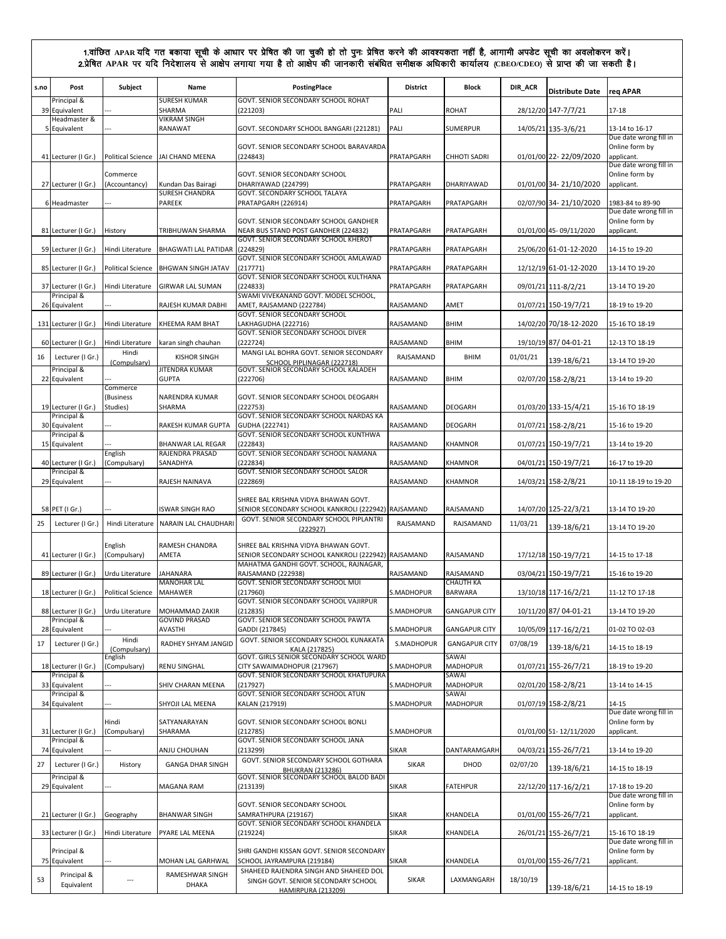| s.no | Post                               | Subject                  | Name                                        | <b>PostingPlace</b>                                                                         | <b>District</b> | <b>Block</b>                  | DIR_ACR  | <b>Distribute Date</b> | req APAR                                 |
|------|------------------------------------|--------------------------|---------------------------------------------|---------------------------------------------------------------------------------------------|-----------------|-------------------------------|----------|------------------------|------------------------------------------|
|      | Principal &<br>39 Equivalent       |                          | <b>SURESH KUMAR</b><br>SHARMA               | GOVT. SENIOR SECONDARY SCHOOL ROHAT<br>(221203)                                             | PALI            | <b>ROHAT</b>                  |          | 28/12/20 147-7/7/21    | $17 - 18$                                |
|      | Headmaster &<br>5 Equivalent       |                          | <b>VIKRAM SINGH</b><br>RANAWAT              | GOVT. SECONDARY SCHOOL BANGARI (221281)                                                     | PALI            | <b>SUMERPUR</b>               |          | 14/05/21 135-3/6/21    | 13-14 to 16-17                           |
|      |                                    |                          |                                             |                                                                                             |                 |                               |          |                        | Due date wrong fill in                   |
|      | 41 Lecturer (I Gr.)                |                          | Political Science JAI CHAND MEENA           | GOVT. SENIOR SECONDARY SCHOOL BARAVARDA<br>(224843)                                         | PRATAPGARH      | <b>CHHOTI SADRI</b>           |          | 01/01/00 22-22/09/2020 | Online form by<br>applicant.             |
|      |                                    | Commerce                 |                                             | GOVT. SENIOR SECONDARY SCHOOL                                                               |                 |                               |          |                        | Due date wrong fill in<br>Online form by |
|      | 27 Lecturer (I Gr.)                | (Accountancy)            | Kundan Das Bairagi<br><b>SURESH CHANDRA</b> | DHARIYAWAD (224799)<br>GOVT. SECONDARY SCHOOL TALAYA                                        | PRATAPGARH      | DHARIYAWAD                    |          | 01/01/00 34-21/10/2020 | applicant.                               |
|      | 6 Headmaster                       |                          | PAREEK                                      | PRATAPGARH (226914)                                                                         | PRATAPGARH      | PRATAPGARH                    |          | 02/07/90 34-21/10/2020 | 1983-84 to 89-90                         |
|      |                                    |                          |                                             | GOVT. SENIOR SECONDARY SCHOOL GANDHER                                                       |                 |                               |          |                        | Due date wrong fill in<br>Online form by |
|      | 81 Lecturer (I Gr.)                | History                  | TRIBHUWAN SHARMA                            | NEAR BUS STAND POST GANDHER (224832)<br>GOVT. SENIOR SECONDARY SCHOOL KHEROT                | PRATAPGARH      | PRATAPGARH                    |          | 01/01/00 45-09/11/2020 | applicant.                               |
|      | 59 Lecturer (I Gr.)                | Hindi Literature         | <b>BHAGWATI LAL PATIDAR</b>                 | (224829)                                                                                    | PRATAPGARH      | PRATAPGARH                    |          | 25/06/20 61-01-12-2020 | 14-15 to 19-20                           |
|      | 85 Lecturer (I Gr.)                | <b>Political Science</b> | <b>BHGWAN SINGH JATAV</b>                   | GOVT. SENIOR SECONDARY SCHOOL AMLAWAD<br>(217771)                                           | PRATAPGARH      | PRATAPGARH                    |          | 12/12/19 61-01-12-2020 | 13-14 TO 19-20                           |
|      | 37 Lecturer (I Gr.)                | Hindi Literature         | <b>GIRWAR LAL SUMAN</b>                     | GOVT. SENIOR SECONDARY SCHOOL KULTHANA<br>(224833)                                          | PRATAPGARH      | PRATAPGARH                    |          | 09/01/21 111-8/2/21    | 13-14 TO 19-20                           |
|      | Principal &                        |                          |                                             | SWAMI VIVEKANAND GOVT. MODEL SCHOOL,                                                        |                 |                               |          |                        |                                          |
|      | 26 Equivalent                      |                          | RAJESH KUMAR DABHI                          | AMET, RAJSAMAND (222784)<br>GOVT. SENIOR SECONDARY SCHOOL                                   | RAJSAMAND       | AMET                          |          | 01/07/21 150-19/7/21   | 18-19 to 19-20                           |
|      | 131 Lecturer (I Gr.)               | Hindi Literature         | KHEEMA RAM BHAT                             | LAKHAGUDHA (222716)<br>GOVT. SENIOR SECONDARY SCHOOL DIVER                                  | RAJSAMAND       | <b>BHIM</b>                   |          | 14/02/20 70/18-12-2020 | 15-16 TO 18-19                           |
|      | 60 Lecturer (I Gr.)                | Hindi Literature         | karan singh chauhan                         | (222724)                                                                                    | RAJSAMAND       | <b>BHIM</b>                   |          | 19/10/19 87/04-01-21   | 12-13 TO 18-19                           |
| 16   | Lecturer (I Gr.)                   | Hindi<br>(Compulsary)    | <b>KISHOR SINGH</b>                         | MANGI LAL BOHRA GOVT. SENIOR SECONDARY<br>SCHOOL PIPLINAGAR (222718)                        | RAJSAMAND       | BHIM                          | 01/01/21 | 139-18/6/21            | 13-14 TO 19-20                           |
|      | Principal &<br>22 Equivalent       |                          | JITENDRA KUMAR<br><b>GUPTA</b>              | GOVT. SENIOR SECONDARY SCHOOL KALADEH<br>(222706)                                           | RAJSAMAND       | <b>BHIM</b>                   |          | 02/07/20 158-2/8/21    | 13-14 to 19-20                           |
|      |                                    | Commerce<br>(Business    | NARENDRA KUMAR                              | GOVT. SENIOR SECONDARY SCHOOL DEOGARH                                                       |                 |                               |          |                        |                                          |
|      | 19 Lecturer (I Gr.)                | Studies)                 | SHARMA                                      | (222753)                                                                                    | RAJSAMAND       | <b>DEOGARH</b>                |          | 01/03/20 133-15/4/21   | 15-16 TO 18-19                           |
|      | Principal &<br>30 Equivalent       |                          | RAKESH KUMAR GUPTA                          | GOVT. SENIOR SECONDARY SCHOOL NARDAS KA<br>GUDHA (222741)                                   | RAJSAMAND       | <b>DEOGARH</b>                |          | 01/07/21 158-2/8/21    | 15-16 to 19-20                           |
|      | Principal &<br>15 Equivalent       |                          | BHANWAR LAL REGAR                           | GOVT. SENIOR SECONDARY SCHOOL KUNTHWA<br>(222843)                                           | RAJSAMAND       | <b>KHAMNOR</b>                |          | 01/07/21 150-19/7/21   | 13-14 to 19-20                           |
|      |                                    | English                  | RAJENDRA PRASAD                             | GOVT. SENIOR SECONDARY SCHOOL NAMANA                                                        |                 |                               |          |                        |                                          |
|      | 40 Lecturer (I Gr.)<br>Principal & | (Compulsary)             | SANADHYA                                    | (222834)<br>GOVT. SENIOR SECONDARY SCHOOL SALOR                                             | RAJSAMAND       | <b>KHAMNOR</b>                |          | 04/01/21 150-19/7/21   | 16-17 to 19-20                           |
|      | 29 Equivalent                      |                          | RAJESH NAINAVA                              | (222869)                                                                                    | RAJSAMAND       | KHAMNOR                       |          | 14/03/21 158-2/8/21    | 10-11 18-19 to 19-20                     |
|      | 58 PET (I Gr.)                     |                          |                                             | SHREE BAL KRISHNA VIDYA BHAWAN GOVT.<br>SENIOR SECONDARY SCHOOL KANKROLI (222942) RAJSAMAND |                 | RAJSAMAND                     |          |                        | 13-14 TO 19-20                           |
| 25   | Lecturer (I Gr.)                   | Hindi Literature         | ISWAR SINGH RAO<br>NARAIN LAL CHAUDHARI     | GOVT. SENIOR SECONDARY SCHOOL PIPLANTRI                                                     | RAJSAMAND       | RAJSAMAND                     | 11/03/21 | 14/07/20 125-22/3/21   |                                          |
|      |                                    |                          |                                             | (222927)                                                                                    |                 |                               |          | 139-18/6/21            | 13-14 TO 19-20                           |
|      | 41 Lecturer (I Gr.)                | English<br>(Compulsary)  | RAMESH CHANDRA<br>AMETA                     | SHREE BAL KRISHNA VIDYA BHAWAN GOVT.<br>SENIOR SECONDARY SCHOOL KANKROLI (222942) RAJSAMAND |                 | RAJSAMAND                     |          | 17/12/18 150-19/7/21   | 14-15 to 17-18                           |
|      |                                    |                          |                                             | MAHATMA GANDHI GOVT. SCHOOL, RAJNAGAR,<br>RAJSAMAND (222938)                                | RAJSAMAND       |                               |          |                        |                                          |
|      | 89 Lecturer (I Gr.)                | Urdu Literature          | <b>JAHANARA</b><br><b>MANOHAR LAL</b>       | GOVT. SENIOR SECONDARY SCHOOL MUI                                                           |                 | RAJSAMAND<br><b>CHAUTH KA</b> |          | 03/04/21 150-19/7/21   | 15-16 to 19-20                           |
|      | 18 Lecturer (I Gr.)                | <b>Political Science</b> | <b>MAHAWER</b>                              | (217960)<br>GOVT. SENIOR SECONDARY SCHOOL VAJIRPUR                                          | S.MADHOPUR      | <b>BARWARA</b>                |          | 13/10/18 117-16/2/21   | 11-12 TO 17-18                           |
|      | 88 Lecturer (I Gr.)<br>Principal & | Urdu Literature          | MOHAMMAD ZAKIR<br><b>GOVIND PRASAD</b>      | (212835)<br>GOVT. SENIOR SECONDARY SCHOOL PAWTA                                             | S.MADHOPUR      | <b>GANGAPUR CITY</b>          |          | 10/11/20 87/ 04-01-21  | 13-14 TO 19-20                           |
|      | 28 Equivalent                      |                          | AVASTHI                                     | GADDI (217845)                                                                              | S.MADHOPUR      | <b>GANGAPUR CITY</b>          |          | 10/05/09 117-16/2/21   | 01-02 TO 02-03                           |
| 17   | Lecturer (I Gr.)                   | Hindi<br>(Compulsary)    | RADHEY SHYAM JANGID                         | GOVT. SENIOR SECONDARY SCHOOL KUNAKATA<br>KALA (217825)                                     | S.MADHOPUR      | <b>GANGAPUR CITY</b>          | 07/08/19 | 139-18/6/21            | 14-15 to 18-19                           |
|      | 18 Lecturer (I Gr.)                | English<br>Compulsary)   | RENU SINGHAL                                | GOVT. GIRLS SENIOR SECONDARY SCHOOL WARD<br>CITY SAWAIMADHOPUR (217967)                     | S.MADHOPUR      | SAWAI<br><b>MADHOPUR</b>      |          | 01/07/21 155-26/7/21   | 18-19 to 19-20                           |
|      | Principal &                        |                          |                                             | GOVT. SENIOR SECONDARY SCHOOL KHATUPURA                                                     |                 | SAWAI                         |          |                        |                                          |
|      | 33 Equivalent<br>Principal &       |                          | SHIV CHARAN MEENA                           | (217927)<br>GOVT. SENIOR SECONDARY SCHOOL ATUN                                              | S.MADHOPUR      | MADHOPUR<br><b>SAWAI</b>      |          | 02/01/20 158-2/8/21    | 13-14 to 14-15                           |
|      | 34 Equivalent                      |                          | SHYOJI LAL MEENA                            | KALAN (217919)                                                                              | S.MADHOPUR      | MADHOPUR                      |          | 01/07/19 158-2/8/21    | 14-15<br>Due date wrong fill in          |
|      | 31 Lecturer (I Gr.)                | Hindi<br>Compulsary)     | SATYANARAYAN<br>SHARAMA                     | GOVT. SENIOR SECONDARY SCHOOL BONLI<br>(212785)                                             | S.MADHOPUR      |                               |          | 01/01/00 51-12/11/2020 | Online form by<br>applicant.             |
|      | Principal &                        |                          |                                             | GOVT. SENIOR SECONDARY SCHOOL JANA                                                          |                 |                               |          |                        |                                          |
|      | 74 Equivalent                      |                          | ANJU CHOUHAN                                | (213299)<br>GOVT. SENIOR SECONDARY SCHOOL GOTHARA                                           | <b>SIKAR</b>    | DANTARAMGARH                  |          | 04/03/21 155-26/7/21   | 13-14 to 19-20                           |
| 27   | Lecturer (I Gr.)<br>Principal &    | History                  | <b>GANGA DHAR SINGH</b>                     | <b>BHUKRAN (213286)</b><br>GOVT. SENIOR SECONDARY SCHOOL BALOD BADI                         | SIKAR           | DHOD                          | 02/07/20 | 139-18/6/21            | 14-15 to 18-19                           |
|      | 29 Equivalent                      |                          | MAGANA RAM                                  | (213139)                                                                                    | <b>SIKAR</b>    | <b>FATEHPUR</b>               |          | 22/12/20 117-16/2/21   | 17-18 to 19-20                           |
|      |                                    |                          |                                             | GOVT. SENIOR SECONDARY SCHOOL                                                               |                 |                               |          |                        | Due date wrong fill in<br>Online form by |
|      | 21 Lecturer (I Gr.)                | Geography                | <b>BHANWAR SINGH</b>                        | SAMRATHPURA (219167)<br>GOVT. SENIOR SECONDARY SCHOOL KHANDELA                              | <b>SIKAR</b>    | KHANDELA                      |          | 01/01/00 155-26/7/21   | applicant.                               |
|      | 33 Lecturer (I Gr.)                | Hindi Literature         | PYARE LAL MEENA                             | (219224)                                                                                    | <b>SIKAR</b>    | KHANDELA                      |          | 26/01/21 155-26/7/21   | 15-16 TO 18-19<br>Due date wrong fill in |
|      | Principal &                        |                          |                                             | SHRI GANDHI KISSAN GOVT. SENIOR SECONDARY                                                   |                 |                               |          |                        | Online form by                           |
|      | 75 Equivalent<br>Principal &       |                          | MOHAN LAL GARHWAL<br>RAMESHWAR SINGH        | SCHOOL JAYRAMPURA (219184)<br>SHAHEED RAJENDRA SINGH AND SHAHEED DOL                        | <b>SIKAR</b>    | KHANDELA                      |          | 01/01/00 155-26/7/21   | applicant.                               |
| 53   | Equivalent                         | ---                      | DHAKA                                       | SINGH GOVT. SENIOR SECONDARY SCHOOL<br><b>HAMIRPURA (213209)</b>                            | SIKAR           | LAXMANGARH                    | 18/10/19 | 139-18/6/21            | 14-15 to 18-19                           |
|      |                                    |                          |                                             |                                                                                             |                 |                               |          |                        |                                          |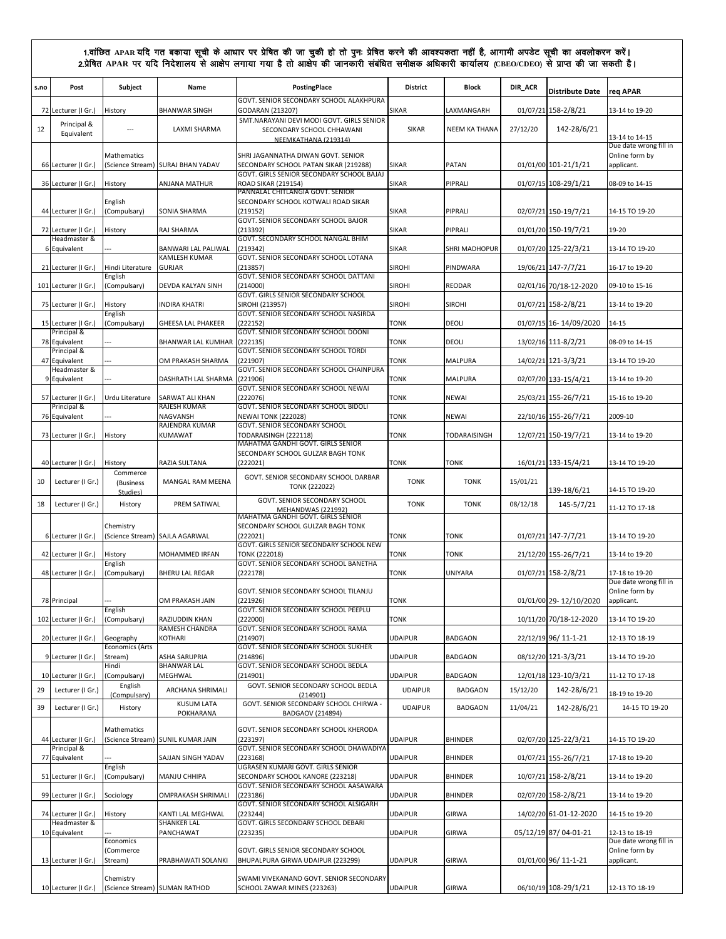| s.no | Post                                    | Subject                           | Name                              | PostingPlace<br>GOVT. SENIOR SECONDARY SCHOOL ALAKHPURA                                        | <b>District</b> | <b>Block</b>         | DIR_ACR  | <b>Distribute Date</b> | req APAR                                               |
|------|-----------------------------------------|-----------------------------------|-----------------------------------|------------------------------------------------------------------------------------------------|-----------------|----------------------|----------|------------------------|--------------------------------------------------------|
| 72   | Lecturer (I Gr.)                        | History                           | <b>BHANWAR SINGH</b>              | GODARAN (213207)                                                                               | <b>SIKAR</b>    | LAXMANGARH           |          | 01/07/21 158-2/8/21    | 13-14 to 19-20                                         |
| 12   | Principal &<br>Equivalent               | ---                               | LAXMI SHARMA                      | SMT.NARAYANI DEVI MODI GOVT. GIRLS SENIOR<br>SECONDARY SCHOOL CHHAWANI<br>NEEMKATHANA (219314) | SIKAR           | <b>NEEM KA THANA</b> | 27/12/20 | 142-28/6/21            | 13-14 to 14-15                                         |
|      | 66 Lecturer (I Gr.)                     | Mathematics<br>(Science Stream)   | <b>SURAJ BHAN YADAV</b>           | SHRI JAGANNATHA DIWAN GOVT. SENIOR<br>SECONDARY SCHOOL PATAN SIKAR (219288)                    | <b>SIKAR</b>    | <b>PATAN</b>         |          | 01/01/00 101-21/1/21   | Due date wrong fill in<br>Online form by<br>applicant. |
|      | 36 Lecturer (I Gr.)                     | History                           | ANJANA MATHUR                     | GOVT. GIRLS SENIOR SECONDARY SCHOOL BAJAJ<br><b>ROAD SIKAR (219154)</b>                        | <b>SIKAR</b>    | PIPRALI              |          | 01/07/15 108-29/1/21   | 08-09 to 14-15                                         |
|      |                                         |                                   |                                   | PANNALAL CHITLANGIA GOVT. SENIOR                                                               |                 |                      |          |                        |                                                        |
|      | 44 Lecturer (I Gr.)                     | English<br>(Compulsary)           | SONIA SHARMA                      | SECONDARY SCHOOL KOTWALI ROAD SIKAR<br>(219152)<br>GOVT. SENIOR SECONDARY SCHOOL BAJOR         | <b>SIKAR</b>    | PIPRALI              |          | 02/07/21 150-19/7/21   | 14-15 TO 19-20                                         |
|      | 72 Lecturer (I Gr.)<br>Headmaster &     | History                           | RAJ SHARMA                        | (213392)<br>GOVT. SECONDARY SCHOOL NANGAL BHIM                                                 | <b>SIKAR</b>    | PIPRALI              |          | 01/01/20 150-19/7/21   | 19-20                                                  |
|      | 6 Equivalent                            |                                   | BANWARI LAL PALIWAL               | (219342)                                                                                       | <b>SIKAR</b>    | <b>SHRI MADHOPUR</b> |          | 01/07/20 125-22/3/21   | 13-14 TO 19-20                                         |
|      | 21 Lecturer (I Gr.)                     | Hindi Literature                  | KAMLESH KUMAR<br><b>GURJAR</b>    | GOVT. SENIOR SECONDARY SCHOOL LOTANA<br>(213857)                                               | <b>SIROHI</b>   | PINDWARA             |          | 19/06/21 147-7/7/21    | 16-17 to 19-20                                         |
|      | 101 Lecturer (I Gr.)                    | English<br>(Compulsary)           | DEVDA KALYAN SINH                 | GOVT. SENIOR SECONDARY SCHOOL DATTANI<br>(214000)                                              | <b>SIROHI</b>   | <b>REODAR</b>        |          | 02/01/16 70/18-12-2020 | 09-10 to 15-16                                         |
|      |                                         |                                   |                                   | GOVT. GIRLS SENIOR SECONDARY SCHOOL                                                            |                 |                      |          |                        |                                                        |
|      | 75 Lecturer (I Gr.)                     | History<br>English                | INDIRA KHATRI                     | SIROHI (213957)<br>GOVT. SENIOR SECONDARY SCHOOL NASIRDA                                       | <b>SIROHI</b>   | <b>SIROHI</b>        |          | 01/07/21 158-2/8/21    | 13-14 to 19-20                                         |
|      | 15 Lecturer (I Gr.)<br>Principal &      | (Compulsary)                      | <b>GHEESA LAL PHAKEER</b>         | (222152)<br>GOVT. SENIOR SECONDARY SCHOOL DOONI                                                | TONK            | DEOLI                |          | 01/07/15 16-14/09/2020 | 14-15                                                  |
|      | 78 Equivalent                           |                                   | BHANWAR LAL KUMHAR                | (222135)                                                                                       | TONK            | DEOLI                |          | 13/02/16 111-8/2/21    | 08-09 to 14-15                                         |
|      | Principal &<br>47 Equivalent            |                                   | OM PRAKASH SHARMA                 | GOVT. SENIOR SECONDARY SCHOOL TORDI<br>(221907)                                                | TONK            | <b>MALPURA</b>       |          | 14/02/21 121-3/3/21    | 13-14 TO 19-20                                         |
|      | Headmaster &<br>9 Equivalent            |                                   | DASHRATH LAL SHARMA               | GOVT. SENIOR SECONDARY SCHOOL CHAINPURA<br>(221906)<br>GOVT. SENIOR SECONDARY SCHOOL NEWAI     | <b>TONK</b>     | <b>MALPURA</b>       |          | 02/07/20 133-15/4/21   | 13-14 to 19-20                                         |
|      | 57 Lecturer (I Gr.)                     | Urdu Literature                   | SARWAT ALI KHAN                   | (222076)                                                                                       | TONK            | <b>NEWAI</b>         |          | 25/03/21 155-26/7/21   | 15-16 to 19-20                                         |
|      | Principal &<br>76 Equivalent            | ---                               | RAJESH KUMAR<br>NAGVANSH          | GOVT. SENIOR SECONDARY SCHOOL BIDOLI<br><b>NEWAI TONK (222028)</b>                             | TONK            | <b>NEWAI</b>         |          | 22/10/16 155-26/7/21   | 2009-10                                                |
|      | 73 Lecturer (I Gr.)                     | History                           | RAJENDRA KUMAR<br>KUMAWAT         | <b>GOVT. SENIOR SECONDARY SCHOOL</b><br>TODARAISINGH (222118)                                  | TONK            | TODARAISINGH         |          | 12/07/21 150-19/7/21   | 13-14 to 19-20                                         |
|      |                                         |                                   |                                   | MAHATMA GANDHI GOVT. GIRLS SENIOR                                                              |                 |                      |          |                        |                                                        |
|      | 40 Lecturer (I Gr.)                     | History<br>Commerce               | RAZIA SULTANA                     | SECONDARY SCHOOL GULZAR BAGH TONK<br>(222021)                                                  | TONK            | <b>TONK</b>          |          | 16/01/21 133-15/4/21   | 13-14 TO 19-20                                         |
| 10   | Lecturer (I Gr.)                        | (Business<br>Studies)             | MANGAL RAM MEENA                  | GOVT. SENIOR SECONDARY SCHOOL DARBAR<br><b>TONK (222022)</b>                                   | <b>TONK</b>     | <b>TONK</b>          | 15/01/21 | 139-18/6/21            | 14-15 TO 19-20                                         |
| 18   | Lecturer (I Gr.)                        | History                           | PREM SATIWAL                      | GOVT. SENIOR SECONDARY SCHOOL<br>MEHANDWAS (221992)                                            | <b>TONK</b>     | <b>TONK</b>          | 08/12/18 | 145-5/7/21             | 11-12 TO 17-18                                         |
|      | 6 Lecturer (I Gr.)                      | Chemistry<br>(Science Stream)     | SAJLA AGARWAL                     | MAHATMA GANDHI GOVT. GIRLS SENIOR<br>SECONDARY SCHOOL GULZAR BAGH TONK<br>(222021)             | TONK            | <b>TONK</b>          |          | 01/07/21 147-7/7/21    | 13-14 TO 19-20                                         |
|      |                                         |                                   |                                   | GOVT. GIRLS SENIOR SECONDARY SCHOOL NEW                                                        |                 |                      |          |                        |                                                        |
|      | 42 Lecturer (I Gr.)                     | History<br>English                | MOHAMMED IRFAN                    | <b>TONK (222018)</b><br>GOVT. SENIOR SECONDARY SCHOOL BANETHA                                  | TONK            | <b>TONK</b>          |          | 21/12/20 155-26/7/21   | 13-14 to 19-20                                         |
|      | 48 Lecturer (I Gr.)                     | (Compulsary)                      | <b>BHERU LAL REGAR</b>            | (222178)                                                                                       | TONK            | UNIYARA              |          | 01/07/21 158-2/8/21    | 17-18 to 19-20<br>Due date wrong fill in               |
|      | 78 Principal                            | ---<br>English                    | OM PRAKASH JAIN                   | GOVT. SENIOR SECONDARY SCHOOL TILANJU<br>(221926)<br>GOVT. SENIOR SECONDARY SCHOOL PEEPLU      | <b>TONK</b>     |                      |          | 01/01/00 29-12/10/2020 | Online form by<br>applicant.                           |
|      | 102 Lecturer (I Gr.)                    | (Compulsary)                      | RAZIUDDIN KHAN                    | (222000)                                                                                       | <b>TONK</b>     |                      |          | 10/11/20 70/18-12-2020 | 13-14 TO 19-20                                         |
|      | 20 Lecturer (I Gr.)                     | Geography                         | RAMESH CHANDRA<br>KOTHARI         | GOVT. SENIOR SECONDARY SCHOOL RAMA<br>(214907)                                                 | <b>UDAIPUR</b>  | <b>BADGAON</b>       |          | 22/12/19 96/ 11-1-21   | 12-13 TO 18-19                                         |
|      | 9 Lecturer (I Gr.)                      | <b>Economics (Arts</b><br>Stream) | <b>ASHA SARUPRIA</b>              | GOVT. SENIOR SECONDARY SCHOOL SUKHER<br>(214896)                                               | <b>UDAIPUR</b>  | <b>BADGAON</b>       |          | 08/12/20 121-3/3/21    | 13-14 TO 19-20                                         |
|      |                                         | Hindi                             | <b>BHANWAR LAL</b><br>MEGHWAL     | GOVT. SENIOR SECONDARY SCHOOL BEDLA<br>(214901)                                                | <b>UDAIPUR</b>  | <b>BADGAON</b>       |          | 12/01/18 123-10/3/21   |                                                        |
| 29   | 10 Lecturer (I Gr.)<br>Lecturer (I Gr.) | (Compulsary)<br>English           | ARCHANA SHRIMALI                  | GOVT. SENIOR SECONDARY SCHOOL BEDLA                                                            | <b>UDAIPUR</b>  | <b>BADGAON</b>       | 15/12/20 | 142-28/6/21            | 11-12 TO 17-18                                         |
| 39   | Lecturer (I Gr.)                        | (Compulsary)<br>History           | <b>KUSUM LATA</b>                 | (214901)<br>GOVT. SENIOR SECONDARY SCHOOL CHIRWA -                                             | <b>UDAIPUR</b>  | <b>BADGAON</b>       | 11/04/21 | 142-28/6/21            | 18-19 to 19-20<br>14-15 TO 19-20                       |
|      |                                         |                                   | POKHARANA                         | <b>BADGAOV (214894)</b>                                                                        |                 |                      |          |                        |                                                        |
|      | 44 Lecturer (I Gr.)                     | Mathematics                       | (Science Stream) SUNIL KUMAR JAIN | GOVT. SENIOR SECONDARY SCHOOL KHERODA<br>(223197)                                              | UDAIPUR         | <b>BHINDER</b>       |          | 02/07/20 125-22/3/21   | 14-15 TO 19-20                                         |
|      | Principal &<br>77 Equivalent            |                                   | SAJJAN SINGH YADAV                | GOVT. SENIOR SECONDARY SCHOOL DHAWADIYA<br>(223168)                                            | <b>UDAIPUR</b>  | <b>BHINDER</b>       |          | 01/07/21 155-26/7/21   | 17-18 to 19-20                                         |
|      | 51 Lecturer (I Gr.)                     | English<br>(Compulsary)           | MANJU CHHIPA                      | UGRASEN KUMARI GOVT. GIRLS SENIOR<br>SECONDARY SCHOOL KANORE (223218)                          | UDAIPUR         | <b>BHINDER</b>       |          | 10/07/21 158-2/8/21    | 13-14 to 19-20                                         |
|      | 99 Lecturer (I Gr.)                     | Sociology                         | OMPRAKASH SHRIMALI                | GOVT. SENIOR SECONDARY SCHOOL AASAWARA<br>(223186)                                             | <b>UDAIPUR</b>  | <b>BHINDER</b>       |          | 02/07/20 158-2/8/21    | 13-14 to 19-20                                         |
|      |                                         |                                   |                                   | GOVT. SENIOR SECONDARY SCHOOL ALSIGARH                                                         |                 |                      |          |                        |                                                        |
|      | 74 Lecturer (I Gr.)<br>Headmaster &     | History                           | KANTI LAL MEGHWAL<br>SHANKER LAL  | (223244)<br>GOVT. GIRLS SECONDARY SCHOOL DEBARI                                                | <b>UDAIPUR</b>  | GIRWA                |          | 14/02/20 61-01-12-2020 | 14-15 to 19-20                                         |
|      | 10 Equivalent                           | Economics                         | PANCHAWAT                         | (223235)                                                                                       | <b>UDAIPUR</b>  | <b>GIRWA</b>         |          | 05/12/19 87/04-01-21   | 12-13 to 18-19<br>Due date wrong fill in               |
|      | 13 Lecturer (I Gr.)                     | (Commerce<br>Stream)              | PRABHAWATI SOLANKI                | GOVT. GIRLS SENIOR SECONDARY SCHOOL<br>BHUPALPURA GIRWA UDAIPUR (223299)                       | <b>UDAIPUR</b>  | GIRWA                |          | 01/01/00 96/ 11-1-21   | Online form by<br>applicant.                           |
|      |                                         | Chemistry                         |                                   | SWAMI VIVEKANAND GOVT. SENIOR SECONDARY                                                        |                 |                      |          |                        |                                                        |
|      | 10 Lecturer (I Gr.)                     |                                   | (Science Stream) SUMAN RATHOD     | SCHOOL ZAWAR MINES (223263)                                                                    | <b>UDAIPUR</b>  | GIRWA                |          | 06/10/19 108-29/1/21   | 12-13 TO 18-19                                         |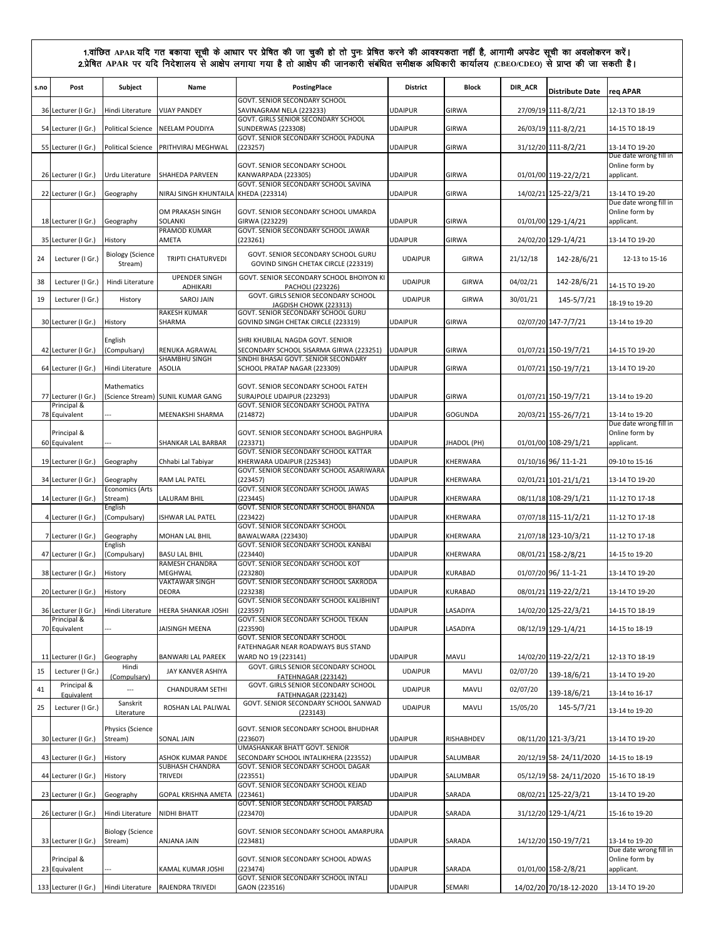| s.no | Post                               | Subject                            | Name                                    | PostingPlace                                                                                              | <b>District</b> | <b>Block</b>   | DIR_ACR  | <b>Distribute Date</b> | req APAR                                               |
|------|------------------------------------|------------------------------------|-----------------------------------------|-----------------------------------------------------------------------------------------------------------|-----------------|----------------|----------|------------------------|--------------------------------------------------------|
|      | 36 Lecturer (I Gr.)                | Hindi Literature                   | <b>VIJAY PANDEY</b>                     | GOVT. SENIOR SECONDARY SCHOOL<br>SAVINAGRAM NELA (223233)                                                 | <b>UDAIPUR</b>  | <b>GIRWA</b>   |          | 27/09/19 111-8/2/21    | 12-13 TO 18-19                                         |
|      | 54 Lecturer (I Gr.)                | <b>Political Science</b>           | NEELAM POUDIYA                          | GOVT. GIRLS SENIOR SECONDARY SCHOOL<br><b>SUNDERWAS (223308)</b>                                          | <b>UDAIPUR</b>  | GIRWA          |          | 26/03/19 111-8/2/21    | 14-15 TO 18-19                                         |
|      | 55 Lecturer (I Gr.)                | <b>Political Science</b>           | PRITHVIRAJ MEGHWAL                      | GOVT. SENIOR SECONDARY SCHOOL PADUNA<br>(223257)                                                          | <b>UDAIPUR</b>  | <b>GIRWA</b>   |          | 31/12/20 111-8/2/21    | 13-14 TO 19-20                                         |
|      | 26 Lecturer (I Gr.)                | Urdu Literature                    | SHAHEDA PARVEEN                         | GOVT. SENIOR SECONDARY SCHOOL<br>KANWARPADA (223305)                                                      | <b>UDAIPUR</b>  | GIRWA          |          | 01/01/00 119-22/2/21   | Due date wrong fill in<br>Online form by<br>applicant. |
|      | 22 Lecturer (I Gr.)                | Geography                          | NIRAJ SINGH KHUNTAILA                   | GOVT. SENIOR SECONDARY SCHOOL SAVINA<br>KHEDA (223314)                                                    | <b>UDAIPUR</b>  | <b>GIRWA</b>   |          | 14/02/21 125-22/3/21   | 13-14 TO 19-20                                         |
|      |                                    |                                    | OM PRAKASH SINGH                        | GOVT. SENIOR SECONDARY SCHOOL UMARDA                                                                      |                 |                |          |                        | Due date wrong fill in<br>Online form by               |
|      | 18 Lecturer (I Gr.)                | Geography                          | SOLANKI<br>PRAMOD KUMAR                 | GIRWA (223229)<br>GOVT. SENIOR SECONDARY SCHOOL JAWAR                                                     | <b>UDAIPUR</b>  | GIRWA          |          | 01/01/00 129-1/4/21    | applicant.                                             |
|      | 35 Lecturer (I Gr.)                | History                            | AMETA                                   | (223261)                                                                                                  | <b>UDAIPUR</b>  | <b>GIRWA</b>   |          | 24/02/20 129-1/4/21    | 13-14 TO 19-20                                         |
| 24   | Lecturer (I Gr.)                   | <b>Biology (Science</b><br>Stream) | <b>TRIPTI CHATURVEDI</b>                | GOVT. SENIOR SECONDARY SCHOOL GURU<br>GOVIND SINGH CHETAK CIRCLE (223319)                                 | <b>UDAIPUR</b>  | <b>GIRWA</b>   | 21/12/18 | 142-28/6/21            | 12-13 to 15-16                                         |
| 38   | Lecturer (I Gr.)                   | Hindi Literature                   | <b>UPENDER SINGH</b><br><b>ADHIKARI</b> | GOVT. SENIOR SECONDARY SCHOOL BHOIYON KI<br>PACHOLI (223226)                                              | <b>UDAIPUR</b>  | GIRWA          | 04/02/21 | 142-28/6/21            | 14-15 TO 19-20                                         |
| 19   | Lecturer (I Gr.)                   | History                            | <b>SAROJ JAIN</b>                       | GOVT. GIRLS SENIOR SECONDARY SCHOOL<br>JAGDISH CHOWK (223313)                                             | <b>UDAIPUR</b>  | <b>GIRWA</b>   | 30/01/21 | 145-5/7/21             | 18-19 to 19-20                                         |
|      | 30 Lecturer (I Gr.)                | History                            | RAKESH KUMAR<br>SHARMA                  | GOVT. SENIOR SECONDARY SCHOOL GURU<br>GOVIND SINGH CHETAK CIRCLE (223319)                                 | <b>UDAIPUR</b>  | <b>GIRWA</b>   |          | 02/07/20 147-7/7/21    | 13-14 to 19-20                                         |
|      |                                    | English                            |                                         | SHRI KHUBILAL NAGDA GOVT. SENIOR                                                                          |                 |                |          |                        |                                                        |
|      | 42 Lecturer (I Gr.)                | (Compulsary)                       | RENUKA AGRAWAL<br>SHAMBHU SINGH         | SECONDARY SCHOOL SISARMA GIRWA (223251)<br>SINDHI BHASAI GOVT. SENIOR SECONDARY                           | <b>UDAIPUR</b>  | <b>GIRWA</b>   |          | 01/07/21 150-19/7/21   | 14-15 TO 19-20                                         |
|      | 64 Lecturer (I Gr.)                | Hindi Literature                   | <b>ASOLIA</b>                           | SCHOOL PRATAP NAGAR (223309)                                                                              | <b>UDAIPUR</b>  | <b>GIRWA</b>   |          | 01/07/21 150-19/7/21   | 13-14 TO 19-20                                         |
|      | 77 Lecturer (I Gr.)<br>Principal & | Mathematics                        | (Science Stream) SUNIL KUMAR GANG       | GOVT. SENIOR SECONDARY SCHOOL FATEH<br>SURAJPOLE UDAIPUR (223293)<br>GOVT. SENIOR SECONDARY SCHOOL PATIYA | <b>UDAIPUR</b>  | GIRWA          |          | 01/07/21 150-19/7/21   | 13-14 to 19-20                                         |
|      | 78 Equivalent                      |                                    | MEENAKSHI SHARMA                        | (214872)                                                                                                  | <b>UDAIPUR</b>  | GOGUNDA        |          | 20/03/21 155-26/7/21   | 13-14 to 19-20                                         |
|      | Principal &<br>60 Equivalent       |                                    | SHANKAR LAL BARBAR                      | GOVT. SENIOR SECONDARY SCHOOL BAGHPURA<br>(223371)                                                        | <b>UDAIPUR</b>  | JHADOL (PH)    |          | 01/01/00 108-29/1/21   | Due date wrong fill in<br>Online form by<br>applicant. |
|      | 19 Lecturer (I Gr.)                | Geography                          | Chhabi Lal Tabiyar                      | GOVT. SENIOR SECONDARY SCHOOL KATTAR<br>KHERWARA UDAIPUR (225343)                                         | <b>UDAIPUR</b>  | KHERWARA       |          | 01/10/16 96/ 11-1-21   | 09-10 to 15-16                                         |
|      | 34 Lecturer (I Gr.)                | Geography                          | RAM LAL PATEL                           | GOVT. SENIOR SECONDARY SCHOOL ASARIWARA<br>(223457)                                                       | <b>UDAIPUR</b>  | KHERWARA       |          | 02/01/21 101-21/1/21   | 13-14 TO 19-20                                         |
|      | 14 Lecturer (I Gr.)                | <b>Economics (Arts</b><br>Stream)  | LALURAM BHIL                            | GOVT. SENIOR SECONDARY SCHOOL JAWAS<br>(223445)                                                           | <b>UDAIPUR</b>  | KHERWARA       |          | 08/11/18 108-29/1/21   | 11-12 TO 17-18                                         |
|      | 4 Lecturer (I Gr.)                 | English<br>(Compulsary)            | <b>ISHWAR LAL PATEL</b>                 | GOVT. SENIOR SECONDARY SCHOOL BHANDA<br>(223422)                                                          | <b>UDAIPUR</b>  | KHERWARA       |          | 07/07/18 115-11/2/21   | 11-12 TO 17-18                                         |
|      | 7 Lecturer (I Gr.)                 | Geography                          | MOHAN LAL BHIL                          | GOVT. SENIOR SECONDARY SCHOOL<br>BAWALWARA (223430)                                                       | <b>UDAIPUR</b>  | KHERWARA       |          | 21/07/18 123-10/3/21   | 11-12 TO 17-18                                         |
|      | 47 Lecturer (I Gr.)                | English                            | <b>BASU LAL BHIL</b>                    | GOVT. SENIOR SECONDARY SCHOOL KANBAI<br>(223440)                                                          | <b>UDAIPUR</b>  | KHERWARA       |          |                        |                                                        |
|      |                                    | (Compulsary)                       | RAMESH CHANDRA                          | GOVT. SENIOR SECONDARY SCHOOL KOT                                                                         |                 |                |          | 08/01/21 158-2/8/21    | 14-15 to 19-20                                         |
|      | 38 Lecturer (I Gr.)                | History                            | MEGHWAL<br>VAKTAWAR SINGH               | (223280)<br>GOVT. SENIOR SECONDARY SCHOOL SAKRODA                                                         | <b>UDAIPUR</b>  | KURABAD        |          | 01/07/20 96/ 11-1-21   | 13-14 TO 19-20                                         |
|      | 20 Lecturer (I Gr.)                | History                            | <b>DEORA</b>                            | (223238)<br>GOVT. SENIOR SECONDARY SCHOOL KALIBHINT                                                       | <b>UDAIPUR</b>  | <b>KURABAD</b> |          | 08/01/21 119-22/2/21   | 13-14 TO 19-20                                         |
|      | 36 Lecturer (I Gr.)<br>Principal & | Hindi Literature                   | HEERA SHANKAR JOSHI                     | (223597)<br>GOVT. SENIOR SECONDARY SCHOOL TEKAN                                                           | <b>UDAIPUR</b>  | LASADIYA       |          | 14/02/20 125-22/3/21   | 14-15 TO 18-19                                         |
|      | 70 Equivalent                      |                                    | JAISINGH MEENA                          | (223590)<br>GOVT. SENIOR SECONDARY SCHOOL                                                                 | <b>UDAIPUR</b>  | LASADIYA       |          | 08/12/19 129-1/4/21    | 14-15 to 18-19                                         |
|      | 11 Lecturer (I Gr.)                | Geography                          | <b>BANWARI LAL PAREEK</b>               | FATEHNAGAR NEAR ROADWAYS BUS STAND<br>WARD NO 19 (223141)                                                 | <b>UDAIPUR</b>  | MAVLI          |          | 14/02/20 119-22/2/21   | 12-13 TO 18-19                                         |
| 15   | Lecturer (I Gr.)                   | Hindi<br>(Compulsary)              | JAY KANVER ASHIYA                       | GOVT. GIRLS SENIOR SECONDARY SCHOOL<br>FATEHNAGAR (223142)                                                | <b>UDAIPUR</b>  | MAVLI          | 02/07/20 | 139-18/6/21            | 13-14 TO 19-20                                         |
| 41   | Principal &                        | $\overline{\phantom{a}}$           | CHANDURAM SETHI                         | GOVT. GIRLS SENIOR SECONDARY SCHOOL                                                                       | <b>UDAIPUR</b>  | MAVLI          | 02/07/20 | 139-18/6/21            | 13-14 to 16-17                                         |
| 25   | Equivalent<br>Lecturer (I Gr.)     | Sanskrit<br>Literature             | ROSHAN LAL PALIWAL                      | FATEHNAGAR (223142)<br>GOVT. SENIOR SECONDARY SCHOOL SANWAD<br>(223143)                                   | <b>UDAIPUR</b>  | MAVLI          | 15/05/20 | 145-5/7/21             | 13-14 to 19-20                                         |
|      | 30 Lecturer (I Gr.)                | Physics (Science<br>Stream)        | SONAL JAIN                              | GOVT. SENIOR SECONDARY SCHOOL BHUDHAR<br>(223607)                                                         | <b>UDAIPUR</b>  | RISHABHDEV     |          | 08/11/20 121-3/3/21    | 13-14 TO 19-20                                         |
|      | 43 Lecturer (I Gr.)                | History                            | ASHOK KUMAR PANDE                       | UMASHANKAR BHATT GOVT. SENIOR<br>SECONDARY SCHOOL INTALIKHERA (223552)                                    | <b>UDAIPUR</b>  | SALUMBAR       |          | 20/12/19 58-24/11/2020 | 14-15 to 18-19                                         |
|      | 44 Lecturer (I Gr.)                | History                            | SUBHASH CHANDRA<br>TRIVEDI              | GOVT. SENIOR SECONDARY SCHOOL DAGAR<br>(223551)                                                           | <b>UDAIPUR</b>  | SALUMBAR       |          | 05/12/19 58-24/11/2020 | 15-16 TO 18-19                                         |
|      | 23 Lecturer (I Gr.)                | Geography                          | GOPAL KRISHNA AMETA                     | GOVT. SENIOR SECONDARY SCHOOL KEJAD<br>(223461)                                                           | <b>UDAIPUR</b>  | SARADA         |          | 08/02/21 125-22/3/21   | 13-14 TO 19-20                                         |
|      | 26 Lecturer (I Gr.)                | Hindi Literature                   | NIDHI BHATT                             | GOVT. SENIOR SECONDARY SCHOOL PARSAD<br>(223470)                                                          | <b>UDAIPUR</b>  | SARADA         |          | 31/12/20 129-1/4/21    | 15-16 to 19-20                                         |
|      |                                    | <b>Biology (Science</b>            |                                         | GOVT. SENIOR SECONDARY SCHOOL AMARPURA                                                                    |                 |                |          |                        |                                                        |
|      | 33 Lecturer (I Gr.)                | Stream)                            | ANJANA JAIN                             | (223481)                                                                                                  | <b>UDAIPUR</b>  | SARADA         |          | 14/12/20 150-19/7/21   | 13-14 to 19-20<br>Due date wrong fill in               |
|      | Principal &<br>23 Equivalent       |                                    | KAMAL KUMAR JOSHI                       | GOVT. SENIOR SECONDARY SCHOOL ADWAS<br>(223474)                                                           | <b>UDAIPUR</b>  | SARADA         |          | 01/01/00 158-2/8/21    | Online form by<br>applicant.                           |
|      | 133 Lecturer (I Gr.)               | Hindi Literature                   | RAJENDRA TRIVEDI                        | GOVT. SENIOR SECONDARY SCHOOL INTALI<br>GAON (223516)                                                     | <b>UDAIPUR</b>  | SEMARI         |          | 14/02/20 70/18-12-2020 | 13-14 TO 19-20                                         |
|      |                                    |                                    |                                         |                                                                                                           |                 |                |          |                        |                                                        |